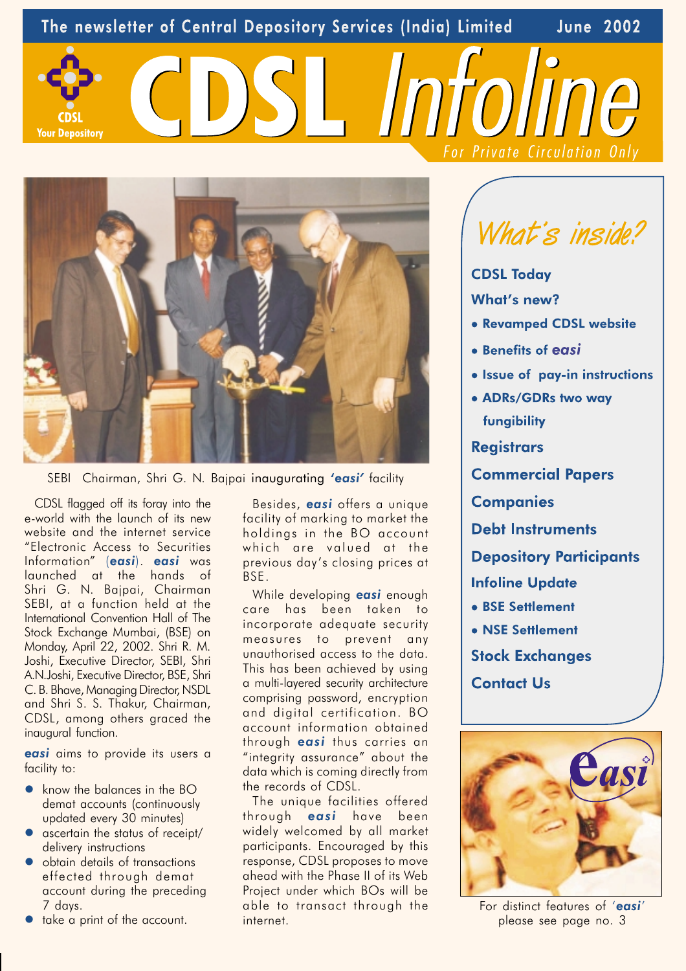The newsletter of Central Depository Services (India) Limited

June 2002



CDSL

SEBI Chairman, Shri G. N. Bajpai inaugurating 'easi' facility

CDSL flagged off its foray into the e-world with the launch of its new website and the internet service "Electronic Access to Securities Information" (easi). easi was launched at the hands of Shri G. N. Bajpai, Chairman SEBI, at a function held at the International Convention Hall of The Stock Exchange Mumbai, (BSE) on Monday, April 22, 2002. Shri R. M. Joshi, Executive Director, SEBI, Shri A.N.Joshi, Executive Director, BSE, Shri C. B. Bhave, Managing Director, NSDL and Shri S. S. Thakur, Chairman, CDSL, among others graced the inguaural function.

**Your Depository** 

easi aims to provide its users a facility to:

- know the balances in the BO demat accounts (continuously updated every 30 minutes)
- ascertain the status of receipt/ delivery instructions
- · obtain details of transactions effected through demat account during the preceding 7 days.
- take a print of the account.

Besides, easi offers a unique facility of marking to market the holdings in the BO account which are valued at the previous day's closing prices at BSF.

While developing **easi** enough care has been taken to incorporate adequate security measures to prevent any unauthorised access to the data. This has been achieved by using a multi-layered security architecture comprising password, encryption and digital certification. BO account information obtained through easi thus carries an "integrity assurance" about the data which is coming directly from the records of CDSL.

The unique facilities offered through easi have been widely welcomed by all market participants. Encouraged by this response, CDSL proposes to move ahead with the Phase II of its Web Project under which BOs will be able to transact through the internet

What's inside?

For Private Circulation Only

**CDSL Todav** What's new?

**Thioline** 

- · Revamped CDSL website
- · Benefits of easi
- Issue of pay-in instructions
- ADRs/GDRs two way fungibility **Registrars Commercial Papers Companies Debt Instruments Depository Participants Infoline Update** • BSE Settlement • NSE Settlement
- **Stock Exchanges**
- **Contact Us**



For distinct features of 'easi' please see page no. 3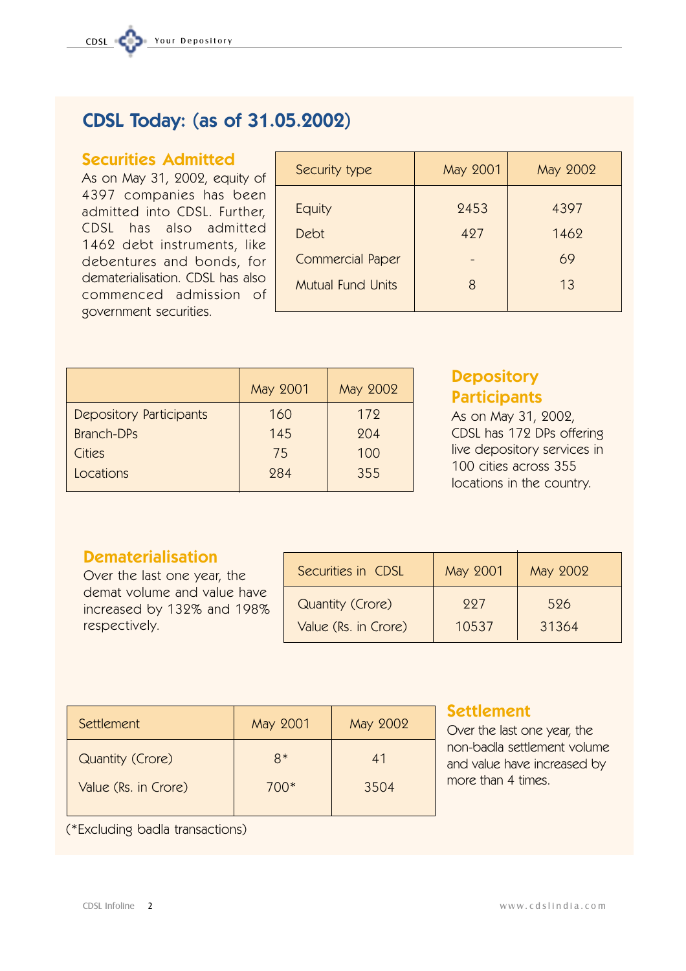# **CDSL Today: (as of 31.05.2002)**

# **Securities Admitted**

As on May 31, 2002, equity of 4397 companies has been admitted into CDSL. Further, CDSL has also admitted 1462 debt instruments, like debentures and bonds, for dematerialisation. CDSL has also commenced admission of government securities.

| Security type            | May 2001 | May 2002 |
|--------------------------|----------|----------|
| Equity                   | 2453     | 4397     |
| Debt                     | 427      | 1462     |
| <b>Commercial Paper</b>  |          | 69       |
| <b>Mutual Fund Units</b> | 8        | 13       |
|                          |          |          |

|                                | May 2001 | May 2002 |
|--------------------------------|----------|----------|
| <b>Depository Participants</b> | 160      | 172      |
| <b>Branch-DPs</b>              | 145      | 204      |
| Cities                         | 75       | 100      |
| Locations                      | 984      | 355      |

# **Depository Participants**

As on May 31, 2002, CDSL has 172 DPs offering live depository services in 100 cities across 355 locations in the country.

# **Dematerialisation**

Over the last one year, the demat volume and value have increased by 132% and 198% respectively.

| Securities in CDSL   | May 2001 | May 2002 |
|----------------------|----------|----------|
| Quantity (Crore)     | 997      | 526      |
| Value (Rs. in Crore) | 10537    | 31364    |

| <b>Settlement</b>    | May 2001 | May 2002 |
|----------------------|----------|----------|
| Quantity (Crore)     | $8*$     | 41       |
| Value (Rs. in Crore) | $700*$   | 3504     |
|                      |          |          |

# **Settlement**

Over the last one year, the non-badla settlement volume and value have increased by more than 4 times

(\*Excluding badla transactions)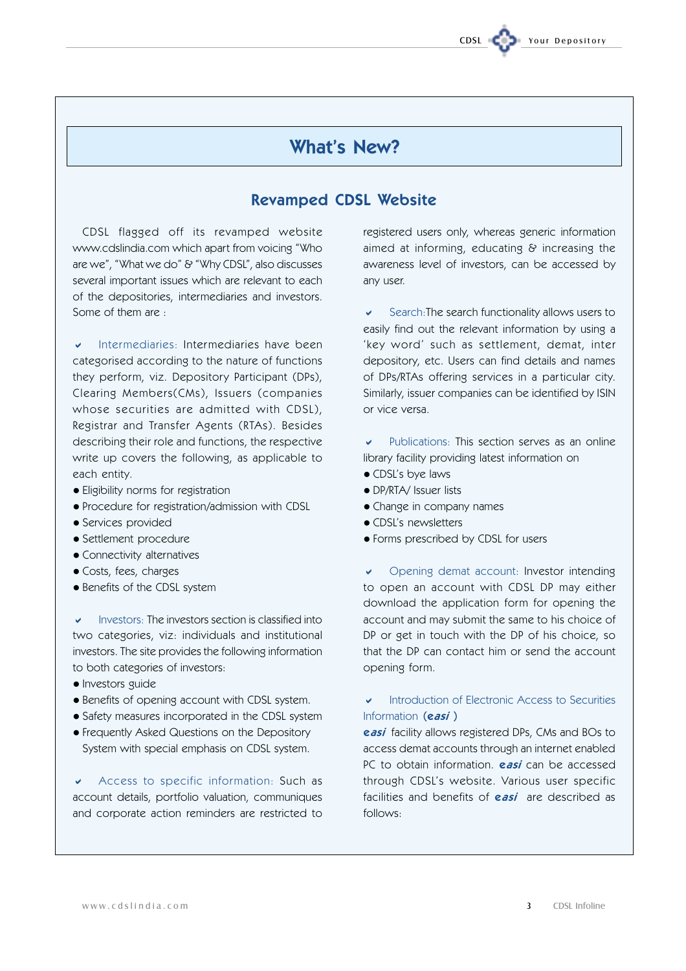# **What's New?**

# **Revamped CDSL Website**

CDSL flagged off its revamped website www.cdslindia.com which apart from voicing "Who are we", "What we do" & "Why CDSL", also discusses several important issues which are relevant to each of the depositories, intermediaries and investors. Some of them are  $\pm$ 

Intermediaries: Intermediaries have been categorised according to the nature of functions they perform, viz. Depository Participant (DPs), Clearing Members(CMs), Issuers (companies whose securities are admitted with CDSL), Registrar and Transfer Agents (RTAs). Besides describing their role and functions, the respective write up covers the following, as applicable to each entity.

- Eligibility norms for registration
- Procedure for registration/admission with CDSL
- Services provided
- Settlement procedure
- Connectivity alternatives
- · Costs, fees, charges
- Benefits of the CDSL system

Investors: The investors section is classified into two categories, viz: individuals and institutional investors. The site provides the following information to both categories of investors:

- · Investors guide
- Benefits of opening account with CDSL system.
- Safety measures incorporated in the CDSL system
- Frequently Asked Questions on the Depository System with special emphasis on CDSL system.

Access to specific information: Such as account details, portfolio valuation, communiques and corporate action reminders are restricted to

registered users only, whereas generic information aimed at informing, educating & increasing the awareness level of investors, can be accessed by any user.

Your Denository

Search: The search functionality allows users to  $\mathbf{v}$ easily find out the relevant information by using a 'key word' such as settlement, demat, inter depository, etc. Users can find details and names of DPs/RTAs offering services in a particular city. Similarly, issuer companies can be identified by ISIN or vice versa.

Publications: This section serves as an online library facility providing latest information on

- CDSL's bye laws
- · DP/RTA/ Issuer lists
- Change in company names
- CDSL's newsletters
- Forms prescribed by CDSL for users

Opening demat account: Investor intending  $\mathbf{v}$ to open an account with CDSL DP may either download the application form for opening the account and may submit the same to his choice of DP or get in touch with the DP of his choice, so that the DP can contact him or send the account opening form.

Introduction of Electronic Access to Securities Information  $(easi)$ 

easi facility allows registered DPs, CMs and BOs to access demat accounts through an internet enabled PC to obtain information. **easi** can be accessed through CDSL's website. Various user specific facilities and benefits of **easi** are described as follows: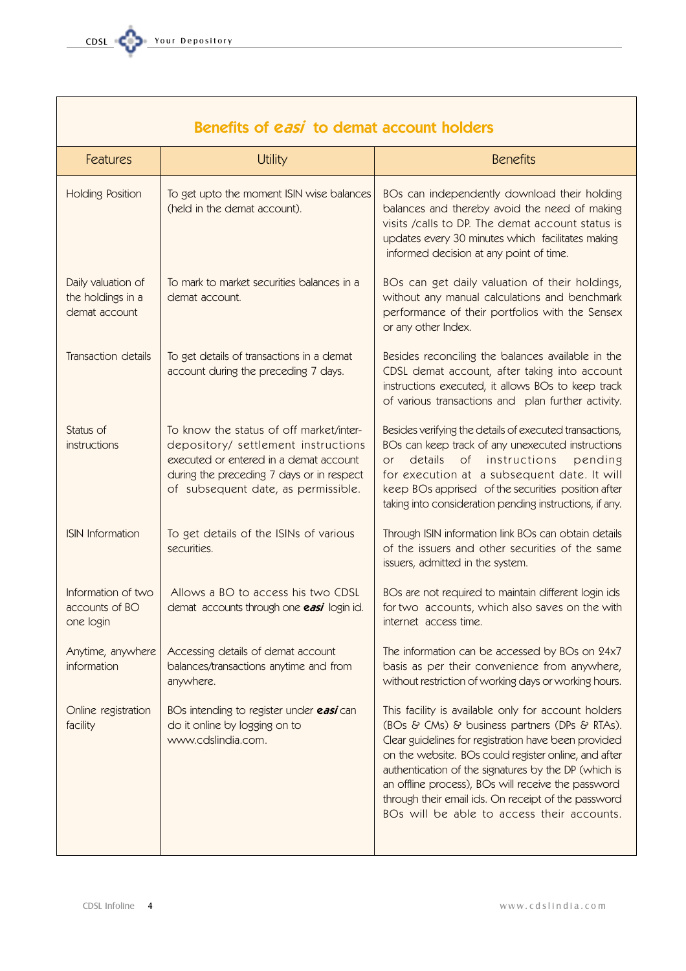| Benefits of easi to demat account holders                |                                                                                                                                                                                                              |                                                                                                                                                                                                                                                                                                                                                                                                                                         |  |  |  |  |  |
|----------------------------------------------------------|--------------------------------------------------------------------------------------------------------------------------------------------------------------------------------------------------------------|-----------------------------------------------------------------------------------------------------------------------------------------------------------------------------------------------------------------------------------------------------------------------------------------------------------------------------------------------------------------------------------------------------------------------------------------|--|--|--|--|--|
| <b>Features</b>                                          | <b>Utility</b>                                                                                                                                                                                               | <b>Benefits</b>                                                                                                                                                                                                                                                                                                                                                                                                                         |  |  |  |  |  |
| <b>Holding Position</b>                                  | To get upto the moment ISIN wise balances<br>(held in the demat account).                                                                                                                                    | BOs can independently download their holding<br>balances and thereby avoid the need of making<br>visits / calls to DP. The demat account status is<br>updates every 30 minutes which facilitates making<br>informed decision at any point of time.                                                                                                                                                                                      |  |  |  |  |  |
| Daily valuation of<br>the holdings in a<br>demat account | To mark to market securities balances in a<br>demat account.                                                                                                                                                 | BOs can get daily valuation of their holdings,<br>without any manual calculations and benchmark<br>performance of their portfolios with the Sensex<br>or any other Index.                                                                                                                                                                                                                                                               |  |  |  |  |  |
| <b>Transaction details</b>                               | To get details of transactions in a demat<br>account during the preceding 7 days.                                                                                                                            | Besides reconciling the balances available in the<br>CDSL demat account, after taking into account<br>instructions executed, it allows BOs to keep track<br>of various transactions and plan further activity.                                                                                                                                                                                                                          |  |  |  |  |  |
| Status of<br>instructions                                | To know the status of off market/inter-<br>depository/ settlement instructions<br>executed or entered in a demat account<br>during the preceding 7 days or in respect<br>of subsequent date, as permissible. | Besides verifying the details of executed transactions,<br>BOs can keep track of any unexecuted instructions<br>of instructions<br>details<br>pending<br><b>or</b><br>for execution at a subsequent date. It will<br>keep BOs apprised of the securities position after<br>taking into consideration pending instructions, if any.                                                                                                      |  |  |  |  |  |
| <b>ISIN Information</b>                                  | To get details of the ISINs of various<br>securities.                                                                                                                                                        | Through ISIN information link BOs can obtain details<br>of the issuers and other securities of the same<br>issuers, admitted in the system.                                                                                                                                                                                                                                                                                             |  |  |  |  |  |
| Information of two<br>accounts of BO<br>one login        | Allows a BO to access his two CDSL<br>demat accounts through one easi login id.                                                                                                                              | BOs are not required to maintain different login ids<br>for two accounts, which also saves on the with<br>internet access time.                                                                                                                                                                                                                                                                                                         |  |  |  |  |  |
| Anytime, anywhere<br>information                         | Accessing details of demat account<br>balances/transactions anytime and from<br>anywhere.                                                                                                                    | The information can be accessed by BOs on 24x7<br>basis as per their convenience from anywhere,<br>without restriction of working days or working hours.                                                                                                                                                                                                                                                                                |  |  |  |  |  |
| Online registration<br>facility                          | BOs intending to register under easi can<br>do it online by logging on to<br>www.cdslindia.com.                                                                                                              | This facility is available only for account holders<br>(BOs & CMs) & business partners (DPs & RTAs).<br>Clear guidelines for registration have been provided<br>on the website. BOs could register online, and after<br>authentication of the signatures by the DP (which is<br>an offline process), BOs will receive the password<br>through their email ids. On receipt of the password<br>BOs will be able to access their accounts. |  |  |  |  |  |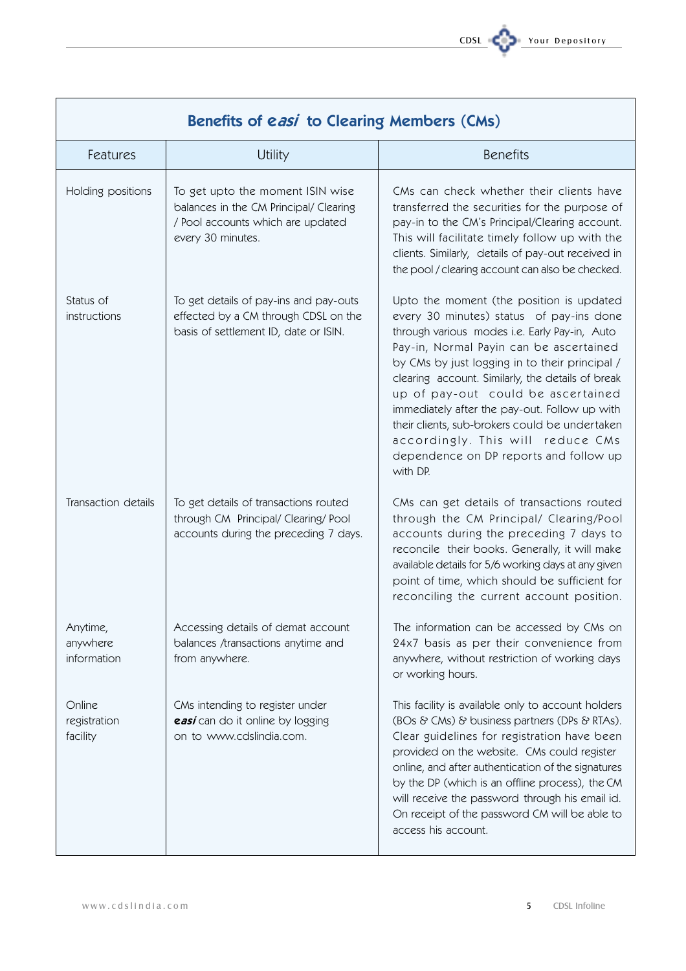

| Benefits of easi to Clearing Members (CMs) |                                                                                                                                      |                                                                                                                                                                                                                                                                                                                                                                                                                                                                                                                             |  |  |  |  |  |
|--------------------------------------------|--------------------------------------------------------------------------------------------------------------------------------------|-----------------------------------------------------------------------------------------------------------------------------------------------------------------------------------------------------------------------------------------------------------------------------------------------------------------------------------------------------------------------------------------------------------------------------------------------------------------------------------------------------------------------------|--|--|--|--|--|
| Features                                   | Utility                                                                                                                              | <b>Benefits</b>                                                                                                                                                                                                                                                                                                                                                                                                                                                                                                             |  |  |  |  |  |
| Holding positions                          | To get upto the moment ISIN wise<br>balances in the CM Principal/ Clearing<br>/ Pool accounts which are updated<br>every 30 minutes. | CMs can check whether their clients have<br>transferred the securities for the purpose of<br>pay-in to the CM's Principal/Clearing account.<br>This will facilitate timely follow up with the<br>clients. Similarly, details of pay-out received in<br>the pool / clearing account can also be checked.                                                                                                                                                                                                                     |  |  |  |  |  |
| Status of<br>instructions                  | To get details of pay-ins and pay-outs<br>effected by a CM through CDSL on the<br>basis of settlement ID, date or ISIN.              | Upto the moment (the position is updated<br>every 30 minutes) status of pay-ins done<br>through various modes i.e. Early Pay-in, Auto<br>Pay-in, Normal Payin can be ascertained<br>by CMs by just logging in to their principal /<br>clearing account. Similarly, the details of break<br>up of pay-out could be ascertained<br>immediately after the pay-out. Follow up with<br>their clients, sub-brokers could be undertaken<br>accordingly. This will reduce CMs<br>dependence on DP reports and follow up<br>with DP. |  |  |  |  |  |
| Transaction details                        | To get details of transactions routed<br>through CM Principal/ Clearing/Pool<br>accounts during the preceding 7 days.                | CMs can get details of transactions routed<br>through the CM Principal/ Clearing/Pool<br>accounts during the preceding 7 days to<br>reconcile their books. Generally, it will make<br>available details for 5/6 working days at any given<br>point of time, which should be sufficient for<br>reconciling the current account position.                                                                                                                                                                                     |  |  |  |  |  |
| Anytime,<br>anywhere<br>information        | Accessing details of demat account<br>balances /transactions anytime and<br>from anywhere.                                           | The information can be accessed by CMs on<br>24x7 basis as per their convenience from<br>anywhere, without restriction of working days<br>or working hours.                                                                                                                                                                                                                                                                                                                                                                 |  |  |  |  |  |
| Online<br>registration<br>facility         | CMs intending to register under<br>easi can do it online by logging<br>on to www.cdslindia.com.                                      | This facility is available only to account holders<br>(BOs & CMs) & business partners (DPs & RTAs).<br>Clear guidelines for registration have been<br>provided on the website. CMs could register<br>online, and after authentication of the signatures<br>by the DP (which is an offline process), the CM<br>will receive the password through his email id.<br>On receipt of the password CM will be able to<br>access his account.                                                                                       |  |  |  |  |  |

**r**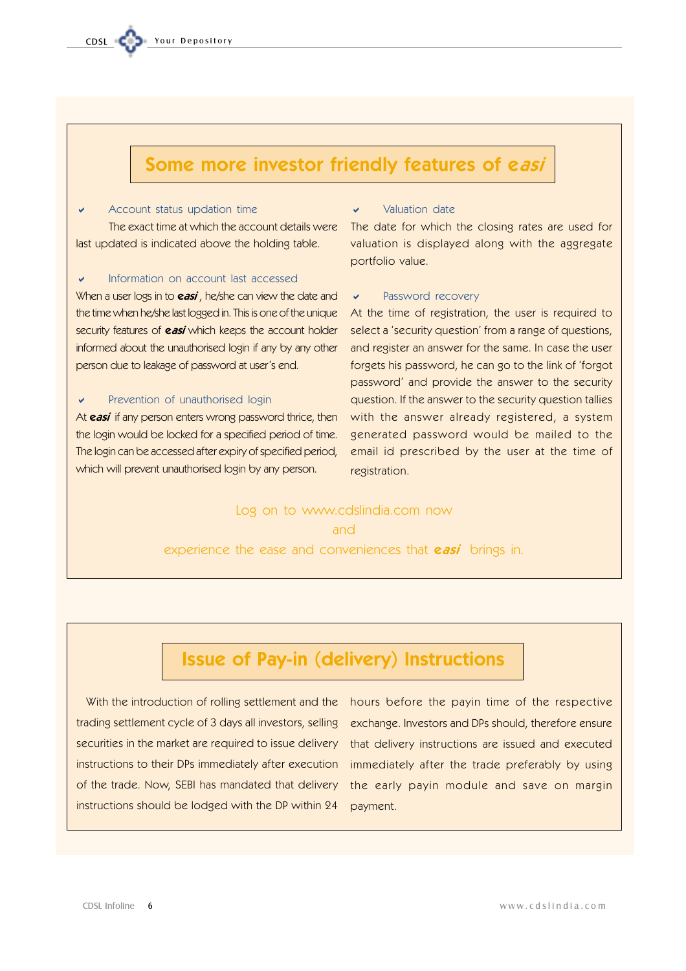

# Some more investor friendly features of easi

## Account status updation time

The exact time at which the account details were last updated is indicated above the holding table.

# Information on account last accessed

When a user logs in to **easi**, he/she can view the date and the time when he/she last logged in. This is one of the unique security features of easi which keeps the account holder informed about the unauthorised login if any by any other person due to leakage of password at user's end.

## Prevention of unauthorised login

At easi if any person enters wrong password thrice, then the login would be locked for a specified period of time. The login can be accessed after expiry of specified period, which will prevent unauthorised login by any person.

## Valuation date

The date for which the closing rates are used for valuation is displayed along with the aggregate portfolio value.

# Password recovery

At the time of registration, the user is required to select a 'security question' from a range of questions, and register an answer for the same. In case the user forgets his password, he can go to the link of 'forgot password' and provide the answer to the security question. If the answer to the security question tallies with the answer already registered, a system generated password would be mailed to the email id prescribed by the user at the time of registration.

# Log on to www.cdslindia.com now and

experience the ease and conveniences that **easi** brings in.

# **Issue of Pay-in (delivery) Instructions**

With the introduction of rolling settlement and the trading settlement cycle of 3 days all investors, selling securities in the market are required to issue delivery instructions to their DPs immediately after execution of the trade. Now, SEBI has mandated that delivery instructions should be lodged with the DP within 24

hours before the payin time of the respective exchange. Investors and DPs should, therefore ensure that delivery instructions are issued and executed immediately after the trade preferably by using the early payin module and save on margin payment.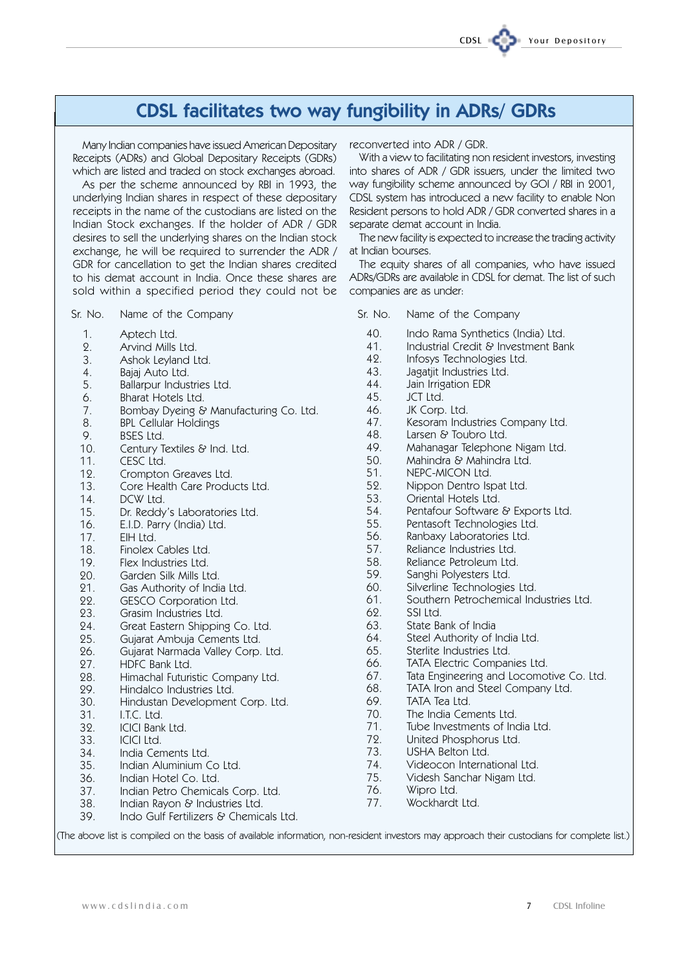

# **CDSL facilitates two way fungibility in ADRs/ GDRs**

Many Indian companies have issued American Depositary Receipts (ADRs) and Global Depositary Receipts (GDRs) which are listed and traded on stock exchanges abroad.

As per the scheme announced by RBI in 1993, the underlying Indian shares in respect of these depositary receipts in the name of the custodians are listed on the Indian Stock exchanges. If the holder of ADR / GDR desires to sell the underlying shares on the Indian stock exchange, he will be required to surrender the ADR / GDR for cancellation to get the Indian shares credited to his demat account in India. Once these shares are sold within a specified period they could not be

Sr. No. Name of the Company

- $1<sub>1</sub>$ Antech Itd.
- $\overline{2}$ . Arvind Mills Ltd.
- $3.$ Ashok Leyland Ltd.
- $4.$ Bajaj Auto Ltd.
- 5. Ballarpur Industries Ltd.
- Bharat Hotels Ltd. 6.
- $7.$ Bombay Dyeing & Manufacturing Co. Ltd.
- $\mathsf{R}$ **BPL Cellular Holdings**
- 9. **BSES Ltd.**
- 10. Century Textiles & Ind. Ltd.
- $11$ CESC Itd.
- 19 Crompton Greaves Ltd.
- $13.$ Core Health Care Products Itd.
- $14.$ DCW Ltd.
- 15. Dr. Reddy's Laboratories Ltd.
- 16. E.I.D. Parry (India) Ltd.
- $17.$ FIH Itd
- Finolex Cables Ltd. 18.
- $19$ Flex Industries Ltd.
- Garden Silk Mills Ltd.  $90<sup>°</sup>$
- 21. Gas Authority of India Ltd.
- 22. GESCO Corporation Ltd.
- 23. Grasim Industries Ltd.
- 24. Great Eastern Shipping Co. Ltd.
- 95. Guiarat Ambuia Cements Ltd.
- 26. Gujarat Narmada Valley Corp. Ltd.
- 97. HDFC Bank Itd.
- 98. Himachal Futuristic Company Ltd.
- 29. Hindalco Industries Ltd.
- Hindustan Development Corp. Ltd.  $30.$
- $31$ LT.C. Itd.
- **ICICI Bank Ltd.** 39
- 33  $|C|C|$   $|td$
- 34. India Cements Ltd.
- Indian Aluminium Co Ltd. 35
- Indian Hotel Co. Ltd. 36
- $37$ Indian Petro Chemicals Corp. Ltd.
- 38 Indian Rayon & Industries Ltd.
- 39 Indo Gulf Fertilizers & Chemicals Ltd.

reconverted into ADR / GDR.

With a view to facilitating non resident investors, investing into shares of ADR / GDR issuers, under the limited two way fungibility scheme announced by GOI / RBI in 2001. CDSL system has introduced a new facility to enable Non Resident persons to hold ADR / GDR converted shares in a separate demat account in India.

The new facility is expected to increase the trading activity at Indian bourses.

The equity shares of all companies, who have issued ADRs/GDRs are available in CDSL for demat. The list of such companies are as under:

- Name of the Company Sr. No.
	- 40. Indo Rama Synthetics (India) Ltd.
	- 41. Industrial Credit & Investment Bank
	- 42. Infosys Technologies Ltd.
	- 43 Jagatjit Industries Ltd.
	- 44 Jain Irrigation EDR
	- 45. JCT Ltd.
	- JK Corp. Ltd. 46
	- 47. Kesoram Industries Company Ltd.
	- Larsen & Toubro Ltd. 48
	- 49. Mahanagar Telephone Nigam Ltd.
	- 50. Mahindra & Mahindra Ltd.
	- NEPC-MICON Ltd. 51.
	- 59. Nippon Dentro Ispat Ltd.
	- 53. Oriental Hotels Ltd.
	- 54. Pentafour Software & Exports Ltd.
	- 55. Pentasoft Technologies Ltd.
	- 56. Ranbaxy Laboratories Ltd.
	- Reliance Industries Ltd. 57.
	- 58. Reliance Petroleum Ltd.
	- 59. Sanghi Polyesters Ltd.
	- Silverline Technologies Ltd.  $60$
	- $61.$ Southern Petrochemical Industries Ltd.
- 62. SSI Ltd.
- 63. State Bank of India
- Steel Authority of India Ltd. 64
- 65. Sterlite Industries Ltd.
- 66. TATA Electric Companies Ltd.
- 67. Tata Engineering and Locomotive Co. Ltd.
- 68. TATA Iron and Steel Company Ltd.
- TATA Tea Ltd. 69.
- The India Cements Ltd. 70.
- Tube Investments of India Ltd. 71
- United Phosphorus Ltd. 72.
- 73. USHA Belton Itd.
- 74. Videocon International Ltd.
- 75. Videsh Sanchar Nigam Ltd.
- 76. Winro Itd.
- Wockhardt Itd. 77

(The above list is compiled on the basis of available information, non-resident investors may approach their custodians for complete list.)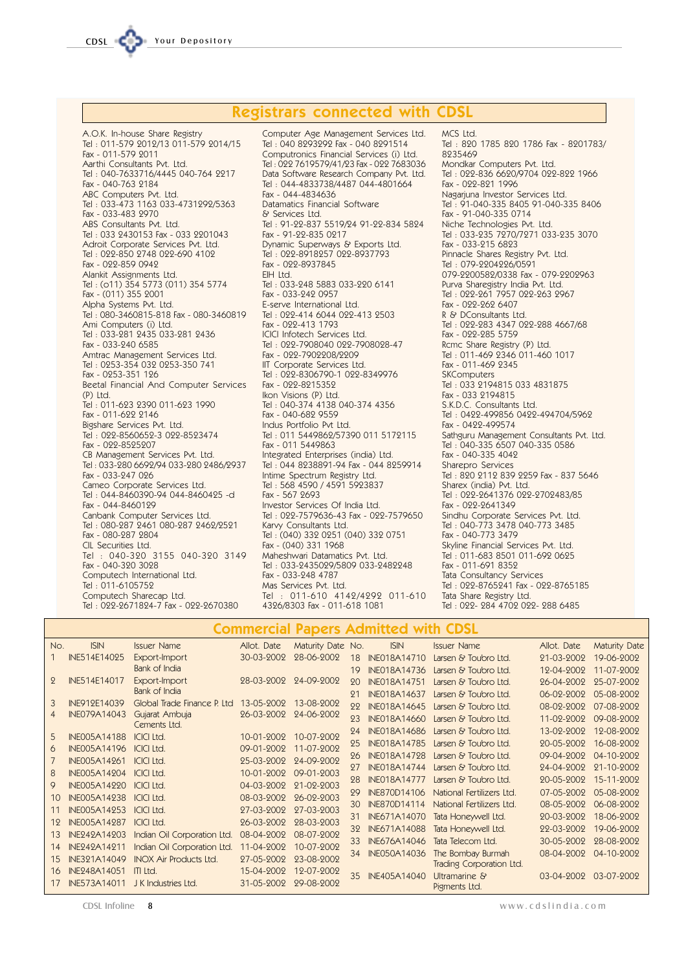#### **Registrars connected with CDSL**

A.O.K. In-house Share Registry Tel: 011-579 2012/13 011-579 2014/15 Fax - 011-579 2011 Aarthi Consultants Pvt. Ltd. Tel: 040-7633716/4445 040-764 2217 Fax - 040-763 2184 ABC Computers Pvt. Itd. Tel: 033-473 1163 033-4731292/5363 Fax - 033-483 2970 ABS Consultants Pvt. Ltd. Tel: 033 2430153 Fax - 033 2201043 Adroit Corporate Services Pvt. Itd. Tel: 022-850 2748 022-690 4102 Fax - 022-859 0942 Alankit Assignments Ltd. Tel: (o11) 354 5773 (011) 354 5774 Fax - (011) 355 2001 Alpha Systems Pvt. Ltd. Tel: 080-3460815-818 Fax - 080-3460819 Ami Computers (i) Ltd. Tel: 033-281 2435 033-281 2436 Fax - 033-940 6585 Amtrac Management Services Ltd. Tel: 0253-354 032 0253-350 741 Fax - 0253-351 126 Beetal Financial And Computer Services  $(P)$  Itd Tel: 011-623 2390 011-623 1990 Fax - 011-622 2146 **Bigshare Services Pvt. Ltd.** Tel: 022-8560652-3 022-8523474 Eav - 099-8595907 CB Management Services Pvt. Ltd. Tel: 033-280 6692/94 033-280 2486/2937 Fax - 033-247 026 Cameo Corporate Services Ltd. Tel: 044-8460390-94 044-8460425 -d Fax - 044-8460199 Canbank Computer Services Ltd. Tel: 080-287 2461 080-287 2462/2521 Fax - 080-287 2804 CIL Securities Ltd. Tel: 040-320 3155 040-320 3149 Fax - 040-320 3028 Computech International Ltd. Tel: 011-6105752 Computech Sharecap Ltd. Tel: 022-2671824-7 Fax - 022-2670380

Computer Age Management Services Ltd. Tel: 040 8293292 Fax - 040 8291514 Computronics Financial Services (i) Ltd. Tel: 022 7619579/41/23 Fax - 022 7683036 Data Software Research Company Pvt. Ltd. Tel: 044-4833738/4487 044-4801664 Fax - 044-4834636 Datamatics Financial Software & Services Ltd. Tel: 91-22-837 5519/24 91-22-834 5824 Fax - 91-99-835 0917 Dynamic Superways & Exports Ltd. Tel: 022-8918257 022-8937793 Fax - 022-8937845 FIH Itd Tel: 033-248 5883 033-220 6141 Fax - 033-242 0957 E-serve International Ltd. Tel: 022-414 6044 022-413 2503 Fax - 099-413 1793 ICICI Infotech Services Ltd. Tel: 022-7908040 022-7908028-47 Fax - 022-7902208/2209 IIT Corporate Services Ltd. Tel: 022-8306790-1 022-8349976 Fax - 022-8215352 Ikon Visions (P) Itd Tel: 040-374 4138 040-374 4356 Fax - 040-682 9559 Indus Portfolio Pvt Itd. Tel: 011 5449862/57390 011 5172115 Fax - 011 5449863 Integrated Enterprises (india) Ltd. Tel: 044 8238891-94 Fax - 044 8259914 Intime Spectrum Registry Ltd. Tel: 568 4590 / 4591 5923837 Fax - 567 2693 Investor Services Of India Ltd. Tel: 022-7579636-43 Fax - 022-7579650 Karvy Consultants Ltd. Tel: (040) 332 0251 (040) 332 0751 Fax - (040) 331 1968 Maheshwari Datamatics Pvt. Ltd. Tel: 033-2435029/5809 033-2482248 Fax - 033-248 4787 Mas Services Pvt. Ltd. Tel : 011-610 4142/4292 011-610 4326/8303 Fax - 011-618 1081

MCS Ltd. Tel: 820 1785 820 1786 Fax - 8201783/ 8235469 Mondkar Computers Pvt. Ltd. Tel: 022-836 6620/9704 022-822 1966 Fax - 022-821 1996 Nagarjuna Investor Services Ltd. Tel: 91-040-335 8405 91-040-335 8406 Fax - 91-040-335 0714 Niche Technologies Pyt. Ltd. Tel: 033-235 7270/7271 033-235 3070 Fax - 033-915 6893 Pinnacle Shares Registry Pvt. Ltd. Tel: 079-2204226/0591 079-2200582/0338 Fax - 079-2202963 Purva Sharegistry India Pvt. Ltd. Tel: 022-261 7957 022-263 2967 Fax - 022-262 6407 R & DConsultants Ltd Tel: 099-983 4347 099-988 4667/68 Fax - 022-285 5759 Rcmc Share Registry (P) Ltd. Tel: 011-469 2346 011-460 1017 Fax - 011-469 2345 **SKComputers** Tel: 033 2194815 033 4831875 Fax - 033 2194815 S.K.D.C. Consultants Ltd. Tel: 0422-499856 0422-494704/5962 Fax - 0499-499574 Sathguru Management Consultants Pvt. Ltd. Tel: 040-335 6507 040-335 0586  $Fax - 040-3354049$ Sharepro Services Tel: 820 2112 839 2259 Fax - 837 5646 Sharex (india) Pvt. Ltd. Tel: 022-2641376 022-2702483/85 Fax - 022-2641349 Sindhu Corporate Services Pvt. Ltd. Tel: 040-773 3478 040-773 3485 Fax - 040-773 3479 Skyline Financial Services Pvt. Ltd. Tel: 011-683 8501 011-692 0625 Fax - 011-691 8352 Tata Consultancy Services Tel: 022-8765241 Fax - 022-8765185 Tata Share Registry Ltd.

Tel: 022-284 4702 022-288 6485

# mmarcial Danare Admittad with CDSI

|                |                     |                                |             |                   |    | Synthing sign i givery trainings a thru |                           |             |                      |
|----------------|---------------------|--------------------------------|-------------|-------------------|----|-----------------------------------------|---------------------------|-------------|----------------------|
| No.            | <b>ISIN</b>         | <b>Issuer Name</b>             | Allot. Date | Maturity Date No. |    | <b>ISIN</b>                             | <b>Issuer Name</b>        | Allot. Date | <b>Maturity Date</b> |
|                | INE514E14025        | Export-Import                  | 30-03-2002  | 28-06-2002        | 18 | INE018A14710                            | Larsen & Toubro Ltd.      | 21-03-2002  | 19-06-2002           |
|                |                     | <b>Bank of India</b>           |             |                   | 19 | INE018A14736                            | Larsen & Toubro Ltd.      | 12-04-2002  | 11-07-2002           |
| 9              | INE514E14017        | Export-Import                  | 28-03-2002  | 24-09-2002        | 20 | <b>INE018A14751</b>                     | Larsen & Toubro Ltd.      | 26-04-2002  | 25-07-2002           |
|                |                     | <b>Bank of India</b>           |             |                   | 21 | <b>INE018A14637</b>                     | Larsen & Toubro Ltd.      | 06-02-2002  | 05-08-2002           |
| 3              | INE912E14039        | Global Trade Finance P. Ltd.   | 13-05-2002  | 13-08-2002        | 22 | INE018A14645                            | Larsen & Toubro Ltd.      | 08-02-2002  | 07-08-2002           |
| $\overline{4}$ | INE079A14043        | Gujarat Ambuja<br>Cements Ltd. | 26-03-2002  | 24-06-2002        | 23 | INE018A14660                            | Larsen & Toubro Ltd.      | 11-02-2002  | 09-08-2002           |
| 5              | <b>INE005A14188</b> | <b>ICICI Ltd.</b>              | 10-01-2002  | 10-07-2002        | 24 | <b>INE018A14686</b>                     | Larsen & Toubro Ltd.      | 13-02-2002  | 12-08-2002           |
|                |                     |                                |             |                   | 25 | INE018A14785                            | Larsen & Toubro Ltd.      | 20-05-2002  | 16-08-2002           |
| 6              | <b>INE005A14196</b> | <b>ICICI Ltd.</b>              | 09-01-2002  | 11-07-2002        | 26 | INE018A14728                            | Larsen & Toubro Ltd.      | 09-04-2002  | 04-10-2002           |
| 7              | INE005A14261        | <b>ICICI Ltd.</b>              | 25-03-2002  | 24-09-2002        | 27 | INE018A14744                            | Larsen & Toubro Ltd.      | 24-04-2002  | 21-10-2002           |
| 8              | INE005A14204        | <b>ICICI Ltd.</b>              | 10-01-2002  | 09-01-2003        | 28 | <b>INE018A14777</b>                     | Larsen & Toubro Ltd.      | 20-05-2002  | 15-11-2002           |
| 9              | INE005A14220        | <b>ICICI Ltd.</b>              | 04-03-2002  | 21-02-2003        | 29 | INE870D14106                            | National Fertilizers Ltd. | 07-05-2002  | 05-08-2002           |
| 10             | INE005A14238        | <b>ICICI Ltd.</b>              | 08-03-2002  | 26-02-2003        | 30 | INE870D14114                            | National Fertilizers Ltd. | 08-05-2002  | 06-08-2002           |
| 11             | INE005A14253        | <b>ICICI Ltd.</b>              | 27-03-2002  | 27-03-2003        | 31 | INE671A14070                            | Tata Honeywell Ltd.       | 20-03-2002  | 18-06-2002           |
| 12             | <b>INE005A14287</b> | <b>ICICI Ltd.</b>              | 26-03-2002  | 28-03-2003        | 32 | INE671A14088                            | Tata Honeywell Ltd.       | 22-03-2002  | 19-06-2002           |
| 13             | INE242A14203        | Indian Oil Corporation Ltd.    | 08-04-2002  | 08-07-2002        | 33 | INE676A14046                            | Tata Telecom Ltd.         | 30-05-2002  | 28-08-2002           |
| 14             | INE242A14211        | Indian Oil Corporation Ltd.    | 11-04-2002  | 10-07-2002        | 34 | <b>INE050A14036</b>                     | The Bombay Burmah         | 08-04-2002  | 04-10-2002           |
| 15             | INE321A14049        | <b>INOX Air Products Ltd.</b>  | 27-05-2002  | 23-08-2002        |    |                                         | Trading Corporation Ltd.  |             |                      |
| 16             | INE248A14051        | <b>ITI Ltd.</b>                | 15-04-2002  | 12-07-2002        | 35 | INE405A14040                            | Ultramarine &             | 03-04-2002  | 03-07-2002           |
| 17             | INE573A14011        | J K Industries Ltd.            | 31-05-2002  | 29-08-2002        |    |                                         | Diamonte Ital             |             |                      |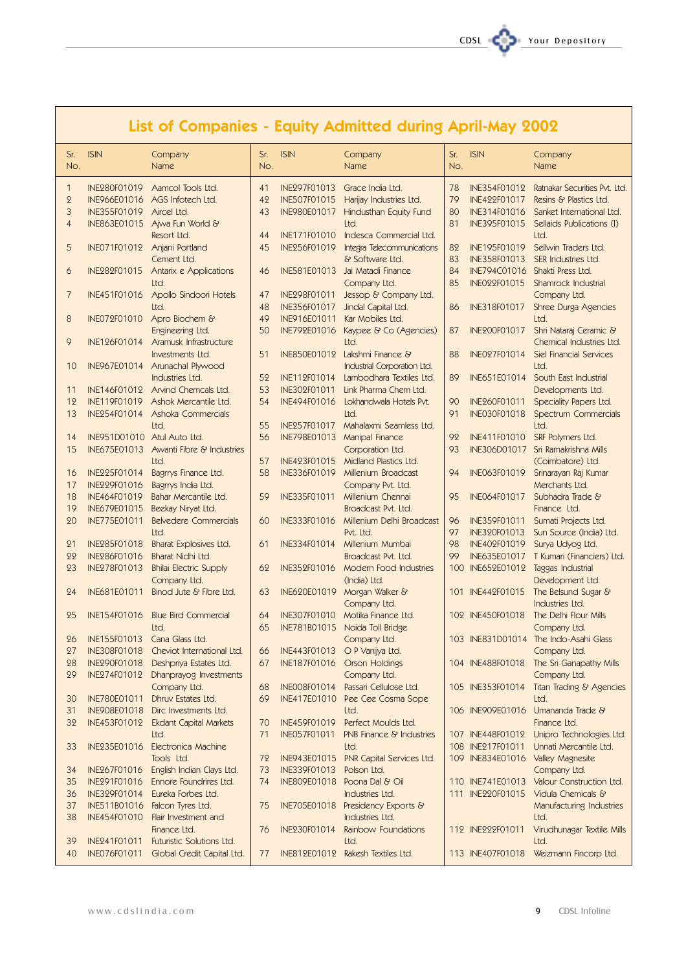|                | List of Companies - Equity Admitted during April-May 2002 |                                                      |            |                              |                                                               |            |                                      |                                                       |
|----------------|-----------------------------------------------------------|------------------------------------------------------|------------|------------------------------|---------------------------------------------------------------|------------|--------------------------------------|-------------------------------------------------------|
| Sr.<br>No.     | <b>ISIN</b>                                               | Company<br>Name                                      | Sr.<br>No. | <b>ISIN</b>                  | Company<br>Name                                               | Sr.<br>No. | <b>ISIN</b>                          | Company<br>Name                                       |
| $\mathbf{1}$   | INE280F01019                                              | Aamcol Tools Ltd.                                    | 41         | INE297F01013                 | Grace India Ltd.                                              | 78         | INE354F01012                         | Ratnakar Securities Pvt. Ltd.                         |
| $\mathbf{Q}$   |                                                           | INE966E01016 AGS Infotech Ltd.                       | 42         | INE507F01015                 | Harijay Industries Ltd.                                       | 79         | INE422F01017                         | Resins & Plastics Ltd.                                |
| 3              | INE355F01019 Aircel Ltd.                                  |                                                      | 43         | INE980E01017                 | <b>Hindusthan Equity Fund</b>                                 | 80         | INE314F01016                         | Sanket International Ltd.                             |
| $\overline{4}$ |                                                           | INE863E01015 Ajwa Fun World &                        |            |                              | Ltd.                                                          | 81         | INE395F01015                         | Sellaids Publications (I)                             |
|                |                                                           | Resort Ltd.                                          | 44         | INE171F01010                 | Indesca Commercial Ltd.                                       |            |                                      | Ltd.                                                  |
| 5              |                                                           | INE071F01012 Anjani Portland                         | 45         | INE256F01019                 | Integra Telecommunications                                    | 82         | INE195F01019                         | Sellwin Traders Ltd.                                  |
| 6              | INE282F01015                                              | Cement Ltd.<br><b>Antarix e Applications</b>         | 46         |                              | & Software Ltd.<br>INE581E01013 Jai Matadi Finance            | 83<br>84   | INE358F01013<br><b>INE794C01016</b>  | SER Industries Ltd.<br>Shakti Press Ltd.              |
|                |                                                           | Ltd.                                                 |            |                              | Company Ltd.                                                  | 85         | <b>INE022F01015</b>                  | Shamrock Industrial                                   |
| $\overline{7}$ | INE451F01016                                              | Apollo Sindoori Hotels                               | 47         | INE298F01011                 | Jessop & Company Ltd.                                         |            |                                      | Company Ltd.                                          |
|                |                                                           | Ltd.                                                 | 48         | INE356F01017                 | Jindal Capital Ltd.                                           | 86         | INE318F01017                         | Shree Durga Agencies                                  |
| 8              |                                                           | INE072F01010 Apro Biochem &                          | 49         | INE916E01011                 | Kar Mobiles Ltd.                                              |            |                                      | Ltd.                                                  |
|                |                                                           | Engineering Ltd.                                     | 50         | INE792E01016                 | Kaypee & Co (Agencies)                                        | 87         | INE200F01017                         | Shri Nataraj Ceramic &                                |
| 9              |                                                           | INE126F01014 Aramusk Infrastructure                  |            |                              | Ltd.                                                          |            |                                      | Chemical Industries Ltd.                              |
|                |                                                           | Investments Ltd.                                     | 51         |                              | INE850E01012 Lakshmi Finance &                                | 88         | INE027F01014                         | <b>Siel Financial Services</b>                        |
| 10             |                                                           | INE967E01014 Arunachal Plywood                       |            |                              | Industrial Corporation Ltd.                                   |            |                                      | Ltd.                                                  |
|                |                                                           | Industries Ltd.<br>INE146F01012 Arvind Chemcals Ltd. | 52<br>53   | INE112F01014<br>INE302F01011 | Lambodhara Textiles Ltd.<br>Link Pharma Chem Ltd.             | 89         | <b>INE651E01014</b>                  | South East Industrial<br>Developments Ltd.            |
| 11<br>12       | INE119F01019                                              | Ashok Mercantile Ltd.                                | 54         | INE494F01016                 | Lokhandwala Hotels Pvt.                                       | 90         | INE260F01011                         | Speciality Papers Ltd.                                |
| 13             |                                                           | INE254F01014 Ashoka Commercials                      |            |                              | Ltd.                                                          | 91         | <b>INE030F01018</b>                  | Spectrum Commercials                                  |
|                |                                                           | Ltd.                                                 | 55         | INE257F01017                 | Mahalaxmi Seamless Ltd.                                       |            |                                      | Ltd.                                                  |
| 14             | INE951D01010 Atul Auto Ltd.                               |                                                      | 56         |                              | INE798E01013 Manipal Finance                                  | 92         | INE411F01010                         | SRF Polymers Ltd.                                     |
| 15             |                                                           | INE675E01013 Awanti Fibre & Industries               |            |                              | Corporation Ltd.                                              | 93         | INE306D01017                         | Sri Ramakrishna Mills                                 |
|                |                                                           | Ltd.                                                 | 57         | INE423F01015                 | Midland Plastics Ltd.                                         |            |                                      | (Coimbatore) Ltd.                                     |
| 16             | INE225F01014                                              | Bagrrys Finance Ltd.                                 | 58         | INE336F01019                 | Millenium Broadcast                                           | 94         | INE063F01019                         | Srinarayan Raj Kumar                                  |
| 17             | INE229F01016                                              | Bagrrys India Ltd.                                   |            |                              | Company Pvt. Ltd.                                             |            |                                      | Merchants Ltd.                                        |
| 18             | INE464F01019                                              | Bahar Mercantile Ltd.                                | 59         | INE335F01011                 | Millenium Chennai                                             | 95         | <b>INE064F01017</b>                  | Subhadra Trade &                                      |
| 19<br>20       | INE679E01015<br><b>INE775E01011</b>                       | Beekay Niryat Ltd.<br><b>Belvedere Commercials</b>   | 60         |                              | Broadcast Pvt. Ltd.<br>INE333F01016 Millenium Delhi Broadcast | 96         | INE359F01011                         | Finance Ltd.<br>Sumati Projects Ltd.                  |
|                |                                                           | Ltd.                                                 |            |                              | Pvt. Ltd.                                                     | 97         | INE320F01013                         | Sun Source (India) Ltd.                               |
| 21             | INE285F01018                                              | <b>Bharat Explosives Ltd.</b>                        | 61         | INE334F01014                 | Millenium Mumbai                                              | 98         | INE402F01019                         | Surya Udyog Ltd.                                      |
| 22             | INE286F01016                                              | Bharat Nidhi Ltd.                                    |            |                              | Broadcast Pvt. Ltd.                                           | 99         | INE635E01017                         | T Kumari (Financiers) Ltd.                            |
| 23             | INE278F01013                                              | <b>Bhilai Electric Supply</b><br>Company Ltd.        | 62         |                              | INE352F01016 Modern Food Industries<br>(India) Ltd.           | 100        | INE652E01012                         | Taggas Industrial<br>Development Ltd.                 |
| 24             | INE681E01011                                              | Binod Jute & Fibre Ltd.                              | 63         |                              | INE620E01019 Morgan Walker &                                  |            | 101 INE442F01015                     | The Belsund Sugar &                                   |
|                |                                                           |                                                      |            |                              | Company Ltd.                                                  |            |                                      | Industries Ltd.                                       |
| 25             | INE154F01016                                              | <b>Blue Bird Commercial</b>                          | 64         |                              | INE307F01010 Motika Finance Ltd.                              |            | 102 INE450F01018                     | The Delhi Flour Mills                                 |
| 26             | INE155F01013                                              | Ltd.<br>Cana Glass Ltd.                              | 65         |                              | INE781B01015 Noida Toll Bridge<br>Company Ltd.                |            |                                      | Company Ltd.<br>103 INE831D01014 The Indo-Asahi Glass |
| 27             | <b>INE308F01018</b>                                       | Cheviot International Ltd.                           | 66         |                              | INE443F01013 O P Vanijya Ltd.                                 |            |                                      | Company Ltd.                                          |
| 28             | INE290F01018                                              | Deshpriya Estates Ltd.                               | 67         | INE187F01016                 | <b>Orson Holdings</b>                                         |            | 104 INE488F01018                     | The Sri Ganapathy Mills                               |
| 29             | INE274F01012                                              | Dhanprayog Investments                               |            |                              | Company Ltd.                                                  |            |                                      | Company Ltd.                                          |
|                |                                                           | Company Ltd.                                         | 68         |                              | INE008F01014 Passari Cellulose Ltd.                           |            | 105 INE353F01014                     | Titan Trading & Agencies                              |
| 30             | INE780E01011                                              | Dhruv Estates Ltd.                                   | 69         |                              | INE417E01010 Pee Cee Cosma Sope                               |            |                                      | Ltd.                                                  |
| 31             | <b>INE908E01018</b>                                       | Dirc Investments Ltd.                                |            |                              | Ltd.                                                          |            | 106 INE909E01016                     | Umananda Trade &                                      |
| 32             | INE453F01012                                              | <b>Ekdant Capital Markets</b>                        | 70         | INE459F01019                 | Perfect Moulds Ltd.                                           |            |                                      | Finance Ltd.                                          |
|                |                                                           | Ltd.                                                 | 71         | <b>INE057F01011</b>          | PNB Finance & Industries                                      |            | 107 INE448F01012                     | Unipro Technologies Ltd.                              |
| 33             | INE235E01016                                              | Electronica Machine<br>Tools Ltd.                    | 72         | INE943E01015                 | Ltd.<br>PNR Capital Services Ltd.                             |            | 108 INE217F01011<br>109 INE834E01016 | Unnati Mercantile Ltd.<br><b>Valley Magnesite</b>     |
| 34             | INE267F01016                                              | English Indian Clays Ltd.                            | 73         | INE339F01013                 | Polson Ltd.                                                   |            |                                      | Company Ltd.                                          |
| 35             | INE291F01016                                              | Ennore Foundrires Ltd.                               | 74         |                              | INE809E01018 Poona Dal & Oil                                  |            | 110 INE741E01013                     | Valour Construction Ltd.                              |
| 36             | INE329F01014                                              | Eureka Forbes Ltd.                                   |            |                              | Industries Ltd.                                               |            | 111 INE220F01015                     | Vidula Chemicals &                                    |
| 37             | INE511B01016                                              | Falcon Tyres Ltd.                                    | 75         |                              | INE705E01018 Presidency Exports &                             |            |                                      | Manufacturing Industries                              |
| 38             | INE454F01010                                              | Flair Investment and                                 |            |                              | Industries Ltd.                                               |            |                                      | Ltd.                                                  |
| 39             | INE241F01011                                              | Finance Ltd.<br>Futuristic Solutions Ltd.            | 76         | INE230F01014                 | Rainbow Foundations<br>Ltd.                                   |            | 112 INE222F01011                     | Virudhunagar Textile Mills<br>Ltd.                    |
| 40             | <b>INE076F01011</b>                                       | Global Credit Capital Ltd.                           | 77         |                              | INE812E01012 Rakesh Textiles Ltd.                             |            |                                      | 113 INE407F01018 Weizmann Fincorp Ltd.                |
|                |                                                           |                                                      |            |                              |                                                               |            |                                      |                                                       |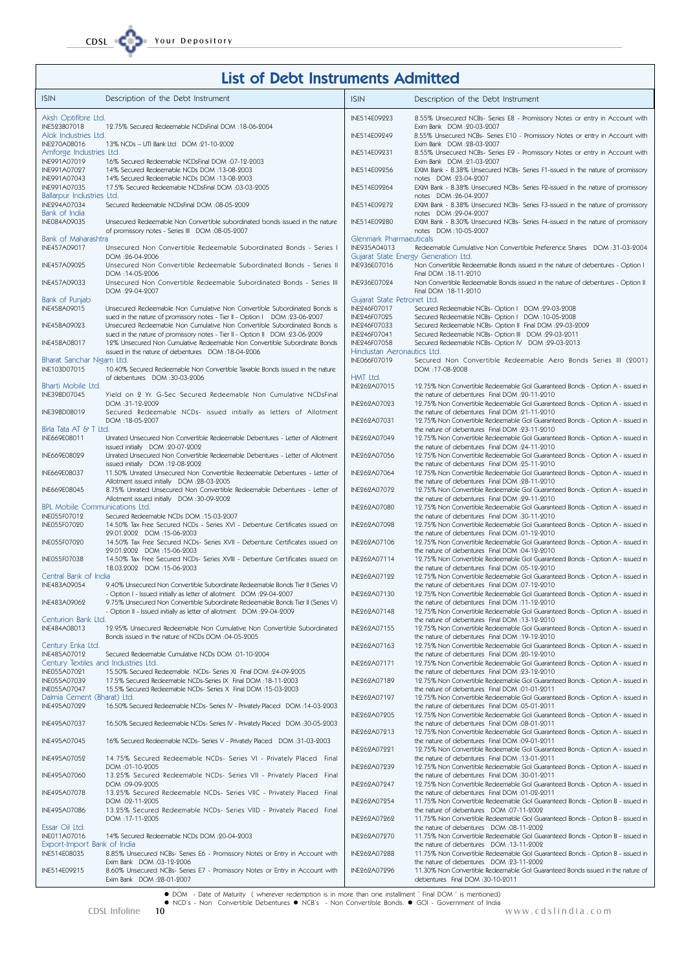| <b>List of Debt Instruments Admitted</b>              |                                                                                                                                                            |                                            |                                                                                                                                                                                                                   |  |  |  |
|-------------------------------------------------------|------------------------------------------------------------------------------------------------------------------------------------------------------------|--------------------------------------------|-------------------------------------------------------------------------------------------------------------------------------------------------------------------------------------------------------------------|--|--|--|
| <b>ISIN</b>                                           | Description of the Debt Instrument                                                                                                                         | <b>ISIN</b>                                | Description of the Debt Instrument                                                                                                                                                                                |  |  |  |
| Aksh Optifibre Ltd.<br>INE523B07018                   | 12.75% Secured Redeemable NCDsFinal DOM :18-06-2004                                                                                                        | INE514E09223                               | 8.55% Unsecured NCBs- Series E8 - Promissory Notes or entry in Account with<br>Exim Bank DOM : 20-03-2007                                                                                                         |  |  |  |
| Alok Industries Ltd.<br>INE270A08016                  | 13% NCDs - UTI Bank Ltd DOM : 21-10-2002                                                                                                                   | INE514E09249                               | 8.55% Unsecured NCBs- Series E10 - Promissory Notes or entry in Account with<br>Exim Bank DOM : 28-03-2007                                                                                                        |  |  |  |
| Amforge Industries Ltd.                               |                                                                                                                                                            | INE514E09231                               | 8.55% Unsecured NCBs- Series E9 - Promissory Notes or entry in Account with                                                                                                                                       |  |  |  |
| INE991A07019<br>INE991A07027                          | 16% Secured Redeemable NCDsFinal DOM :07-12-2003<br>14% Secured Redeemable NCDs DOM :13-08-2003                                                            | INE514E09256                               | Exim Bank DOM : 21-03-2007<br>EXIM Bank - 8.38% Unsecured NCBs- Series F1-issued in the nature of promissory                                                                                                      |  |  |  |
| INE991A07043<br>INE991A07035                          | 14% Secured Redeemable NCDs DOM :13-08-2003<br>17.5% Secured Redeemable NCDsFinal DOM :03-03-2005                                                          | INE514E09264                               | notes DOM : 23-04-2007<br>EXIM Bank - 8.38% Unsecured NCBs- Series F2-issued in the nature of promissory                                                                                                          |  |  |  |
| Ballarpur Industries Ltd.<br>INE294A07034             | Secured Redeemable NCDsFinal DOM :08-05-2009                                                                                                               | INE514E09272                               | notes DOM : 26-04-2007<br>EXIM Bank - 8.38% Unsecured NCBs- Series F3-issued in the nature of promissory                                                                                                          |  |  |  |
| Bank of India<br>INE084A09035                         | Unsecured Redeemable Non Convertible subordinated bonds issued in the nature                                                                               | INE514E09280                               | notes DOM : 29-04-2007<br>EXIM Bank - 8.30% Unsecured NCBs- Series F4-issued in the nature of promissory                                                                                                          |  |  |  |
| Bank of Maharashtra<br>INE457A09017                   | of promissory notes - Series III DOM :08-05-2007<br>Unsecured Non Convertible Redeemable Subordinated Bonds - Series I                                     | Glenmark Pharmaeuticals<br>INE935A04013    | notes DOM : 10-05-2007<br>Redeemable Cumulative Non Convertible Preference Shares DOM :31-03-2004                                                                                                                 |  |  |  |
|                                                       | DOM: 26-04-2006                                                                                                                                            |                                            | Gujarat State Energy Generation Ltd.                                                                                                                                                                              |  |  |  |
| INE457A09025                                          | Unsecured Non Convertible Redeemable Subordinated Bonds - Series II<br>DOM: 14-05-2006                                                                     | INE936E07016                               | Non Convertible Redeemable Bonds issued in the nature of debentures - Option I<br>Final DOM : 18-11-2010                                                                                                          |  |  |  |
| INE457A09033                                          | Unsecured Non Convertible Redeemable Subordinated Bonds - Series III<br>DOM : 29-04-2007                                                                   | INE936E07024                               | Non Convertible Redeemable Bonds issued in the nature of debentures - Option II<br>Final DOM : 18-11-2010                                                                                                         |  |  |  |
| Bank of Punjab                                        |                                                                                                                                                            | Gujarat State Petronet Ltd.                |                                                                                                                                                                                                                   |  |  |  |
| INE458A09015                                          | Unsecured Redeemable Non Cumulative Non Convertible Subordinated Bonds is<br>sued in the nature of promissory notes - Tier II - Option I DOM: 23-06-2007   | INE246F07017<br>INE246F07025               | Secured Redeemable NCBs- Option I DOM : 29-03-2008<br>Secured Redeemable NCBs- Option I DOM: 10-05-2008                                                                                                           |  |  |  |
| INE458A09023                                          | Unsecured Redeemable Non Cumulative Non Convertible Subordinated Bonds is<br>sued in the nature of promissory notes - Tier II - Option II DOM : 23-06-2009 | INE246F07033<br>INE246F07041               | Secured Redeemable NCBs- Option II Final DOM : 29-03-2009<br>Secured Redeemable NCBs- Option III DOM : 29-03-2011                                                                                                 |  |  |  |
| INE458A08017                                          | 12% Unsecured Non Cumulative Redeemable Non Convertible Subordinate Bonds                                                                                  | INE246F07058                               | Secured Redeemable NCBs- Option IV DOM : 29-03-2013                                                                                                                                                               |  |  |  |
| Bharat Sanchar Nigam Ltd.                             | issued in the nature of debentures DOM :18-04-2006                                                                                                         | Hindustan Aeronautics Ltd.<br>INE066F07019 | Secured Non Convertible Redeemable Aero Bonds Series III (2001)                                                                                                                                                   |  |  |  |
| INE103D07015                                          | 10.40% Secured Redeemable Non Convertible Taxable Bonds issued in the nature<br>of debentures DOM :30-03-2006                                              | HMT Ltd.                                   | DOM :17-08-2008                                                                                                                                                                                                   |  |  |  |
| Bharti Mobile Ltd.                                    |                                                                                                                                                            | INE262A07015                               | 12.75% Non Convertible Redeemable Gol Guaranteed Bonds - Option A - issued in                                                                                                                                     |  |  |  |
| INE398D07045                                          | Yield on 2 Yr. G-Sec Secured Redeemable Non Cumulative NCDsFinal<br>DOM:31-12-2009                                                                         | INE262A07023                               | the nature of debentures Final DOM : 20-11-2010<br>12.75% Non Convertible Redeemable Gol Guaranteed Bonds - Option A - issued in                                                                                  |  |  |  |
| INE398D08019                                          | Secured Redeemable NCDs- issued initially as letters of Allotment<br>DOM: 18-05-2007                                                                       | INE262A07031                               | the nature of debentures Final DOM : 21-11-2010<br>12.75% Non Convertible Redeemable Gol Guaranteed Bonds - Option A - issued in                                                                                  |  |  |  |
| Birla Tata AT & T Ltd.<br>INE669E08011                | Unrated Unsecured Non Convertible Redeemable Debentures - Letter of Allotment                                                                              | INE262A07049                               | the nature of debentures Final DOM : 23-11-2010<br>12.75% Non Convertible Redeemable Gol Guaranteed Bonds - Option A - issued in                                                                                  |  |  |  |
| INE669E08029                                          | issued initially DOM : 20-07-2002<br>Unrated Unsecured Non Convertible Redeemable Debentures - Letter of Allotment<br>issued initially DOM: 12-08-2002     | INE262A07056                               | the nature of debentures Final DOM : 24-11-2010<br>12.75% Non Convertible Redeemable Gol Guaranteed Bonds - Option A - issued in<br>the nature of debentures Final DOM : 25-11-2010                               |  |  |  |
| INE669E08037                                          | 11.50% Unrated Unsecured Non Convertible Redeemable Debentures - Letter of<br>Allotment issued initially DOM : 28-03-2005                                  | INE262A07064                               | 12.75% Non Convertible Redeemable Gol Guaranteed Bonds - Option A - issued in<br>the nature of debentures Final DOM : 28-11-2010                                                                                  |  |  |  |
| INE669E08045                                          | 8.75% Unrated Unsecured Non Convertible Redeemable Debentures - Letter of<br>Allotment issued initially DOM:30-09-2002                                     | INE262A07072                               | 12.75% Non Convertible Redeemable Gol Guaranteed Bonds - Option A - issued in<br>the nature of debentures Final DOM : 29-11-2010                                                                                  |  |  |  |
| <b>BPL Mobile Communications Ltd.</b><br>INE055F07012 | Secured Redeemable NCDs DOM :15-03-2007                                                                                                                    | INE262A07080                               | 12.75% Non Convertible Redeemable Gol Guaranteed Bonds - Option A - issued in<br>the nature of debentures Final DOM :30-11-2010                                                                                   |  |  |  |
| INE055F07020                                          | 14.50% Tax Free Secured NCDs - Series XVI - Debenture Certificates issued on<br>29.01.2002 DOM: 15-06-2003                                                 | INE262A07098                               | 12.75% Non Convertible Redeemable Gol Guaranteed Bonds - Option A - issued in<br>the nature of debentures Final DOM :01-12-2010                                                                                   |  |  |  |
| INE055F07020                                          | 14.50% Tax Free Secured NCDs- Series XVII - Debenture Certificates issued on<br>29.01.2002 DOM: 15-06-2003                                                 | INE262A07106                               | 12.75% Non Convertible Redeemable Gol Guaranteed Bonds - Option A - issued in<br>the nature of debentures Final DOM :04-12-2010                                                                                   |  |  |  |
| INE055F07038                                          | 14.50% Tax Free Secured NCDs- Series XVIII - Debenture Certificates issued on<br>18.03.2002 DOM: 15-06-2003                                                | INE262A07114                               | 12.75% Non Convertible Redeemable Gol Guaranteed Bonds - Option A - issued in<br>the nature of debentures Final DOM :05-12-2010                                                                                   |  |  |  |
| Central Bank of India<br>INE483A09054                 | 9.40% Unsecured Non Convertible Subordinate Redeemable Bonds Tier II (Series V)                                                                            | INE262A07122                               | 12.75% Non Convertible Redeemable Gol Guaranteed Bonds - Option A - issued in<br>the nature of debentures Final DOM :07-12-2010                                                                                   |  |  |  |
| INE483A09062                                          | - Option I - Issued initially as letter of allotment  DOM : 29-04-2007<br>9.75% Unsecured Non Convertible Subordinate Redeemable Bonds Tier II (Series V)  | INE262A07130                               | 12.75% Non Convertible Redeemable Gol Guaranteed Bonds - Option A - issued in<br>the nature of debentures Final DOM : 11-12-2010                                                                                  |  |  |  |
| Centurion Bank Ltd.<br>INE484A08013                   | - Option II - Issued initially as letter of allotment  DOM : 29-04-2009<br>12.95% Unsecured Redeemable Non Cumulative Non Convertible Subordinated         | INE262A07148<br>INE262A07155               | 12.75% Non Convertible Redeemable Gol Guaranteed Bonds - Option A - issued in<br>the nature of debentures Final DOM : 13-12-2010<br>12.75% Non Convertible Redeemable Gol Guaranteed Bonds - Option A - issued in |  |  |  |
| Century Enka Ltd.                                     | Bonds issued in the nature of NCDs DOM :04-05-2005                                                                                                         | INE262A07163                               | the nature of debentures Final DOM : 19-12-2010<br>12.75% Non Convertible Redeemable Gol Guaranteed Bonds - Option A - issued in                                                                                  |  |  |  |
| INE485A07012<br>Century Textiles and Industries Ltd.  | Secured Redeemable Cumulative NCDs DOM :01-10-2004                                                                                                         | INE262A07171                               | the nature of debentures Final DOM : 20-12-2010<br>12.75% Non Convertible Redeemable Gol Guaranteed Bonds - Option A - issued in                                                                                  |  |  |  |
| INE055A07021                                          | 15.50% Secured Redeemable NCDs- Series XI Final DOM : 24-09-2005                                                                                           |                                            | the nature of debentures Final DOM : 23-12-2010                                                                                                                                                                   |  |  |  |
| INE055A07039<br>INE055A07047                          | 17.5% Secured Redeemable NCDs-Series IX Final DOM : 18-11-2003<br>15-03-2003: 15.5% Secured Redeemable NCDs- Series X Final DOM                            | INE262A07189                               | 12.75% Non Convertible Redeemable Gol Guaranteed Bonds - Option A - issued in<br>the nature of debentures Final DOM :01-01-2011                                                                                   |  |  |  |
| Dalmia Cement (Bharat) Ltd.<br>INE495A07029           | 14-03-2003 16.50% Secured Redeemable NCDs- Series IV - Privately Placed DOM : 14-03-2003                                                                   | INE262A07197                               | 12.75% Non Convertible Redeemable Gol Guaranteed Bonds - Option A - issued in<br>the nature of debentures Final DOM :05-01-2011                                                                                   |  |  |  |
| INE495A07037                                          | 16.50% Secured Redeemable NCDs- Series IV - Privately Placed DOM :30-05-2003                                                                               | INE262A07205                               | 12.75% Non Convertible Redeemable Gol Guaranteed Bonds - Option A - issued in<br>the nature of debentures Final DOM :08-01-2011                                                                                   |  |  |  |
| INE495A07045                                          | 16% Secured Redeemable NCDs- Series V - Privately Placed DOM:31-03-2003                                                                                    | INE262A07213<br>INE262A07221               | 12.75% Non Convertible Redeemable Gol Guaranteed Bonds - Option A - issued in<br>the nature of debentures Final DOM :09-01-2011<br>12.75% Non Convertible Redeemable Gol Guaranteed Bonds - Option A - issued in  |  |  |  |
| INE495A07052                                          | 14.75% Secured Redeemable NCDs- Series VI - Privately Placed Final                                                                                         |                                            | the nature of debentures Final DOM : 13-01-2011                                                                                                                                                                   |  |  |  |
| INE495A07060                                          | DOM :01-10-2005<br>13.25% Secured Redeemable NCDs- Series VII - Privately Placed Final<br>DOM :09-09-2005                                                  | INE262A07239<br>INE262A07247               | 12.75% Non Convertible Redeemable Gol Guaranteed Bonds - Option A - issued in<br>the nature of debentures Final DOM :30-01-2011<br>12.75% Non Convertible Redeemable Gol Guaranteed Bonds - Option A - issued in  |  |  |  |
| INE495A07078                                          | 13.25% Secured Redeemable NCDs- Series VIIC - Privately Placed Final<br>DOM :02-11-2005                                                                    | INE262A07254                               | the nature of debentures Final DOM :01-02-2011<br>11.75% Non Convertible Redeemable Gol Guaranteed Bonds - Option B - issued in                                                                                   |  |  |  |
| INE495A07086                                          | 13.25% Secured Redeemable NCDs- Series VIID - Privately Placed Final                                                                                       |                                            | the nature of debentures DOM :07-11-2002                                                                                                                                                                          |  |  |  |
| Essar Oil Ltd.                                        | DOM: 17-11-2005                                                                                                                                            | INE262A07262                               | 11.75% Non Convertible Redeemable Gol Guaranteed Bonds - Option B - issued in<br>the nature of debentures DOM :08-11-2002                                                                                         |  |  |  |
| INE011A07016<br>Export-Import Bank of India           | 14% Secured Redeemable NCDs DOM : 20-04-2003                                                                                                               | INE262A07270                               | 11.75% Non Convertible Redeemable Gol Guaranteed Bonds - Option B - issued in<br>the nature of debentures DOM :13-11-2002                                                                                         |  |  |  |
| INE514E08035                                          | 8.85% Unsecured NCBs- Series E6 - Promissory Notes or Entry in Account with<br>Exim Bank DOM :03-12-2006                                                   | INE262A07288                               | 11.75% Non Convertible Redeemable Gol Guaranteed Bonds - Option B - issued in<br>the nature of debentures DOM : 23-11-2002                                                                                        |  |  |  |
| INE514E09215                                          | 8.60% Unsecured NCBs- Series E7 - Promissory Notes or Entry in Account with<br>Exim Bank DOM : 28-01-2007                                                  | INE262A07296                               | 11.30% Non Convertible Redeemable Gol Guaranteed Bonds issued in the nature of<br>debentures Final DOM :30-10-2011                                                                                                |  |  |  |

• DOM - Date of Maturity (wherever redemption is in more than one installment ' Final DOM ' is mentioned)<br>• NCD's - Non Convertible Debentures • NCB's - Non Convertible Bonds. • GOI - Government of India<br>• CDSL Infoline 10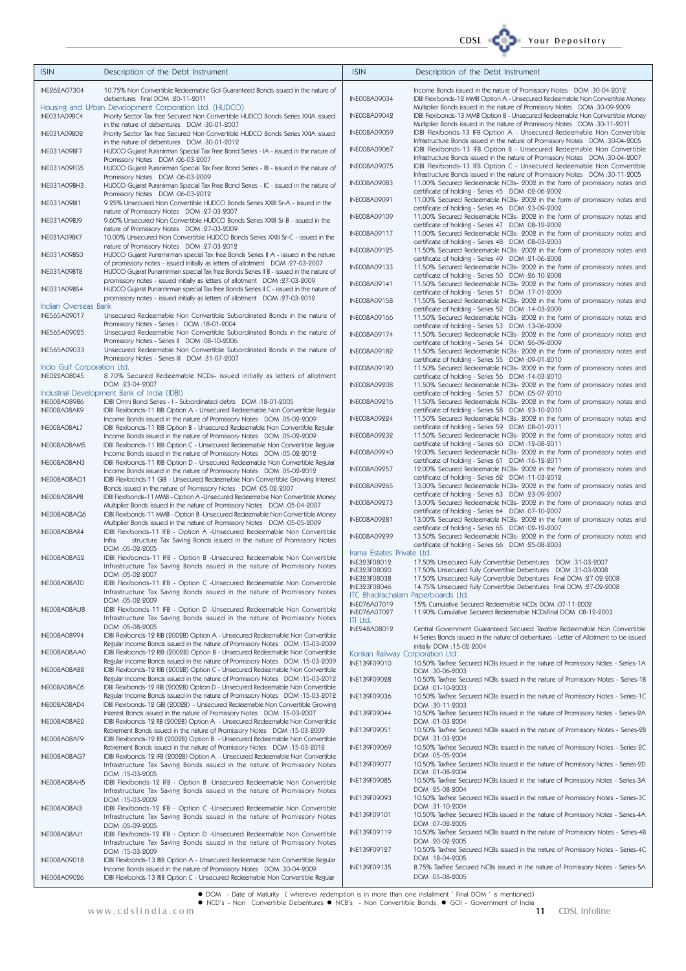

| <b>ISIN</b>                | Description of the Debt Instrument                                                                                                                                        | <b>ISIN</b>                                | Description of the Debt Instrument                                                                                                                                                    |
|----------------------------|---------------------------------------------------------------------------------------------------------------------------------------------------------------------------|--------------------------------------------|---------------------------------------------------------------------------------------------------------------------------------------------------------------------------------------|
| INE262A07304               | 10.75% Non Convertible Redeemable Gol Guaranteed Bonds issued in the nature of<br>debentures Final DOM : 20-11-2011                                                       | INE008A09034                               | Income Bonds issued in the nature of Promissory Notes DOM :30-04-2012<br>IDBI Flexibonds-12 MMB Option A - Unsecured Redeemable Non Convertible Money                                 |
|                            | Housing and Urban Development Corporation Ltd. (HUDCO)                                                                                                                    |                                            | Multiplier Bonds issued in the nature of Promissory Notes DOM :30-09-2009                                                                                                             |
| INE031A09BC4               | Priority Sector Tax free Secured Non Convertible HUDCO Bonds Series XXIA issued<br>in the nature of debentures DOM:30-01-2007                                             | INE008A09042                               | IDBI Flexibonds-13 MMB Option B - Unsecured Redeemable Non Convertible Money<br>Multiplier Bonds issued in the nature of Promissory Notes DOM:30-11-2011                              |
| INE031A09BD2               | Priority Sector Tax free Secured Non Convertible HUDCO Bonds Series XXIA issued<br>in the nature of debentures DOM:30-01-2012                                             | INE008A09059                               | IDBI Flexibonds-13 IFB Option A - Unsecured Redeemable Non Convertible<br>Infrastructure Bonds issued in the nature of Promissory Notes DOM:30-04-2005                                |
| INE031A09BF7               | HUDCO Gujarat Puranirman Special Tax Free Bond Series - IA - issued in the nature of<br>Promissory Notes DOM :06-03-2007                                                  | INE008A09067                               | IDBI Flexibonds-13 IFB Option B - Unsecured Redeemable Non Convertible<br>Infrastructure Bonds issued in the nature of Promissory Notes DOM:30-04-2007                                |
| INE031A09FG5               | HUDCO Gujarat Puranirman Special Tax Free Bond Series - IB - issued in the nature of<br>Promissory Notes DOM :06-03-2009                                                  | INE008A09075                               | IDBI Flexibonds-13 IFB Option C - Unsecured Redeemable Non Convertible<br>Infrastructure Bonds issued in the nature of Promissory Notes DOM:30-11-2005                                |
| INE031A09BH3               | HUDCO Gujarat Puranirman Special Tax Free Bond Series - IC - issued in the nature of                                                                                      | INE008A09083                               | 11.00% Secured Redeemable NCBs- 2002 in the form of promissory notes and<br>certificate of holding - Series 45 DOM :02-06-2002                                                        |
| <b>INE031A09BI1</b>        | Promissory Notes DOM :06-03-2012<br>9.25% Unsecured Non Convertible HUDCO Bonds Series XXIII Sr-A - issued in the                                                         | INE008A09091                               | 11.00% Secured Redeemable NCBs- 2002 in the form of promissory notes and                                                                                                              |
| INE031A09BJ9               | nature of Promissory Notes DOM : 27-03-2007<br>9.60% Unsecured Non Convertible HUDCO Bonds Series XXIII Sr-B - issued in the                                              | INE008A09109                               | certificate of holding - Series 46 DOM : 23-09-2002<br>11.00% Secured Redeemable NCBs- 2002 in the form of promissory notes and<br>certificate of holding - Series 47 DOM :08-12-2002 |
| INE031A09BK7               | nature of Promissory Notes DOM : 27-03-2009<br>10.00% Unsecured Non Convertible HUDCO Bonds Series XXIII Sr-C - issued in the                                             | INE008A09117                               | 11.00% Secured Redeemable NCBs- 2002 in the form of promissory notes and                                                                                                              |
| INE031A09BS0               | nature of Promissory Notes DOM : 27-03-2012<br>HUDCO Gujarat Punarnirman special Tax free Bonds Series II A - issued in the nature                                        | INE008A09125                               | certificate of holding - Series 48 DOM :08-03-2003<br>11.50% Secured Redeemable NCBs- 2002 in the form of promissory notes and                                                        |
| INE031A09BT8               | of promissory notes - issued initially as letters of allotment DOM : 27-03-2007<br>HUDCO Gujarat Punarnirman special Tax free Bonds Series II B - issued in the nature of | INE008A09133                               | certificate of holding - Series 49 DOM : 21-06-2008<br>11.50% Secured Redeemable NCBs- 2002 in the form of promissory notes and                                                       |
| INE031A09BS4               | promissory notes - issued initially as letters of allotment DOM : 27-03-2009<br>HUDCO Gujarat Punarnirman special Tax free Bonds Series II C - issued in the nature of    | INE008A09141                               | certificate of holding - Series 50 DOM : 26-10-2008<br>11.50% Secured Redeemable NCBs- 2002 in the form of promissory notes and                                                       |
| Indian Overseas Bank       | promissory notes - issued initially as letters of allotment DOM : 27-03-2012                                                                                              | INE008A09158                               | certificate of holding - Series 51 DOM: 17-01-2009<br>11.50% Secured Redeemable NCBs- 2002 in the form of promissory notes and                                                        |
| INE565A09017               | Unsecured Redeemable Non Convertible Subordinated Bonds in the nature of                                                                                                  | INE008A09166                               | certificate of holding - Series 52 DOM : 14-03-2009<br>11.50% Secured Redeemable NCBs- 2002 in the form of promissory notes and                                                       |
| INE565A09025               | Promissory Notes - Series I DOM : 18-01-2004<br>Unsecured Redeemable Non Convertible Subordinated Bonds in the nature of                                                  | INE008A09174                               | certificate of holding - Series 53 DOM :13-06-2009<br>11.50% Secured Redeemable NCBs- 2002 in the form of promissory notes and                                                        |
| INE565A09033               | Promissory Notes - Series II DOM :08-10-2006<br>Unsecured Redeemable Non Convertible Subordinated Bonds in the nature of                                                  | INE008A09182                               | certificate of holding - Series 54 DOM: 26-09-2009<br>11.50% Secured Redeemable NCBs- 2002 in the form of promissory notes and                                                        |
| Indo Gulf Corporation Ltd. | Promissory Notes - Series III DOM : 31-07-2007                                                                                                                            | INE008A09190                               | certificate of holding - Series 55 DOM :09-01-2010<br>11.50% Secured Redeemable NCBs- 2002 in the form of promissory notes and                                                        |
| INE022A08045               | 8.70% Secured Redeemable NCDs- issued initially as letters of allotment<br>DOM: 23-04-2007                                                                                | INE008A09208                               | certificate of holding - Series 56 DOM : 14-03-2010<br>11.50% Secured Redeemable NCBs- 2002 in the form of promissory notes and                                                       |
| INE008A08986               | Industrial Development Bank of India (IDBI)<br>IDBI Omni Bond Series - I - Subordinated debts DOM: 18-01-2005                                                             | INE008A09216                               | certificate of holding - Series 57 DOM :05-07-2010<br>11.50% Secured Redeemable NCBs- 2002 in the form of promissory notes and                                                        |
| INE008A08AK9               | IDBI Flexibonds-11 RIB Option A - Unsecured Redeemable Non Convertible Regular<br>Income Bonds issued in the nature of Promissory Notes DOM :05-02-2009                   | INE008A09224                               | certificate of holding - Series 58 DOM : 23-10-2010<br>11.50% Secured Redeemable NCBs- 2002 in the form of promissory notes and                                                       |
| INE008A08AL7               | IDBI Flexibonds-11 RIB Option B - Unsecured Redeemable Non Convertible Regular                                                                                            | INE008A09232                               | certificate of holding - Series 59 DOM :08-01-2011<br>11.50% Secured Redeemable NCBs- 2002 in the form of promissory notes and                                                        |
| INE008A08AM5               | Income Bonds issued in the nature of Promissory Notes DOM :05-02-2009<br>IDBI Flexibonds-11 RIB Option C - Unsecured Redeemable Non Convertible Regular                   | INE008A09240                               | certificate of holding - Series 60 DOM :12-08-2011<br>12.00% Secured Redeemable NCBs- 2002 in the form of promissory notes and                                                        |
| INE008A08AN3               | Income Bonds issued in the nature of Promissory Notes DOM :05-02-2012<br>IDBI Flexibonds-11 RIB Option D - Unsecured Redeemable Non Convertible Regular                   | INE008A09257                               | certificate of holding - Series 61 DOM : 16-12-2011<br>12.00% Secured Redeemable NCBs- 2002 in the form of promissory notes and                                                       |
| INE008A08AO1               | Income Bonds issued in the nature of Promissory Notes DOM :05-02-2012<br>IDBI Flexibonds-11 GIB - Unsecured Redeemable Non Convertible Growing Interest                   | INE008A09265                               | certificate of holding - Series 62 DOM :11-03-2012<br>13.00% Secured Redeemable NCBs- 2002 in the form of promissory notes and                                                        |
| INE008A08AP8               | Bonds issued in the nature of Promissory Notes DOM:05-02-2007<br>IDBI Flexibonds-11 MMB - Option A -Unsecured Redeemable Non Convertible Money                            |                                            | certificate of holding - Series 63 DOM : 23-09-2007                                                                                                                                   |
| INE008A08AQ6               | Multiplier Bonds issued in the nature of Promissory Notes DOM :05-04-2007<br>IDBI Flexibonds-11 MMB - Option B - Unsecured Redeemable Non Convertible Money               | INE008A09273                               | 13.00% Secured Redeemable NCBs- 2002 in the form of promissory notes and<br>certificate of holding - Series 64 DOM :07-10-2007                                                        |
| INE008A08AR4               | Multiplier Bonds issued in the nature of Promissory Notes DOM :05-05-2009<br>IDBI Flexibonds-11 IFB - Option A -Unsecured Redeemable Non Convertible                      | INE008A09281                               | 13.00% Secured Redeemable NCBs- 2002 in the form of promissory notes and<br>certificate of holding - Series 65 DOM :02-12-2007                                                        |
|                            | structure Tax Saving Bonds issued in the nature of Promissory Notes<br>Infra<br>DOM :05-02-2005                                                                           | INE008A09299                               | 13.50% Secured Redeemable NCBs- 2002 in the form of promissory notes and<br>certificate of holding - Series 66 DOM : 25-08-2003                                                       |
| INE008A08AS2               | IDBI Flexibonds-11 IFB - Option B -Unsecured Redeemable Non Convertible<br>Infrastructure Tax Saving Bonds issued in the nature of Promissory Notes                       | Irama Estates Private Ltd.<br>INE323F08012 | 17.50% Unsecured Fully Convertible Debentures  DOM :31-03-2007                                                                                                                        |
|                            | DOM :05-02-2007                                                                                                                                                           | INE323F08020<br>INE323F08038               | 17.50% Unsecured Fully Convertible Debentures  DOM :31-03-2008<br>17.50% Unsecured Fully Convertible Debentures Final DOM : 27-02-2008                                                |
| INE008A08AT0               | IDBI Flexibonds-11 IFB - Option C -Unsecured Redeemable Non Convertible<br>Infrastructure Tax Saving Bonds issued in the nature of Promissory Notes                       | INE323F08046                               | 14.75% Unsecured Fully Convertible Debentures Final DOM :27-02-2008<br>ITC Bhadrachalam Paperboards Ltd.                                                                              |
| INE008A08AU8               | DOM :05-02-2009<br>IDBI Flexibonds-11 IFB - Option D -Unsecured Redeemable Non Convertible                                                                                | INE076A07019<br>INE076A07027               | 15% Cumulative Secured Redeemable NCDs DOM :07-11-2002<br>11.90% Cumulative Secured Redeemable NCDsFinal DOM :08-12-2003                                                              |
|                            | Infrastructure Tax Saving Bonds issued in the nature of Promissory Notes<br>DOM:05-08-2005                                                                                | ITI Ltd.<br>INE248A08012                   | Central Government Guaranteed Secured Taxable Redeemable Non Convertible                                                                                                              |
| INE008A08994               | IDBI Flexibonds-12 RIB (2002B) Option A - Unsecured Redeemable Non Convertible<br>Regular Income Bonds issued in the nature of Promissory Notes DOM: 15-03-2009           |                                            | H Series Bonds issued in the nature of debentures - Letter of Allotment to be issued                                                                                                  |
| INE008A08AA0               | IDBI Flexibonds-12 RIB (2002B) Option B - Unsecured Redeemable Non Convertible                                                                                            | Konkan Railway Corporation Ltd.            | initially DOM : 15-02-2004                                                                                                                                                            |
| INE008A08AB8               | Regular Income Bonds issued in the nature of Promissory Notes DOM: 15-03-2009<br>IDBI Flexibonds-12 RIB (2002B) Option C - Unsecured Redeemable Non Convertible           | INE139F09010                               | 10.50% Taxfree Secured NCBs issued in the nature of Promissory Notes - Series-1A<br>DOM :30-06-2003                                                                                   |
| INE008A08AC6               | Regular Income Bonds issued in the nature of Promissory Notes DOM: 15-03-2012<br>IDBI Flexibonds-12 RIB (2002B) Option D - Unsecured Redeemable Non Convertible           | INE139F09028                               | 10.50% Taxfree Secured NCBs issued in the nature of Promissory Notes - Series-1B<br>DOM: 01-10-2003                                                                                   |
| INE008A08AD4               | Regular Income Bonds issued in the nature of Promissory Notes DOM: 15-03-2012<br>IDBI Flexibonds-12 GIB (2002B) - Unsecured Redeemable Non Convertible Growing            | INE139F09036                               | 10.50% Taxfree Secured NCBs issued in the nature of Promissory Notes - Series-1C<br>DOM:30-11-2003                                                                                    |
| INE008A08AE2               | Interest Bonds issued in the nature of Promissory Notes DOM : 15-03-2007<br>IDBI Flexibonds-12 RB (2002B) Option A - Unsecured Redeemable Non Convertible                 | INE139F09044                               | 10.50% Taxfree Secured NCBs issued in the nature of Promissory Notes - Series-2A<br>DOM :01-03-2004                                                                                   |
| INE008A08AF9               | Retirement Bonds issued in the nature of Promissory Notes DOM :15-03-2009<br>IDBI Flexibonds-12 RB (2002B) Option B - Unsecured Redeemable Non Convertible                | INE139F09051                               | 10.50% Taxfree Secured NCBs issued in the nature of Promissory Notes - Series-2B<br>DOM:31-03-2004                                                                                    |
|                            | Retirement Bonds issued in the nature of Promissory Notes DOM :15-03-2012                                                                                                 | INE139F09069                               | 10.50% Taxfree Secured NCBs issued in the nature of Promissory Notes - Series-2C<br>DOM :05-05-2004                                                                                   |
| INE008A08AG7               | IDBI Flexibonds-12 IFB (2002B) Option A - Unsecured Redeemable Non Convertible<br>Infrastructure Tax Saving Bonds issued in the nature of Promissory Notes                | INE139F09077                               | 10.50% Taxfree Secured NCBs issued in the nature of Promissory Notes - Series-2D<br>DOM :01-08-2004                                                                                   |
| INE008A08AH5               | DOM : 15-03-2005<br>IDBI Flexibonds-12 IFB - Option B -Unsecured Redeemable Non Convertible                                                                               | INE139F09085                               | 10.50% Taxfree Secured NCBs issued in the nature of Promissory Notes - Series-3A<br>DOM : 25-08-2004                                                                                  |
|                            | Infrastructure Tax Saving Bonds issued in the nature of Promissory Notes<br>DOM :15-03-2009                                                                               | INE139F09093                               | 10.50% Taxfree Secured NCBs issued in the nature of Promissory Notes - Series-3C                                                                                                      |
| INE008A08AI3               | IDBI Flexibonds-12 IFB - Option C -Unsecured Redeemable Non Convertible<br>Infrastructure Tax Saving Bonds issued in the nature of Promissory Notes                       | INE139F09101                               | DOM :31-10-2004<br>10.50% Taxfree Secured NCBs issued in the nature of Promissory Notes - Series-4A                                                                                   |
| INE008A08AJ1               | DOM :05-09-2005<br>IDBI Flexibonds-12 IFB - Option D -Unsecured Redeemable Non Convertible                                                                                | INE139F09119                               | DOM :07-02-2005<br>10.50% Taxfree Secured NCBs issued in the nature of Promissory Notes - Series-4B                                                                                   |
|                            | Infrastructure Tax Saving Bonds issued in the nature of Promissory Notes<br>DOM: 15-03-2009                                                                               | INE139F09127                               | DOM : 20-02-2005<br>10.50% Taxfree Secured NCBs issued in the nature of Promissory Notes - Series-4C                                                                                  |
| INE008A09018               | IDBI Flexibonds-13 RIB Option A - Unsecured Redeemable Non Convertible Regular<br>Income Bonds issued in the nature of Promissory Notes DOM :30-04-2009                   | INE139F09135                               | DOM : 18-04-2005<br>8.75% Taxfree Secured NCBs issued in the nature of Promissory Notes - Series-5A                                                                                   |
| INE008A09026               | IDBI Flexibonds-13 RIB Option C - Unsecured Redeemable Non Convertible Regular                                                                                            |                                            | DOM :05-08-2005                                                                                                                                                                       |
|                            | • DOM - Date of Maturity (wherever redemption is in more than one installment ' Final DOM ' is mentioned)                                                                 |                                            |                                                                                                                                                                                       |
|                            | • NCD's - Non Convertible Debentures • NCB's - Non Convertible Bonds. • GOI - Government of India<br>www.cdslindia.com                                                    |                                            | CDSL Infoline<br>11                                                                                                                                                                   |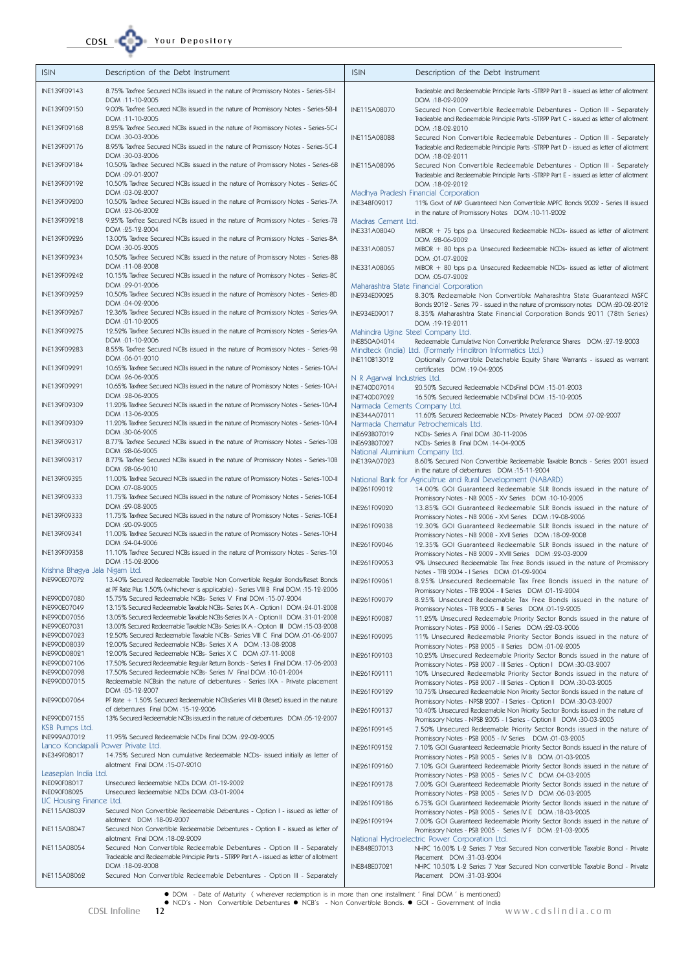CDSL COD Your Depository

| <b>ISIN</b>                                    | Description of the Debt Instrument                                                                                                                                                                             | <b>ISIN</b>                                     | Description of the Debt Instrument                                                                                                                          |
|------------------------------------------------|----------------------------------------------------------------------------------------------------------------------------------------------------------------------------------------------------------------|-------------------------------------------------|-------------------------------------------------------------------------------------------------------------------------------------------------------------|
| INE139F09143                                   | 8.75% Taxfree Secured NCBs issued in the nature of Promissory Notes - Series-5B-I                                                                                                                              |                                                 | Tradeable and Redeemable Principle Parts -STRPP Part B - issued as letter of allotment                                                                      |
| INE139F09150                                   | DOM :11-10-2005<br>9.00% Taxfree Secured NCBs issued in the nature of Promissory Notes - Series-5B-II                                                                                                          | INE115A08070                                    | DOM : 18-02-2009<br>Secured Non Convertible Redeemable Debentures - Option III - Separately                                                                 |
|                                                | DOM: 11-10-2005                                                                                                                                                                                                |                                                 | Tradeable and Redeemable Principle Parts -STRPP Part C - issued as letter of allotment                                                                      |
| INE139F09168                                   | 8.25% Taxfree Secured NCBs issued in the nature of Promissory Notes - Series-5C-I<br>DOM :30-03-2006                                                                                                           | INE115A08088                                    | DOM : 18-02-2010<br>Secured Non Convertible Redeemable Debentures - Option III - Separately                                                                 |
| INE139F09176                                   | 8.95% Taxfree Secured NCBs issued in the nature of Promissory Notes - Series-5C-II                                                                                                                             |                                                 | Tradeable and Redeemable Principle Parts -STRPP Part D - issued as letter of allotment                                                                      |
| INE139F09184                                   | DOM:30-03-2006<br>10.50% Taxfree Secured NCBs issued in the nature of Promissory Notes - Series-6B                                                                                                             | INE115A08096                                    | DOM : 18-02-2011<br>Secured Non Convertible Redeemable Debentures - Option III - Separately                                                                 |
| INE139F09192                                   | DOM :09-01-2007<br>10.50% Taxfree Secured NCBs issued in the nature of Promissory Notes - Series-6C                                                                                                            |                                                 | Tradeable and Redeemable Principle Parts -STRPP Part E - issued as letter of allotment                                                                      |
|                                                | DOM :03-02-2007                                                                                                                                                                                                |                                                 | DOM: 18-02-2012<br>Madhya Pradesh Financial Corporation                                                                                                     |
| INE139F09200                                   | 10.50% Taxfree Secured NCBs issued in the nature of Promissory Notes - Series-7A<br>DOM: 23-06-2002                                                                                                            | INE348F09017                                    | 11% Govt of MP Guaranteed Non Convertible MPFC Bonds 2002 - Series III issued<br>in the nature of Promissory Notes DOM :10-11-2002                          |
| INE139F09218                                   | 9.25% Taxfree Secured NCBs issued in the nature of Promissory Notes - Series-7B                                                                                                                                | Madras Cement Ltd.                              |                                                                                                                                                             |
| INE139F09226                                   | DOM : 25-12-2004<br>13.00% Taxfree Secured NCBs issued in the nature of Promissory Notes - Series-8A                                                                                                           | INE331A08040                                    | MIBOR + 75 bps p.a. Unsecured Redeemable NCDs- issued as letter of allotment<br>DOM : 28-06-2002                                                            |
|                                                | DOM:30-05-2005                                                                                                                                                                                                 | INE331A08057                                    | MIBOR + 80 bps p.a. Unsecured Redeemable NCDs- issued as letter of allotment                                                                                |
| INE139F09234                                   | 10.50% Taxfree Secured NCBs issued in the nature of Promissory Notes - Series-8B<br>DOM: 11-08-2008                                                                                                            | INE331A08065                                    | DOM :01-07-2002<br>MIBOR + 80 bps p.a. Unsecured Redeemable NCDs- issued as letter of allotment                                                             |
| INE139F09242                                   | 10.15% Taxfree Secured NCBs issued in the nature of Promissory Notes - Series-8C<br>DOM : 29-01-2006                                                                                                           |                                                 | DOM :05-07-2002<br>Maharashtra State Financial Corporation                                                                                                  |
| INE139F09259                                   | 10.50% Taxfree Secured NCBs issued in the nature of Promissory Notes - Series-8D                                                                                                                               | INE934E09025                                    | 8.30% Redeemable Non Convertible Maharashtra State Guaranteed MSFC                                                                                          |
| INE139F09267                                   | DOM :04-02-2006<br>12.36% Taxfree Secured NCBs issued in the nature of Promissory Notes - Series-9A                                                                                                            | INE934E09017                                    | Bonds 2012 - Series 79 - issued in the nature of promissory notes DOM: 20-02-2012<br>8.35% Maharashtra State Financial Corporation Bonds 2011 (78th Series) |
|                                                | DOM :01-10-9005                                                                                                                                                                                                |                                                 | DOM : 19-12-2011                                                                                                                                            |
| INE139F09275                                   | 12.52% Taxfree Secured NCBs issued in the nature of Promissory Notes - Series-9A<br>DOM :01-10-2006                                                                                                            | INE850A04014                                    | Mahindra Ugine Steel Company Ltd.<br>Redeemable Cumulative Non Convertible Preference Shares  DOM : 27-12-2003                                              |
| INE139F09283                                   | 8.55% Taxfree Secured NCBs issued in the nature of Promissory Notes - Series-9B<br>DOM :06-01-2010                                                                                                             | INE110B13012                                    | Mindteck (India) Ltd. (Formerly Hinditron Informatics Ltd.)                                                                                                 |
| INE139F09291                                   | 10.65% Taxfree Secured NCBs issued in the nature of Promissory Notes - Series-10A-I                                                                                                                            |                                                 | Optionally Convertible Detachable Equity Share Warrants - issued as warrant<br>certificates DOM : 19-04-2005                                                |
| INE139F09291                                   | DOM : 26-06-2005<br>10.65% Taxfree Secured NCBs issued in the nature of Promissory Notes - Series-10A-I                                                                                                        | N R Agarwal Industries Ltd.<br>INE740D07014     | 20.50% Secured Redeemable NCDsFinal DOM :15-01-2003                                                                                                         |
|                                                | DOM : 28-06-2005                                                                                                                                                                                               | INE740D07022                                    | 16.50% Secured Redeemable NCDsFinal DOM :15-10-2005                                                                                                         |
| INE139F09309                                   | 11.20% Taxfree Secured NCBs issued in the nature of Promissory Notes - Series-10A-II<br>DOM: 13-06-2005                                                                                                        | Narmada Cements Company Ltd.<br>INE344A07011    | 11.60% Secured Redeemable NCDs- Privately Placed DOM :07-02-2007                                                                                            |
| INE139F09309                                   | 11.20% Taxfree Secured NCBs issued in the nature of Promissory Notes - Series-10A-II                                                                                                                           |                                                 | Narmada Chematur Petrochemicals Ltd.                                                                                                                        |
| INE139F09317                                   | DOM :30-06-2005<br>8.77% Taxfree Secured NCBs issued in the nature of Promissory Notes - Series-10B                                                                                                            | INE693B07019<br>INE693B07027                    | NCDs- Series A Final DOM : 30-11-2006<br>NCDs- Series B Final DOM : 14-04-2005                                                                              |
| INE139F09317                                   | DOM : 28-06-2005<br>8.77% Taxfree Secured NCBs issued in the nature of Promissory Notes - Series-10B                                                                                                           | National Aluminium Company Ltd.<br>INE139A07023 | 8.60% Secured Non Convertible Redeemable Taxable Bonds - Series 2001 issued                                                                                 |
|                                                | DOM : 28-06-2010                                                                                                                                                                                               |                                                 | in the nature of debentures DOM :15-11-2004                                                                                                                 |
| INE139F09325                                   | 11.00% Taxfree Secured NCBs issued in the nature of Promissory Notes - Series-10D-II<br>DOM :07-08-2005                                                                                                        | INE261F09012                                    | National Bank for Agricultrue and Rural Development (NABARD)<br>14.00% GOI Guaranteed Redeemable SLR Bonds issued in the nature of                          |
| INE139F09333                                   | 11.75% Taxfree Secured NCBs issued in the nature of Promissory Notes - Series-10E-II<br>DOM : 29-08-2005                                                                                                       | INE261F09020                                    | Promissory Notes - NB 2005 - XV Series DOM : 10-10-2005<br>13.85% GOI Guaranteed Redeemable SLR Bonds issued in the nature of                               |
| INE139F09333                                   | 11.75% Taxfree Secured NCBs issued in the nature of Promissory Notes - Series-10E-II                                                                                                                           |                                                 | Promissory Notes - NB 2006 - XVI Series DOM : 19-08-2006                                                                                                    |
| INE139F09341                                   | DOM : 20-09-2005<br>11.00% Taxfree Secured NCBs issued in the nature of Promissory Notes - Series-10H-II                                                                                                       | INE261F09038                                    | 12.30% GOI Guaranteed Redeemable SLR Bonds issued in the nature of<br>Promissory Notes - NB 2008 - XVII Series DOM : 18-02-2008                             |
| INE139F09358                                   | DOM : 24-04-2006<br>11.10% Taxfree Secured NCBs issued in the nature of Promissory Notes - Series-10I                                                                                                          | INE261F09046                                    | 12.35% GOI Guaranteed Redeemable SLR Bonds issued in the nature of                                                                                          |
|                                                | DOM: 15-02-2006                                                                                                                                                                                                | INE261F09053                                    | Promissory Notes - NB 2009 - XVIII Series DOM : 22-03-2009<br>9% Unsecured Redeemable Tax Free Bonds issued in the nature of Promissory                     |
| Krishna Bhagya Jala Nigam Ltd.<br>INE990E07072 | 13.40% Secured Redeemable Taxable Non Convertible Regular Bonds/Reset Bonds                                                                                                                                    | INE261F09061                                    | Notes - TFB 2004 - I Series DOM: 01-02-2004<br>8.25% Unsecured Redeemable Tax Free Bonds issued in the nature of                                            |
|                                                | at PF Rate Plus 1.50% (whichever is applicable) - Series VIII B Final DOM : 15-12-2006                                                                                                                         |                                                 | Promissory Notes - TFB 2004 - Il Series DOM :01-12-2004                                                                                                     |
| INE990D07080<br>INE990E07049                   | 15.75% Secured Redeemable NCBs- Series V Final DOM : 15-07-2004<br>13.15% Secured Redeemable Taxable NCBs- Series IX A - Option I DOM : 24-01-2008                                                             | INE261F09079                                    | 8.25% Unsecured Redeemable Tax Free Bonds issued in the nature of<br>Promissory Notes - TFB 2005 - Ill Series DOM :01-12-2005                               |
| INE990D07056<br>INE990E07031                   | 13.05% Secured Redeemable Taxable NCBs-Series IX A - Option II DOM :31-01-2008<br>13.00% Secured Redeemable Taxable NCBs- Series IX A - Option III DOM:15-03-2008                                              | INE261F09087                                    | 11.25% Unsecured Redeemable Priority Sector Bonds issued in the nature of                                                                                   |
| INE990D07023                                   | 12.50% Secured Redeemable Taxable NCBs- Series VIII C Final DOM :01-06-2007                                                                                                                                    | INE261F09095                                    | Promissory Notes - PSB 2006 - I Series DOM : 22-03-2006<br>11% Unsecured Redeemable Priority Sector Bonds issued in the nature of                           |
| INE990D08039<br>INE990D08021                   | 12.00% Secured Redeemable NCBs- Series X A DOM: 13-08-2008<br>12.00% Secured Redeemable NCBs- Series X C DOM :07-11-2008                                                                                       | INE261F09103                                    | Promissory Notes - PSB 2005 - Il Series DOM :01-02-2005<br>10.25% Unsecured Redeemable Priority Sector Bonds issued in the nature of                        |
| INE990D07106                                   | 17-06-2003 -17.50% Secured Redeemable Regular Return Bonds - Series II Final DOM                                                                                                                               |                                                 | Promissory Notes - PSB 2007 - III Series - Option I DOM:30-03-2007                                                                                          |
| INE990D07098<br>INE990D07015                   | 17.50% Secured Redeemable NCBs- Series IV Final DOM : 10-01-2004<br>Redeemable NCBsin the nature of debentures - Series IXA - Private placement                                                                | INE261F09111                                    | 10% Unsecured Redeemable Priority Sector Bonds issued in the nature of<br>Promissory Notes - PSB 2007 - III Series - Option II DOM :30-03-2005              |
| INE990D07064                                   | DOM :05-12-2007<br>PF Rate + 1.50% Secured Redeemable NCBsSeries VIII B (Reset) issued in the nature                                                                                                           | INE261F09129                                    | 10.75% Unsecured Redeemable Non Priority Sector Bonds issued in the nature of                                                                               |
|                                                | of debentures Final DOM : 15-12-2006                                                                                                                                                                           | INE261F09137                                    | Promissory Notes - NPSB 2007 - I Series - Option I DOM :30-03-2007<br>10.40% Unsecured Redeemable Non Priority Sector Bonds issued in the nature of         |
| INE990D07155<br>KSB Pumps Ltd.                 | 13% Secured Redeemable NCBs issued in the nature of debentures DOM :05-12-2007                                                                                                                                 | INE261F09145                                    | Promissory Notes - NPSB 2005 - I Series - Option II DOM :30-03-2005<br>7.50% Unsecured Redeemable Priority Sector Bonds issued in the nature of             |
| INE999A07012                                   | 11.95% Secured Redeemable NCDs Final DOM : 22-02-2005                                                                                                                                                          |                                                 | Promissory Notes - PSB 2005 - IV Series DOM :01-03-2005                                                                                                     |
| INE349F08017                                   | Lanco Kondapalli Power Private Ltd.<br>14.75% Secured Non cumulative Redeemable NCDs- issued initially as letter of                                                                                            | INE261F09152                                    | 7.10% GOI Guaranteed Redeemable Priority Sector Bonds issued in the nature of<br>Promissory Notes - PSB 2005 - Series IV B DOM :01-03-2005                  |
| Leaseplan India Ltd.                           | allotment Final DOM : 15-07-2010                                                                                                                                                                               | INE261F09160                                    | 7.10% GOI Guaranteed Redeemable Priority Sector Bonds issued in the nature of                                                                               |
| INE090F08017                                   | Unsecured Redeemable NCDs DOM :01-12-2002                                                                                                                                                                      | INE261F09178                                    | Promissory Notes - PSB 2005 - Series IV C DOM :04-03-2005<br>7.00% GOI Guaranteed Redeemable Priority Sector Bonds issued in the nature of                  |
| INE090F08025<br>LIC Housing Finance Ltd.       | Unsecured Redeemable NCDs DOM :03-01-2004                                                                                                                                                                      | INE261F09186                                    | Promissory Notes - PSB 2005 - Series IV D DOM :06-03-2005<br>6.75% GOI Guaranteed Redeemable Priority Sector Bonds issued in the nature of                  |
| INE115A08039                                   | Secured Non Convertible Redeemable Debentures - Option I - issued as letter of                                                                                                                                 |                                                 | Promissory Notes - PSB 2005 - Series IV E DOM : 18-03-2005                                                                                                  |
| INE115A08047                                   | allotment DOM: 18-02-2007<br>Secured Non Convertible Redeemable Debentures - Option II - issued as letter of                                                                                                   | INE261F09194                                    | 7.00% GOI Guaranteed Redeemable Priority Sector Bonds issued in the nature of<br>Promissory Notes - PSB 2005 - Series IV F DOM :21-03-2005                  |
| INE115A08054                                   | allotment Final DOM : 18-02-2009<br>Secured Non Convertible Redeemable Debentures - Option III - Separately                                                                                                    |                                                 | National Hydroelectric Power Corporation Ltd.                                                                                                               |
|                                                | Tradeable and Redeemable Principle Parts - STRPP Part A - issued as letter of allotment                                                                                                                        | INE848E07013                                    | NHPC 16.00% L-2 Series 7 Year Secured Non convertible Taxable Bond - Private<br>Placement DOM : 31-03-2004                                                  |
| INE115A08062                                   | DOM: 18-02-2008<br>Secured Non Convertible Redeemable Debentures - Option III - Separately                                                                                                                     | INE848E07021                                    | NHPC 10.50% L-2 Series 7 Year Secured Non convertible Taxable Bond - Private<br>Placement DOM : 31-03-2004                                                  |
|                                                |                                                                                                                                                                                                                |                                                 |                                                                                                                                                             |
|                                                | • DOM - Date of Maturity (wherever redemption is in more than one installment ' Final DOM ' is mentioned)<br>• NCD's - Non Convertible Debentures • NCB's - Non Convertible Bonds. • GOI - Government of India |                                                 |                                                                                                                                                             |
|                                                | CDSL Infoline<br>12                                                                                                                                                                                            |                                                 | www.cdslindia.com                                                                                                                                           |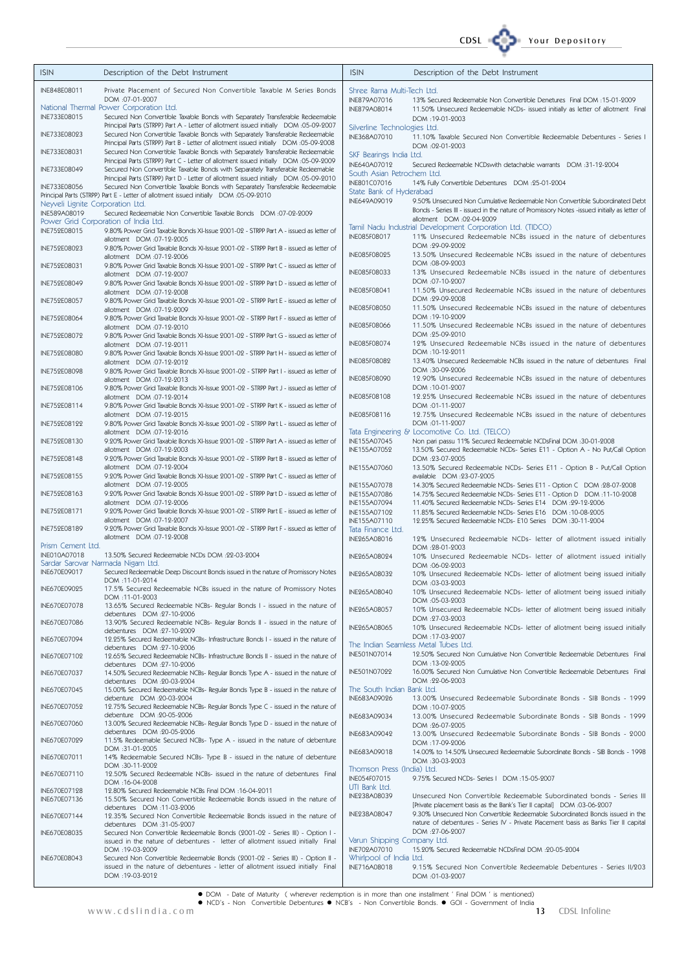# CDSL COD Your Depository

| <b>ISIN</b>                       | Description of the Debt Instrument                                                                                                                                                                                                                      | <b>ISIN</b>                                | Description of the Debt Instrument                                                                                                                                          |
|-----------------------------------|---------------------------------------------------------------------------------------------------------------------------------------------------------------------------------------------------------------------------------------------------------|--------------------------------------------|-----------------------------------------------------------------------------------------------------------------------------------------------------------------------------|
| INE848E08011                      |                                                                                                                                                                                                                                                         | Shree Rama Multi-Tech Ltd.                 |                                                                                                                                                                             |
|                                   | Private Placement of Secured Non Convertible Taxable M Series Bonds<br>DOM: 07-01-2007                                                                                                                                                                  | INE879A07016                               | 13% Secured Redeemable Non Convertible Denetures Final DOM : 15-01-2009                                                                                                     |
| INE733E08015                      | National Thermal Power Corporation Ltd.<br>Secured Non Convertible Taxable Bonds with Separately Transferable Redeemable                                                                                                                                | INE879A08014                               | 11.50% Unsecured Redeemable NCDs- issued initially as letter of allotment Final<br>DOM: 19-01-2003                                                                          |
|                                   | Principal Parts (STRPP) Part A - Letter of allotment issued initially DOM :05-09-2007                                                                                                                                                                   | Silverline Technologies Ltd.               |                                                                                                                                                                             |
| INE733E08023                      | Secured Non Convertible Taxable Bonds with Separately Transferable Redeemable<br>Principal Parts (STRPP) Part B - Letter of allotment issued initially DOM :05-09-2008                                                                                  | INE368A07010                               | 11.10% Taxable Secured Non Convertible Redeemable Debentures - Series I<br>DOM: 02-01-2003                                                                                  |
| INE733E08031<br>INE733E08049      | Secured Non Convertible Taxable Bonds with Separately Transferable Redeemable<br>Principal Parts (STRPP) Part C - Letter of allotment issued initially DOM :05-09-2009<br>Secured Non Convertible Taxable Bonds with Separately Transferable Redeemable | SKF Bearings India Ltd.<br>INE640A07012    | Secured Redeemable NCDswith detachable warrants DOM :31-12-2004                                                                                                             |
|                                   | Principal Parts (STRPP) Part D - Letter of allotment issued initially DOM :05-09-2010                                                                                                                                                                   | South Asian Petrochem Ltd.<br>INE801C07016 | 14% Fully Convertible Debentures  DOM : 25-01-2004                                                                                                                          |
| INE733E08056                      | Secured Non Convertible Taxable Bonds with Separately Transferable Redeemable<br>Principal Parts (STRPP) Part E - Letter of allotment issued initially DOM :05-09-2010                                                                                  | State Bank of Hyderabad                    |                                                                                                                                                                             |
| Neyveli Lignite Corporation Ltd.  |                                                                                                                                                                                                                                                         | INE649A09019                               | 9.50% Unsecured Non Cumulative Redeemable Non Convertible Subordinated Debt<br>Bonds - Series III - issued in the nature of Promissory Notes -issued initially as letter of |
| INE589A08019                      | Secured Redeemable Non Convertible Taxable Bonds DOM :07-02-2009<br>Power Grid Corporation of India Ltd.                                                                                                                                                |                                            | allotment DOM :02-04-2009                                                                                                                                                   |
| INE752E08015                      | 9.80% Power Grid Taxable Bonds XI-Issue 2001-02 - STRPP Part A - issued as letter of<br>allotment DOM :07-12-2005                                                                                                                                       | INE085F08017                               | Tamil Nadu Industrial Development Corporation Ltd. (TIDCO)<br>11% Unsecured Redeemable NCBs issued in the nature of debentures                                              |
| INE752E08023                      | 9.80% Power Grid Taxable Bonds XI-Issue 2001-02 - STRPP Part B - issued as letter of<br>allotment DOM :07-12-2006                                                                                                                                       | INE085F08025                               | DOM: 29-09-2002<br>13.50% Unsecured Redeemable NCBs issued in the nature of debentures                                                                                      |
| INE752E08031                      | 9.80% Power Grid Taxable Bonds XI-Issue 2001-02 - STRPP Part C - issued as letter of<br>allotment DOM :07-12-2007                                                                                                                                       | INE085F08033                               | DOM:08-09-2003<br>13% Unsecured Redeemable NCBs issued in the nature of debentures                                                                                          |
| INE752E08049                      | 9.80% Power Grid Taxable Bonds XI-Issue 2001-02 - STRPP Part D - issued as letter of                                                                                                                                                                    | INE085F08041                               | DOM :07-10-2007<br>11.50% Unsecured Redeemable NCBs issued in the nature of debentures                                                                                      |
| INE752E08057                      | allotment DOM :07-12-2008<br>9.80% Power Grid Taxable Bonds XI-Issue 2001-02 - STRPP Part E - issued as letter of                                                                                                                                       |                                            | DOM : 29-09-2008<br>11.50% Unsecured Redeemable NCBs issued in the nature of debentures                                                                                     |
| INE752E08064                      | allotment DOM :07-12-2009<br>9.80% Power Grid Taxable Bonds XI-Issue 2001-02 - STRPP Part F - issued as letter of                                                                                                                                       | INE085F08050                               | DOM: 19-10-2009                                                                                                                                                             |
| INE752E08072                      | allotment DOM :07-12-2010<br>9.80% Power Grid Taxable Bonds XI-Issue 2001-02 - STRPP Part G - issued as letter of                                                                                                                                       | INE085F08066                               | 11.50% Unsecured Redeemable NCBs issued in the nature of debentures<br>DOM: 25-09-2010                                                                                      |
| INE752E08080                      | allotment DOM:07-12-2011<br>9.80% Power Grid Taxable Bonds XI-Issue 2001-02 - STRPP Part H - issued as letter of                                                                                                                                        | INE085F08074                               | 12% Unsecured Redeemable NCBs issued in the nature of debentures<br>DOM: 10-12-2011                                                                                         |
| INE752E08098                      | allotment DOM :07-12-2012<br>9.80% Power Grid Taxable Bonds XI-Issue 2001-02 - STRPP Part I - issued as letter of                                                                                                                                       | INE085F08082                               | 13.40% Unsecured Redeemable NCBs issued in the nature of debentures Final<br>DOM :30-09-2006                                                                                |
| INE752E08106                      | allotment DOM: 07-12-2013<br>9.80% Power Grid Taxable Bonds XI-Issue 2001-02 - STRPP Part J - issued as letter of                                                                                                                                       | INE085F08090                               | 12,90% Unsecured Redeemable NCBs issued in the nature of debentures<br>DOM: 10-01-2007                                                                                      |
| INE752E08114                      | allotment DOM :07-12-2014<br>9.80% Power Grid Taxable Bonds XI-Issue 2001-02 - STRPP Part K - issued as letter of                                                                                                                                       | INE085F08108                               | 12.25% Unsecured Redeemable NCBs issued in the nature of debentures<br>DOM :01-11-2007                                                                                      |
| INE752E08122                      | allotment DOM :07-12-2015<br>9.80% Power Grid Taxable Bonds XI-Issue 2001-02 - STRPP Part L - issued as letter of                                                                                                                                       | INE085F08116                               | 12.75% Unsecured Redeemable NCBs issued in the nature of debentures<br>DOM :01-11-2007                                                                                      |
|                                   | allotment DOM :07-12-2016                                                                                                                                                                                                                               |                                            | Tata Engineering & Locomotive Co. Ltd. (TELCO)                                                                                                                              |
| INE752E08130                      | 9.20% Power Grid Taxable Bonds XI-Issue 2001-02 - STRPP Part A - issued as letter of<br>allotment DOM :07-12-2003                                                                                                                                       | INE155A07045<br>INE155A07052               | Non pari passu 11% Secured Redeemable NCDsFinal DOM :30-01-2008<br>13.50% Secured Redeemable NCDs- Series E11 - Option A - No Put/Call Option                               |
| INE752E08148                      | 9.20% Power Grid Taxable Bonds XI-Issue 2001-02 - STRPP Part B - issued as letter of<br>allotment DOM :07-12-2004                                                                                                                                       | INE155A07060                               | DOM : 23-07-2005<br>13.50% Secured Redeemable NCDs- Series E11 - Option B - Put/Call Option                                                                                 |
| INE752E08155                      | 9.20% Power Grid Taxable Bonds XI-Issue 2001-02 - STRPP Part C - issued as letter of<br>allotment DOM :07-12-2005                                                                                                                                       | INE155A07078                               | available DOM : 23-07-2005<br>14.30% Secured Redeemable NCDs- Series E11 - Option C DOM : 28-07-2008                                                                        |
| INE752E08163                      | 9.20% Power Grid Taxable Bonds XI-Issue 2001-02 - STRPP Part D - issued as letter of<br>allotment DOM :07-12-2006                                                                                                                                       | INE155A07086<br>INE155A07094               | 14.75% Secured Redeemable NCDs- Series E11 - Option D DOM: 11-10-2008<br>11.40% Secured Redeemable NCDs- Series E14 DOM : 29-12-2006                                        |
| INE752E08171                      | 9.20% Power Grid Taxable Bonds XI-Issue 2001-02 - STRPP Part E - issued as letter of<br>allotment DOM :07-12-2007                                                                                                                                       | INE155A07102<br>INF155A07110               | 11.85% Secured Redeemable NCDs- Series E16 DOM:10-08-2005<br>12.25% Secured Redeemable NCDs- E10 Series DOM :30-11-2004                                                     |
| INE752E08189                      | 9.20% Power Grid Taxable Bonds XI-Issue 2001-02 - STRPP Part F - issued as letter of<br>allotment DOM :07-12-2008                                                                                                                                       | Tata Finance Ltd.<br>INE265A08016          | 12% Unsecured Redeemable NCDs- letter of allotment issued initially                                                                                                         |
| Prism Cement Ltd.<br>INE010A07018 | 13.50% Secured Redeemable NCDs DOM : 22-03-2004                                                                                                                                                                                                         |                                            | DOM: 28-01-2003                                                                                                                                                             |
| Sardar Sarovar Narmada Nigam Ltd. |                                                                                                                                                                                                                                                         | INE265A08024                               | 10% Unsecured Redeemable NCDs- letter of allotment issued initially<br>DOM : 06-02-2003                                                                                     |
| INE670E09017                      | Secured Redeemable Deep Discount Bonds issued in the nature of Promissory Notes<br>DOM :11-01-2014                                                                                                                                                      | INE265A08032                               | 10% Unsecured Redeemable NCDs- letter of allotment being issued initially<br>DOM :03-03-2003                                                                                |
| INE670E09025                      | 17.5% Secured Redeemable NCBs issued in the nature of Promissory Notes<br>DOM : 11-01-2003                                                                                                                                                              | INE265A08040                               | 10% Unsecured Redeemable NCDs- letter of allotment being issued initially<br>DOM : 05-03-2003                                                                               |
| INE670E07078                      | 13.65% Secured Redeemable NCBs- Regular Bonds I - issued in the nature of<br>debentures DOM : 27-10-2006                                                                                                                                                | INE265A08057                               | 10% Unsecured Redeemable NCDs- letter of allotment being issued initially                                                                                                   |
| <b>INE670E07086</b>               | 13.90% Secured Redeemable NCBs- Regular Bonds II - issued in the nature of<br>debentures DOM : 27-10-2009                                                                                                                                               | INE265A08065                               | DOM: 27-03-2003<br>10% Unsecured Redeemable NCDs- letter of allotment being issued initially                                                                                |
| INE670E07094                      | 12.25% Secured Redeemable NCBs- Infrastructure Bonds I - issued in the nature of<br>debentures DOM : 27-10-2006                                                                                                                                         |                                            | DOM :17-03-2007<br>The Indian Seamless Metal Tubes Ltd.                                                                                                                     |
| INE670E07102                      | 12.65% Secured Redeemable NCBs- Infrastructure Bonds II - issued in the nature of<br>debentures DOM : 27-10-2006                                                                                                                                        | INE501N07014                               | 12.50% Secured Non Cumulative Non Convertible Redeemable Debentures Final<br>DOM :13-02-2005                                                                                |
| INE670E07037                      | 14.50% Secured Redeemable NCBs-Regular Bonds Type A - issued in the nature of<br>debentures DOM: 20-03-2004                                                                                                                                             | INE501N07022                               | 16.00% Secured Non Cumulative Non Convertible Redeemable Debentures Final<br>DOM : 22-06-2003                                                                               |
| INE670E07045                      | 15.00% Secured Redeemable NCBs- Regular Bonds Type B - issued in the nature of<br>debenture DOM : 20-03-2004                                                                                                                                            | The South Indian Bank Ltd.<br>INE683A09026 | 13.00% Unsecured Redeemable Subordinate Bonds - SIB Bonds - 1999                                                                                                            |
| INE670E07052                      | 12.75% Secured Redeemable NCBs- Regular Bonds Type C - issued in the nature of<br>debenture DOM : 20-05-2006                                                                                                                                            |                                            | DOM : 10-07-2005                                                                                                                                                            |
| INE670E07060                      | 13.00% Secured Redeemable NCBs- Regular Bonds Type D - issued in the nature of<br>debentures DOM : 20-05-2006                                                                                                                                           | INE683A09034                               | 13.00% Unsecured Redeemable Subordinate Bonds - SIB Bonds - 1999<br>DOM : 26-07-2005                                                                                        |
| INE670E07029                      | 11.5% Redeemable Secured NCBs- Type A - issued in the nature of debenture                                                                                                                                                                               | INE683A09042                               | 13.00% Unsecured Redeemable Subordinate Bonds - SIB Bonds - 2000<br>DOM :17-09-2006                                                                                         |
| INE670E07011                      | DOM :31-01-2005<br>14% Redeemable Secured NCBs- Type B - issued in the nature of debenture<br>DOM : 30-11-2002                                                                                                                                          | INE683A09018                               | 14.00% to 14.50% Unsecured Redeemable Subordinate Bonds - SIB Bonds - 1998<br>DOM :30-03-2003                                                                               |
| INE670E07110                      | 12.50% Secured Redeemable NCBs- issued in the nature of debentures Final                                                                                                                                                                                | Thomson Press (India) Ltd.<br>INE054F07015 | 9.75% Secured NCDs- Series   DOM :15-05-2007                                                                                                                                |
| INE670E07128                      | DOM : 16-04-2008<br>12.80% Secured Redeemable NCBs Final DOM : 16-04-2011                                                                                                                                                                               | UTI Bank Ltd.<br>INE238A08039              | Unsecured Non Convertible Redeemable Subordinated bonds - Series III                                                                                                        |
| INE670E07136                      | 15.50% Secured Non Convertible Redeemable Bonds issued in the nature of<br>debentures DOM: 11-03-2006                                                                                                                                                   | INE238A08047                               | [Private placement basis as the Bank's Tier II capital] DOM :03-06-2007<br>9.30% Unsecured Non Convertible Redeemable Subordinated Bonds issued in the                      |
| INE670E07144                      | 12.35% Secured Non Convertible Redeemable Bonds issued in the nature of<br>debentures DOM:31-05-2007                                                                                                                                                    |                                            | nature of debentures - Series IV - Private Placement basis as Banks Tier II capital                                                                                         |
| INE670E08035                      | Secured Non Convertible Redeemable Bonds (2001-02 - Series III) - Option I -<br>issued in the nature of debentures - letter of allotment issued initially Final                                                                                         | Varun Shipping Company Ltd.                | DOM : 27-06-2007                                                                                                                                                            |
| INE670E08043                      | DOM : 19-03-2009<br>Secured Non Convertible Redeemable Bonds (2001-02 - Series III) - Option II -                                                                                                                                                       | INE702A07010<br>Whirlpool of India Ltd.    | 15.20% Secured Redeemable NCDsFinal DOM :20-05-2004                                                                                                                         |
|                                   | issued in the nature of debentures - letter of allotment issued initially Final<br>DOM : 19-03-2012                                                                                                                                                     | INE716A08018                               | 9.15% Secured Non Convertible Redeemable Debentures - Series II/203<br>DOM :01-03-2007                                                                                      |
|                                   |                                                                                                                                                                                                                                                         |                                            |                                                                                                                                                                             |
|                                   | • DOM - Date of Maturity (wherever redemption is in more than one installment ' Final DOM ' is mentioned)<br>• NCD's - Non Convertible Debentures • NCB's - Non Convertible Bonds. • GOI - Government of India                                          |                                            |                                                                                                                                                                             |
|                                   | www.cdslindia.com                                                                                                                                                                                                                                       |                                            | CDSL Infoline<br>13                                                                                                                                                         |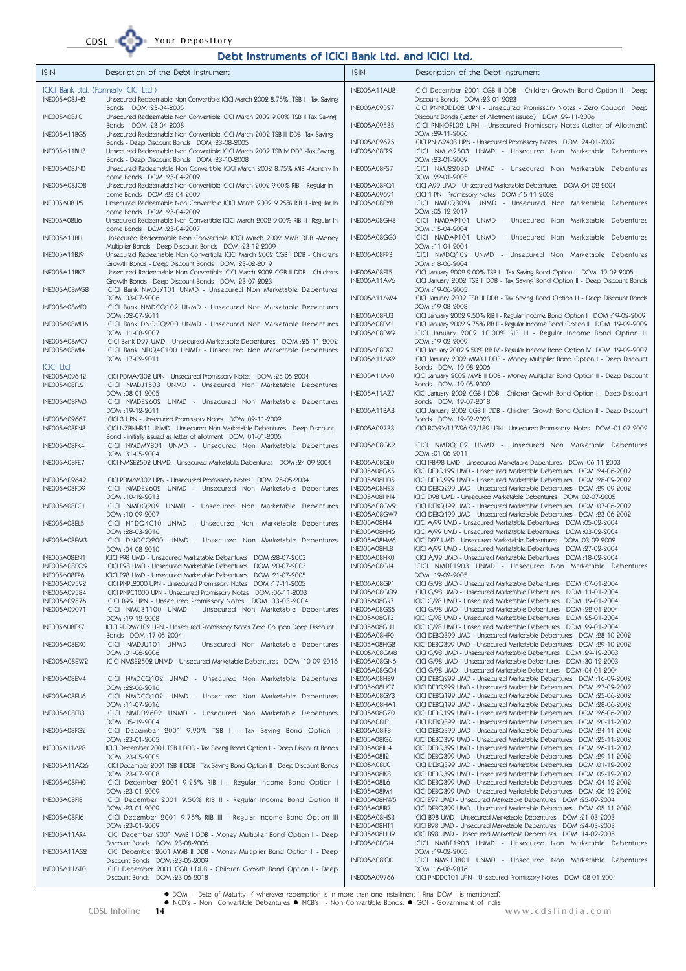# CDSL CODI Your Depository

# Debt Instruments of ICICI Bank Ltd. and ICICI Ltd.

| <b>ISIN</b>                                                                                                                                   | Description of the Debt Instrument                                                                                                                                                                       | <b>ISIN</b>                         | Description of the Debt Instrument                                                                                                           |
|-----------------------------------------------------------------------------------------------------------------------------------------------|----------------------------------------------------------------------------------------------------------------------------------------------------------------------------------------------------------|-------------------------------------|----------------------------------------------------------------------------------------------------------------------------------------------|
| INE005A08JH2                                                                                                                                  | ICICI Bank Ltd. (Formerly ICICI Ltd.)<br>Unsecured Redeemable Non Convertible ICICI March 2002 8.75% TSB I - Tax Saving                                                                                  | INE005A11AU8                        | ICICI December 2001 CGB II DDB - Children Growth Bond Option II - Deep<br>Discount Bonds DOM : 23-01-2023                                    |
| INE005A08JI0                                                                                                                                  | Bonds DOM : 23-04-2005<br>Unsecured Redeemable Non Convertible ICICI March 2002 9.00% TSB II Tax Saving                                                                                                  | INE005A09527                        | ICICI PNNODD02 UPN - Unsecured Promissory Notes - Zero Coupon Deep<br>Discount Bonds (Letter of Allotment issued) DOM : 29-11-2006           |
| INE005A11BG5                                                                                                                                  | Bonds DOM : 23-04-2008<br>Unsecured Redeemable Non Convertible ICICI March 2002 TSB III DDB -Tax Saving                                                                                                  | INE005A09535                        | ICICI PNNOFL02 UPN - Unsecured Promissory Notes (Letter of Allotment)<br>DOM : 29-11-2006                                                    |
| INE005A11BH3                                                                                                                                  | Bonds - Deep Discount Bonds DOM : 23-08-2005                                                                                                                                                             | INE005A09675                        | ICICI PNJA2403 UPN - Unsecured Promissory Notes DOM :24-01-2007                                                                              |
|                                                                                                                                               | Unsecured Redeemable Non Convertible ICICI March 2002 TSB IV DDB -Tax Saving                                                                                                                             | INE005A08FR9                        | ICICI NMJA2503 UNMD - Unsecured Non Marketable Debentures                                                                                    |
| INE005A08JN0                                                                                                                                  | Bonds - Deep Discount Bonds DOM : 23-10-2008<br>Unsecured Redeemable Non Convertible ICICI March 2002 8.75% MIB -Monthly In                                                                              | INE005A08FS7                        | DOM : 23-01-2009<br>ICICI NMJ2203D UNMD - Unsecured Non Marketable Debentures                                                                |
| INE005A08JO8                                                                                                                                  | come Bonds DOM : 23-04-2009<br>Unsecured Redeemable Non Convertible ICICI March 2002 9.00% RIB I -Regular In<br>come Bonds DOM : 23-04-2009                                                              | INE005A08FQ1<br>INE005A09691        | DOM : 22-01-2005<br>ICICI A99 UMD - Unsecured Marketable Debentures DOM :04-02-2004<br>ICICI 1 PN - Promissory Notes DOM : 15-11-2008        |
| INE005A08JP5                                                                                                                                  | Unsecured Redeemable Non Convertible ICICI March 2002 9.25% RIB II -Regular In<br>come Bonds DOM : 23-04-2009                                                                                            | INE005A08EY8                        | ICICI NMDQ302R UNMD - Unsecured Non Marketable Debentures<br>DOM:05-12-2017                                                                  |
| INE005A08LI6                                                                                                                                  | Unsecured Redeemable Non Convertible ICICI March 2002 9.00% RIB III -Regular In<br>come Bonds DOM : 23-04-2007                                                                                           | INE005A08GH8                        | ICICI NMDAP101 UNMD - Unsecured Non Marketable Debentures<br>DOM :15-04-2004                                                                 |
| <b>INE005A11BI1</b>                                                                                                                           | Unsecured Redeemable Non Convertible ICICI March 2002 MMB DDB - Money<br>Multiplier Bonds - Deep Discount Bonds DOM : 23-12-2009                                                                         | INE005A08GG0                        | ICICI NMDAP101 UNMD - Unsecured Non Marketable Debentures<br>DOM :11-04-2004                                                                 |
| INE005A11BJ9                                                                                                                                  | Unsecured Redeemable Non Convertible ICICI March 2002 CGB I DDB - Childrens<br>Growth Bonds - Deep Discount Bonds DOM: 23-02-2019                                                                        | INE005A08FP3                        | ICICI NMDQ102 UNMD - Unsecured Non Marketable Debentures<br>DOM : 18-06-2004                                                                 |
| INE005A11BK7                                                                                                                                  | Unsecured Redeemable Non Convertible ICICI March 2002 CGB II DDB - Childrens                                                                                                                             | INE005A08FT5                        | ICICI January 2002 9.00% TSB I - Tax Saving Bond Option I DOM: 19-02-2005                                                                    |
|                                                                                                                                               | Growth Bonds - Deep Discount Bonds DOM: 23-07-2023                                                                                                                                                       | INE005A11AV6                        | ICICI January 2002 TSB II DDB - Tax Saving Bond Option II - Deep Discount Bonds                                                              |
| INE005A08MG8                                                                                                                                  | ICICI Bank NMDJY101 UNMD - Unsecured Non Marketable Debentures<br>DOM :03-07-2006                                                                                                                        | INE005A11AW4                        | DOM: 19-06-2005<br>ICICI January 2002 TSB III DDB - Tax Saving Bond Option III - Deep Discount Bonds                                         |
| INE005A08MF0                                                                                                                                  | ICICI Bank NMDCQ102 UNMD - Unsecured Non Marketable Debentures<br>DOM :02-07-2011                                                                                                                        | INE005A08FU3                        | DOM: 19-08-2008<br>ICICI January 2002 9.50% RIB I - Regular Income Bond Option I DOM: 19-02-2009                                             |
| INE005A08MH6                                                                                                                                  | ICICI Bank DNOCQ200 UNMD - Unsecured Non Marketable Debentures                                                                                                                                           | INE005A08FV1                        | ICICI January 2002 9.75% RIB II - Regular Income Bond Option II DOM: 19-02-2009                                                              |
|                                                                                                                                               | DOM: 11-08-2007                                                                                                                                                                                          | INE005A08FW9                        | ICICI January 2002 10.00% RIB III - Regular Income Bond Option III                                                                           |
| INE005A08MC7                                                                                                                                  | ICICI Bank D97 UMD - Unsecured Marketable Debentures DOM: 25-11-2002                                                                                                                                     | INE005A08FX7                        | DOM :19-02-2009                                                                                                                              |
| INE005A08MI4                                                                                                                                  | ICICI Bank NDQ4C100 UNMD - Unsecured Non Marketable Debentures                                                                                                                                           |                                     | ICICI January 2002 9.50% RIB IV - Regular Income Bond Option IV DOM: 19-02-2007                                                              |
| <b>ICICI Ltd.</b>                                                                                                                             | DOM :17-02-2011                                                                                                                                                                                          | INE005A11AX2                        | ICICI January 2002 MWB I DDB - Money Multiplier Bond Option I - Deep Discount<br>Bonds DOM : 19-08-2006                                      |
| INE005A09642                                                                                                                                  | ICICI PDMAY302 UPN - Unsecured Promissory Notes DOM :25-05-2004                                                                                                                                          | <b>INE005A11AY0</b>                 | ICICI January 2002 MMB II DDB - Money Multiplier Bond Option II - Deep Discount                                                              |
| INE005A08FL2                                                                                                                                  | ICICI NMDJ1503 UNMD - Unsecured Non Marketable Debentures                                                                                                                                                |                                     | Bonds DOM : 19-05-2009                                                                                                                       |
| INE005A08FM0                                                                                                                                  | DOM :08-01-2005<br>ICICI NMDE2602 UNMD - Unsecured Non Marketable Debentures                                                                                                                             | INE005A11AZ7                        | ICICI January 2002 CGB I DDB - Children Growth Bond Option I - Deep Discount<br>Bonds DOM : 19-07-2018                                       |
| INE005A09667                                                                                                                                  | DOM: 19-12-2011<br>ICICI 3 UPN - Unsecured Promissory Notes DOM :09-11-2009                                                                                                                              | INE005A11BA8                        | ICICI January 2002 CGB II DDB - Children Growth Bond Option II - Deep Discount<br>Bonds DOM : 19-02-2023                                     |
| INE005A08FN8<br>INE005A08FK4                                                                                                                  | ICICI NZBNHB11 UNMD - Unsecured Non Marketable Debentures - Deep Discount<br>Bond - initially issued as letter of allotment DOM :01-01-2005<br>ICICI NMDMY801 UNMD - Unsecured Non Marketable Debentures | INE005A09733<br>INE005A08GK2        | ICICI BO/RY/117/96-97/189 UPN - Unsecured Promissory Notes DOM :01-07-2002<br>ICICI NMDQ102 UNMD - Unsecured Non Marketable Debentures       |
| INE005A08FE7                                                                                                                                  | DOM :31-05-2004<br>ICICI NMSE2502 UNMD - Unsecured Marketable Debentures DOM : 24-09-2004                                                                                                                | INE005A08GL0                        | DOM :01-06-2011<br>ICICI IFB/98 UMD - Unsecured Marketable Debentures DOM :06-11-2003                                                        |
| INE005A09642                                                                                                                                  | ICICI PDMAY302 UPN - Unsecured Promissory Notes DOM : 25-05-2004                                                                                                                                         | <b>INE005A08GX5</b><br>INE005A08HD5 | ICICI DEBQ199 UMD - Unsecured Marketable Debentures DOM : 24-06-2002<br>ICICI DEBQ299 UMD - Unsecured Marketable Debentures DOM : 28-09-2002 |
| INE005A08FD9                                                                                                                                  | ICICI NMDE2602 UNMD - Unsecured Non Marketable Debentures                                                                                                                                                | INE005A08HE3                        | ICICI DEBQ299 UMD - Unsecured Marketable Debentures DOM : 29-09-2002                                                                         |
|                                                                                                                                               | DOM: 10-12-2013                                                                                                                                                                                          | INE005A08HN4                        | ICICI D98 UMD - Unsecured Marketable Debentures DOM :02-07-2005                                                                              |
| INE005A08FC1                                                                                                                                  | ICICI NMDQ202 UNMD - Unsecured Non Marketable Debentures                                                                                                                                                 | <b>INE005A08GV9</b>                 | ICICI DEBQ199 UMD - Unsecured Marketable Debentures DOM:07-06-2002                                                                           |
|                                                                                                                                               | DOM: 10-09-2007                                                                                                                                                                                          | INE005A08GW7                        | ICICI DEBQ199 UMD - Unsecured Marketable Debentures DOM :23-06-2002                                                                          |
| INE005A08EL5                                                                                                                                  | ICICI N1DQ4C10 UNMD - Unsecured Non- Marketable Debentures                                                                                                                                               | INE005A08HI4                        | ICICI A/99 UMD - Unsecured Marketable Debentures DOM :05-02-2004                                                                             |
|                                                                                                                                               | DOM : 28-03-2016                                                                                                                                                                                         | INE005A08HH6                        | ICICI A/99 UMD - Unsecured Marketable Debentures DOM :03-02-2004                                                                             |
| INE005A08EM3                                                                                                                                  | ICICI DNOCQ200 UNMD - Unsecured Non Marketable Debentures                                                                                                                                                | INE005A08HM6                        | ICICI D97 UMD - Unsecured Marketable Debentures DOM :03-09-2002                                                                              |
|                                                                                                                                               | DOM :04-08-2010                                                                                                                                                                                          | INE005A08HL8                        | ICICI A/99 UMD - Unsecured Marketable Debentures DOM : 27-02-2004                                                                            |
| INE005A08EN1                                                                                                                                  | ICICI F98 UMD - Unsecured Marketable Debentures DOM : 28-07-2003                                                                                                                                         | INE005A08HK0                        | ICICI A/99 UMD - Unsecured Marketable Debentures DOM :18-02-2004                                                                             |
| <b>INE005A08EO9</b>                                                                                                                           | ICICI F98 UMD - Unsecured Marketable Debentures DOM : 20-07-2003                                                                                                                                         | INE005A08GJ4                        | ICICI NMDF1903 UNMD - Unsecured Non Marketable Debentures                                                                                    |
| INE005A08EP6                                                                                                                                  | ICICI F98 UMD - Unsecured Marketable Debentures DOM : 21-07-2005                                                                                                                                         | INE005A08GP1                        | DOM : 19-02-2005                                                                                                                             |
| INE005A09592                                                                                                                                  | ICICI PNPL2000 UPN - Unsecured Promissory Notes DOM : 17-11-2005                                                                                                                                         |                                     | 1-07-01-2004 ICICI G/98 UMD - Unsecured Marketable Debentures DOM                                                                            |
| INE005A09584                                                                                                                                  | ICICI PNPC1000 UPN - Unsecured Promissory Notes DOM :06-11-2003                                                                                                                                          | INE005A08GQ9                        | ICICI G/98 UMD - Unsecured Marketable Debentures DOM :11-01-2004                                                                             |
| INE005A09576                                                                                                                                  | ICICI B99 UPN - Unsecured Promissory Notes DOM :03-03-2004                                                                                                                                               | INE005A08GR7                        | ICICI G/98 UMD - Unsecured Marketable Debentures DOM : 19-01-2004                                                                            |
| INE005A09071                                                                                                                                  | ICICI NMC31100 UNMD - Unsecured Non Marketable Debentures                                                                                                                                                | <b>INE005A08GS5</b>                 | ICICI G/98 UMD - Unsecured Marketable Debentures DOM : 22-01-2004                                                                            |
| INE005A08EK7                                                                                                                                  | DOM: 19-12-2008                                                                                                                                                                                          | INE005A08GT3                        | ICICI G/98 UMD - Unsecured Marketable Debentures  DOM : 25-01-2004                                                                           |
|                                                                                                                                               | ICICI PDDMY102 UPN - Unsecured Promissory Notes Zero Coupon Deep Discount                                                                                                                                | INE005A08GU1                        | ICICI G/98 UMD - Unsecured Marketable Debentures DOM : 29-01-2004                                                                            |
| INE005A08EX0                                                                                                                                  | Bonds DOM : 17-05-2004                                                                                                                                                                                   | INE005A08HF0                        | ICICI DEBQ399 UMD - Unsecured Marketable Debentures DOM : 28-10-2002                                                                         |
|                                                                                                                                               | ICICI NMDJU101 UNMD - Unsecured Non Marketable Debentures                                                                                                                                                | INE005A08HG8                        | ICICI DEBQ399 UMD - Unsecured Marketable Debentures DOM : 29-10-2002                                                                         |
| INE005A08EW2                                                                                                                                  | DOM :01-06-2006                                                                                                                                                                                          | INE005A08GM8                        | ICICI G/98 UMD - Unsecured Marketable Debentures DOM : 29-12-2003                                                                            |
|                                                                                                                                               | ICICI NMSE2502 UNMD - Unsecured Marketable Debentures DOM :10-09-2016                                                                                                                                    | INE005A08GN6                        | ICICI G/98 UMD - Unsecured Marketable Debentures DOM :30-12-2003                                                                             |
| INE005A08EV4                                                                                                                                  | ICICI NMDCQ102 UNMD - Unsecured Non Marketable Debentures                                                                                                                                                | <b>INE005A08GO4</b><br>INE005A08HB9 | ICICI G/98 UMD - Unsecured Marketable Debentures DOM :04-01-2004<br>ICICI DEBQ299 UMD - Unsecured Marketable Debentures DOM : 16-09-2002     |
| INE005A08EU6                                                                                                                                  | DOM : 22-06-2016                                                                                                                                                                                         | INE005A08HC7                        | ICICI DEBQ299 UMD - Unsecured Marketable Debentures DOM :27-09-2002                                                                          |
|                                                                                                                                               | ICICI NMDCQ102 UNMD - Unsecured Non Marketable Debentures                                                                                                                                                | INE005A08GY3                        | ICICI DEBQ199 UMD - Unsecured Marketable Debentures DOM : 25-06-2002                                                                         |
| INE005A08FB3                                                                                                                                  | DOM: 11-07-2016                                                                                                                                                                                          | INE005A08HA1                        | ICICI DEBQ199 UMD - Unsecured Marketable Debentures DOM : 28-06-2002                                                                         |
|                                                                                                                                               | ICICI NMDD2602 UNMD - Unsecured Non Marketable Debentures                                                                                                                                                | <b>INE005A08GZ0</b>                 | ICICI DEBQ199 UMD - Unsecured Marketable Debentures DOM : 26-06-2002                                                                         |
| INE005A08FG2                                                                                                                                  | DOM :05-12-2004                                                                                                                                                                                          | INE005A08IE1                        | ICICI DEBQ399 UMD - Unsecured Marketable Debentures DOM : 20-11-2002                                                                         |
|                                                                                                                                               | ICICI December 2001 9.90% TSB I - Tax Saving Bond Option I                                                                                                                                               | INE005A08IF8                        | ICICI DEBQ399 UMD - Unsecured Marketable Debentures DOM : 24-11-2002                                                                         |
| INE005A11AP8                                                                                                                                  | DOM : 23-01-2005                                                                                                                                                                                         | INE005A08IG6                        | ICICI DEBQ399 UMD - Unsecured Marketable Debentures DOM : 25-11-2002                                                                         |
|                                                                                                                                               | ICICI December 2001 TSB II DDB - Tax Saving Bond Option II - Deep Discount Bonds                                                                                                                         | INE005A08IH4                        | ICICI DEBQ399 UMD - Unsecured Marketable Debentures DOM : 26-11-2002                                                                         |
| INE005A11AQ6                                                                                                                                  | DOM : 23-05-2005                                                                                                                                                                                         | INE005A08II2                        | ICICI DEBQ399 UMD - Unsecured Marketable Debentures DOM : 29-11-2002                                                                         |
|                                                                                                                                               | ICICI December 2001 TSB III DDB - Tax Saving Bond Option III - Deep Discount Bonds                                                                                                                       | INE005A08IJ0                        | ICICI DEBQ399 UMD - Unsecured Marketable Debentures DOM :01-12-2002                                                                          |
| INE005A08FH0                                                                                                                                  | DOM : 23-07-2008                                                                                                                                                                                         | INE005A08IK8                        | ICICI DEBQ399 UMD - Unsecured Marketable Debentures DOM :02-12-2002                                                                          |
|                                                                                                                                               | ICICI December 2001 9.25% RIB I - Regular Income Bond Option I                                                                                                                                           | INE005A08IL6                        | ICICI DEBQ399 UMD - Unsecured Marketable Debentures DOM :04-12-2002                                                                          |
| INE005A08FI8                                                                                                                                  | DOM : 23-01-2009                                                                                                                                                                                         | INE005A08IM4                        | ICICI DEBQ399 UMD - Unsecured Marketable Debentures DOM :06-12-2002                                                                          |
|                                                                                                                                               | ICICI December 2001 9.50% RIB II - Regular Income Bond Option II                                                                                                                                         | INE005A08HW5                        | ICICI E97 UMD - Unsecured Marketable Debentures DOM :25-09-2004                                                                              |
| INE005A08FJ6                                                                                                                                  | DOM : 23-01-2009                                                                                                                                                                                         | INE005A08IB7                        | ICICI DEBQ399 UMD - Unsecured Marketable Debentures DOM :05-11-2002                                                                          |
|                                                                                                                                               | ICICI December 2001 9.75% RIB III - Regular Income Bond Option III                                                                                                                                       | INE005A08HS3                        | ICICI B98 UMD - Unsecured Marketable Debentures DOM :21-03-2003                                                                              |
|                                                                                                                                               | DOM : 23-01-2009                                                                                                                                                                                         | INE005A08HT1                        | ICICI B98 UMD - Unsecured Marketable Debentures DOM : 24-03-2003                                                                             |
| INE005A11AR4                                                                                                                                  | ICICI December 2001 MMB I DDB - Money Multiplier Bond Option I - Deep                                                                                                                                    | INE005A08HU9                        | ICICI B98 UMD - Unsecured Marketable Debentures DOM :14-02-2005                                                                              |
|                                                                                                                                               | Discount Bonds DOM : 23-08-2006                                                                                                                                                                          | INE005A08GJ4                        | ICICI NMDF1903 UNMD - Unsecured Non Marketable Debentures                                                                                    |
| <b>INE005A11AS2</b>                                                                                                                           | ICICI December 2001 MMB II DDB - Money Multiplier Bond Option II - Deep<br>Discount Bonds DOM : 23-05-2009                                                                                               | INE005A08IO0                        | DOM: 19-02-2005<br>ICICI NM210801 UNMD - Unsecured Non Marketable Debentures                                                                 |
| INE005A11AT0                                                                                                                                  | ICICI December 2001 CGB I DDB - Children Growth Bond Option I - Deep<br>Discount Bonds DOM : 23-06-2018                                                                                                  | INE005A09766                        | DOM : 16-08-2016<br>ICICI PNDD0101 UPN - Unsecured Promissory Notes DOM :08-01-2004                                                          |
| • DOM - Date of Maturity (wherever redemption is in more than one installment ' Final DOM ' is mentioned)                                     |                                                                                                                                                                                                          |                                     |                                                                                                                                              |
| • NCD's - Non Convertible Debentures • NCB's - Non Convertible Bonds. • GOI - Government of India<br>CDSL Infoline<br>www.cdslindia.com<br>14 |                                                                                                                                                                                                          |                                     |                                                                                                                                              |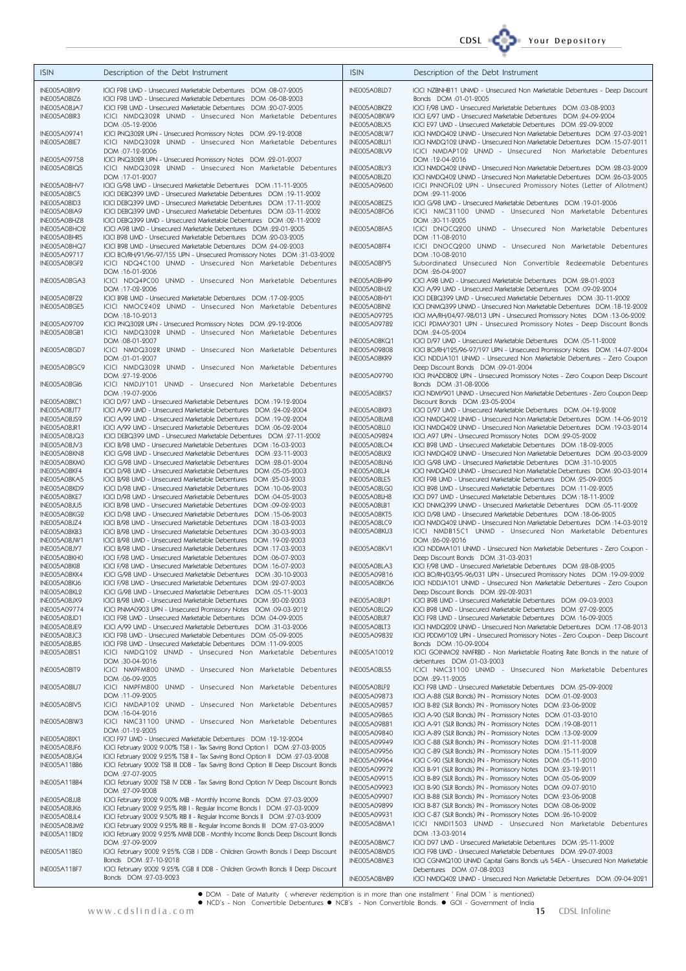#### CDSL C Your Depository

| <b>ISIN</b>                  | Description of the Debt Instrument                                                                                                                               | <b>ISIN</b>                  | Description of the Debt Instrument                                                                                                                     |
|------------------------------|------------------------------------------------------------------------------------------------------------------------------------------------------------------|------------------------------|--------------------------------------------------------------------------------------------------------------------------------------------------------|
| INE005A08IY9                 | ICICI F98 UMD - Unsecured Marketable Debentures DOM :08-07-2005                                                                                                  | INE005A08LD7                 | ICICI NZBNHB11 UNMD - Unsecured Non Marketable Debentures - Deep Discount                                                                              |
| INE005A08IZ6                 | ICICI F98 UMD - Unsecured Marketable Debentures DOM :06-08-2003                                                                                                  |                              | Bonds DOM :01-01-2005                                                                                                                                  |
| INE005A08JA7<br>INE005A08IR3 | ICICI F98 UMD - Unsecured Marketable Debentures DOM : 20-07-2005<br>ICICI NMDQ302R UNMD - Unsecured Non Marketable Debentures                                    | INE005A08KZ2<br>INE005A08KW9 | ICICI F/98 UMD - Unsecured Marketable Debentures DOM :03-08-2003<br>ICICI E/97 UMD - Unsecured Marketable Debentures DOM : 24-09-2004                  |
|                              | DOM : 05-12-2006                                                                                                                                                 | INE005A08LX5                 | ICICI E97 UMD - Unsecured Marketable Debentures DOM : 22-09-2002                                                                                       |
| INE005A09741                 | ICICI PNQ302R UPN - Unsecured Promissory Notes DOM : 29-12-2008                                                                                                  | INE005A08LW7                 | ICICI NMDQ402 UNMD - Unsecured Non Marketable Debentures DOM: 27-03-2021                                                                               |
| INE005A08IE7                 | ICICI NMDQ302R UNMD - Unsecured Non Marketable Debentures<br>DOM :07-12-2006                                                                                     | INE005A08LU1<br>INE005A08LV9 | ICICI NMDQ102 UNMD - Unsecured Non Marketable Debentures DOM:15-07-2011<br>ICICI NMDAP102 UNMD - Unsecured<br>Non Marketable Debentures                |
| INE005A09758                 | ICICI PNQ302R UPN - Unsecured Promissory Notes DOM :22-01-2007                                                                                                   |                              | DOM : 12-04-2016                                                                                                                                       |
| INE005A08IQ5                 | ICICI NMDQ302R UNMD - Unsecured Non Marketable Debentures                                                                                                        | INE005A08LY3                 | ICICI NMDQ402 UNMD - Unsecured Non Marketable Debentures DOM: 28-03-2009                                                                               |
| INE005A08HV7                 | DOM: 17-01-2007<br>ICICI G/98 UMD - Unsecured Marketable Debentures DOM : 11-11-2005                                                                             | INE005A08LZ0<br>INE005A09600 | ICICI NMDQ402 UNMD - Unsecured Non Marketable Debentures DOM: 26-03-2005<br>ICICI PNNOFL02 UPN - Unsecured Promissory Notes (Letter of Allotment)      |
| INE005A08IC5                 | ICICI DEBQ399 UMD - Unsecured Marketable Debentures DOM : 19-11-2002                                                                                             |                              | DOM : 29-11-2006                                                                                                                                       |
| INE005A08ID3                 | ICICI DEBQ399 UMD - Unsecured Marketable Debentures DOM : 17-11-2002                                                                                             | INE005A08EZ5                 | ICICI G/98 UMD - Unsecured Marketable Debentures DOM :19-01-2006                                                                                       |
| INE005A08IA9<br>INE005A08HZ8 | ICICI DEBQ399 UMD - Unsecured Marketable Debentures DOM:03-11-2002<br>ICICI DEBQ399 UMD - Unsecured Marketable Debentures DOM:02-11-2002                         | INE005A08FO6                 | ICICI NMC31100 UNMD - Unsecured Non Marketable Debentures<br>DOM :30-11-2005                                                                           |
| INE005A08HO2                 | ICICI A98 UMD - Unsecured Marketable Debentures DOM : 22-01-2005                                                                                                 | INE005A08FA5                 | ICICI DNOCQ200 UNMD - Unsecured Non Marketable Debentures                                                                                              |
| INE005A08HR5                 | ICICI B98 UMD - Unsecured Marketable Debentures DOM : 20-03-2005                                                                                                 |                              | DOM :11-08-2010                                                                                                                                        |
| INE005A08HQ7<br>INE005A09717 | ICICI B98 UMD - Unsecured Marketable Debentures DOM : 24-02-2003<br>ICICI BO/RH/91/96-97/155 UPN - Unsecured Promissory Notes DOM :31-03-2002                    | INE005A08FF4                 | ICICI DNOCQ200 UNMD - Unsecured Non Marketable Debentures<br>DOM :10-08-2010                                                                           |
| INE005A08GF2                 | ICICI NDQ4C100 UNMD - Unsecured Non Marketable Debentures                                                                                                        | INE005A08FY5                 | Subordinated Unsecured Non Convertible Redeemable Debentures                                                                                           |
|                              | DOM : 16-01-2006                                                                                                                                                 |                              | DOM : 26-04-2007                                                                                                                                       |
| INE005A08GA3                 | ICICI NDQ4PC00 UNMD - Unsecured Non Marketable Debentures<br>DOM :17-02-2006                                                                                     | INE005A08HP9<br>INE005A08HJ2 | ICICI A98 UMD - Unsecured Marketable Debentures DOM : 28-01-2003<br>ICICI A/99 UMD - Unsecured Marketable Debentures DOM :09-02-2004                   |
| INE005A08FZ2                 | ICICI B98 UMD - Unsecured Marketable Debentures DOM : 17-02-2005                                                                                                 | INE005A08HY1                 | ICICI DEBQ399 UMD - Unsecured Marketable Debentures DOM:30-11-2002                                                                                     |
| INE005A08GE5                 | ICICI NMOC2402 UNMD - Unsecured Non Marketable Debentures                                                                                                        | INE005A08IN2                 | ICICI DNMQ399 UNMD - Unsecured Non Marketable Debentures DOM : 18-12-2002                                                                              |
| INE005A09709                 | DOM: 18-10-2013<br>ICICI PNQ302R UPN - Unsecured Promissory Notes DOM : 29-12-2006                                                                               | INE005A09725<br>INE005A09782 | ICICI MA/RH/04/97-98/013 UPN - Unsecured Promissory Notes DOM :13-06-2002<br>ICICI PDMAY301 UPN - Unsecured Promissory Notes - Deep Discount Bonds     |
| INE005A08GB1                 | ICICI NMDQ302R UNMD - Unsecured Non Marketable Debentures                                                                                                        |                              | DOM : 24-05-2004                                                                                                                                       |
|                              | DOM :08-01-2007                                                                                                                                                  | INE005A08KQ1                 | ICICI D/97 UMD - Unsecured Marketable Debentures DOM :05-11-2002                                                                                       |
| INE005A08GD7                 | ICICI NMDQ302R UNMD - Unsecured Non Marketable Debentures<br>DOM :01-01-2007                                                                                     | INE005A09808<br>INE005A08KR9 | ICICI BO/RH/125/96-97/197 UPN - Unsecured Promissory Notes DOM : 14-07-2004<br>ICICI NDDJA101 UNMD - Unsecured Non Marketable Debentures - Zero Coupon |
| INE005A08GC9                 | ICICI NMDQ302R UNMD - Unsecured Non Marketable Debentures                                                                                                        |                              | Deep Discount Bonds DOM:09-01-2004                                                                                                                     |
|                              | DOM : 27-12-2006                                                                                                                                                 | INE005A09790                 | ICICI PNADDB02 UPN - Unsecured Promissory Notes - Zero Coupon Deep Discount                                                                            |
| INE005A08GI6                 | ICICI NMDJY101 UNMD - Unsecured Non Marketable Debentures<br>DOM: 19-07-2006                                                                                     | INE005A08KS7                 | Bonds DOM:31-08-2006<br>ICICI NDMY901 UNMD - Unsecured Non Marketable Debentures - Zero Coupon Deep                                                    |
| INE005A08KC1                 | ICICI D/97 UMD - Unsecured Marketable Debentures DOM : 19-12-2004                                                                                                |                              | Discount Bonds DOM : 23-05-2004                                                                                                                        |
| INE005A08JT7                 | ICICI A/99 UMD - Unsecured Marketable Debentures DOM : 24-02-2004                                                                                                | INE005A08KP3                 | ICICI D/97 UMD - Unsecured Marketable Debentures DOM :04-12-2002                                                                                       |
| INE005A08JS9<br>INE005A08JR1 | ICICI A/99 UMD - Unsecured Marketable Debentures DOM : 19-02-2004<br>ICICI A/99 UMD - Unsecured Marketable Debentures DOM :06-02-2004                            | INE005A08LM8<br>INE005A08LL0 | ICICI NMDQ402 UNMD - Unsecured Non Marketable Debentures DOM: 14-06-2012<br>ICICI NMDQ402 UNMD - Unsecured Non Marketable Debentures DOM: 19-03-2014   |
| INE005A08JQ3                 | ICICI DEBQ399 UMD - Unsecured Marketable Debentures DOM: 27-11-2002                                                                                              | INE005A09824                 | ICICI A97 UPN - Unsecured Promissory Notes DOM : 29-05-2002                                                                                            |
| INE005A08JV3                 | ICICI B/98 UMD - Unsecured Marketable Debentures DOM : 16-03-2003                                                                                                | INE005A08LO4                 | ICICI B98 UMD - Unsecured Marketable Debentures DOM : 18-02-2005                                                                                       |
| INE005A08KN8<br>INE005A08KM0 | ICICI G/98 UMD - Unsecured Marketable Debentures DOM : 23-11-2003<br>ICICI G/98 UMD - Unsecured Marketable Debentures DOM : 28-01-2004                           | INE005A08LK2<br>INE005A08LN6 | ICICI NMDQ402 UNMD - Unsecured Non Marketable Debentures DOM: 20-03-2009<br>ICICI G/98 UMD - Unsecured Marketable Debentures DOM :31-10-2005           |
| INE005A08KF4                 | ICICI D/98 UMD - Unsecured Marketable Debentures DOM :05-05-2003                                                                                                 | INE005A08LJ4                 | ICICI NMDQ402 UNMD - Unsecured Non Marketable Debentures DOM: 20-03-2014                                                                               |
| INE005A08KA5                 | ICICI B/98 UMD - Unsecured Marketable Debentures DOM : 25-03-2003                                                                                                | INE005A08LE5                 | ICICI F98 UMD - Unsecured Marketable Debentures DOM : 25-09-2005                                                                                       |
| INE005A08KD9<br>INE005A08KE7 | ICICI D/98 UMD - Unsecured Marketable Debentures DOM :10-06-2003<br>ICICI D/98 UMD - Unsecured Marketable Debentures DOM :04-05-2003                             | INE005A08LG0<br>INE005A08LH8 | ICICI B98 UMD - Unsecured Marketable Debentures DOM : 11-02-2005<br>ICICI D97 UMD - Unsecured Marketable Debentures DOM : 18-11-2002                   |
| INE005A08JU5                 | ICICI B/98 UMD - Unsecured Marketable Debentures DOM :09-02-2003                                                                                                 | INE005A08LB1                 | ICICI DNMQ399 UNMD - Unsecured Marketable Debentures DOM :05-11-2002                                                                                   |
| INE005A08KG2                 | ICICI D/98 UMD - Unsecured Marketable Debentures DOM :15-06-2003                                                                                                 | INE005A08KT5                 | ICICI D/98 UMD - Unsecured Marketable Debentures DOM : 18-06-2005                                                                                      |
| INE005A08JZ4<br>INE005A08KB3 | ICICI B/98 UMD - Unsecured Marketable Debentures DOM :18-03-2003<br>ICICI B/98 UMD - Unsecured Marketable Debentures DOM :30-03-2003                             | INE005A08LC9<br>INE005A08KU3 | ICICI NMDQ402 UNMD - Unsecured Non Marketable Debentures DOM : 14-03-2012<br>ICICI NMDB15C1 UNMD - Unsecured Non Marketable Debentures                 |
| INE005A08JW1                 | ICICI B/98 UMD - Unsecured Marketable Debentures DOM :19-02-2003                                                                                                 |                              | DOM : 26-02-2016                                                                                                                                       |
| INE005A08JY7<br>INE005A08KH0 | ICICI B/98 UMD - Unsecured Marketable Debentures DOM : 17-03-2003<br>ICICI F/98 UMD - Unsecured Marketable Debentures DOM :06-07-2003                            | INE005A08KV1                 | ICICI NDDMA101 UNMD - Unsecured Non Marketable Debentures - Zero Coupon -<br>Deep Discount Bonds DOM:31-03-2031                                        |
| INE005A08KI8                 | ICICI F/98 UMD - Unsecured Marketable Debentures DOM :16-07-2003                                                                                                 | INE005A08LA3                 | ICICI F/98 UMD - Unsecured Marketable Debentures DOM : 28-08-2005                                                                                      |
| INE005A08KK4                 | ICICI G/98 UMD - Unsecured Marketable Debentures DOM :30-10-2003                                                                                                 | INE005A09816                 | ICICI BO/RH/03/95-96/031 UPN - Unsecured Promissory Notes DOM : 19-09-2002                                                                             |
| INE005A08KJ6<br>INE005A08KL2 | ICICI F/98 UMD - Unsecured Marketable Debentures DOM :22-07-2003<br>ICICI G/98 UMD - Unsecured Marketable Debentures  DOM :05-11-2003                            | INE005A08KO6                 | ICICI NDDJA101 UNMD - Unsecured Non Marketable Debentures - Zero Coupon<br>Deep Discount Bonds DOM : 22-02-2031                                        |
| INE005A08JX9                 | ICICI B/98 UMD - Unsecured Marketable Debentures DOM :20-02-2003                                                                                                 | INE005A08LP1                 | ICICI B98 UMD - Unsecured Marketable Debentures DOM :09-03-2003                                                                                        |
| INE005A09774                 | ICICI PNMA0903 UPN - Unsecured Promissory Notes DOM :09-03-2012                                                                                                  | <b>INE005A08LQ9</b>          | ICICI B98 UMD - Unsecured Marketable Debentures DOM : 27-02-2005                                                                                       |
| INE005A08JD1<br>INE005A08JE9 | ICICI F98 UMD - Unsecured Marketable Debentures DOM :04-09-2005<br>ICICI A/99 UMD - Unsecured Marketable Debentures DOM :31-03-2006                              | INE005A08LR7<br>INE005A08LT3 | ICICI F98 UMD - Unsecured Marketable Debentures DOM : 16-09-2005<br>ICICI NMDQ202 UNMD - Unsecured Non Marketable Debentures DOM:17-08-2013            |
| INE005A08JC3                 | ICICI F98 UMD - Unsecured Marketable Debentures DOM :05-09-2005                                                                                                  | INE005A09832                 | ICICI PDDMY102 UPN - Unsecured Promissory Notes - Zero Coupon - Deep Discount                                                                          |
| INE005A08JB5                 | ICICI F98 UMD - Unsecured Marketable Debentures DOM :11-09-2005                                                                                                  |                              | Bonds DOM: 10-09-2004                                                                                                                                  |
| <b>INE005A08IS1</b>          | ICICI NMDQ102 UNMD - Unsecured Non Marketable Debentures                                                                                                         | INE005A10012                 | ICICI GOINMO2 NMFRBD - Non Marketable Floating Rate Bonds in the nature of<br>debentures DOM:01-03-2003                                                |
| INE005A08IT9                 | DOM:30-04-2016<br>ICICI NMPFM800 UNMD - Unsecured Non Marketable Debentures                                                                                      | INE005A08LS5                 | ICICI NMC31100 UNMD - Unsecured Non Marketable Debentures                                                                                              |
|                              | DOM :06-09-2005                                                                                                                                                  |                              | DOM : 29-11-2005                                                                                                                                       |
| INE005A08IU7                 | ICICI NMPFM800 UNMD - Unsecured Non Marketable Debentures<br>DOM: 11-09-2005                                                                                     | INE005A08LF2<br>INE005A09873 | ICICI F98 UMD - Unsecured Marketable Debentures DOM : 25-09-2002<br>ICICI A-88 (SLR Bonds) PN - Promissory Notes DOM :01-02-2003                       |
| INE005A08IV5                 | ICICI NMDAP102 UNMD - Unsecured Non Marketable Debentures                                                                                                        | INE005A09857                 | ICICI B-82 (SLR Bonds) PN - Promissory Notes DOM: 23-06-2002                                                                                           |
|                              | DOM : 16-04-2016                                                                                                                                                 | INE005A09865                 | ICICI A-90 (SLR Bonds) PN - Promissory Notes DOM :01-03-2010                                                                                           |
| INE005A08IW3                 | ICICI NMC31100 UNMD - Unsecured Non Marketable Debentures<br>DOM:01-12-2005                                                                                      | INE005A09881                 | ICICI A-91 (SLR Bonds) PN - Promissory Notes DOM: 19-08-2011                                                                                           |
| INE005A08IX1                 | ICICI F97 UMD - Unsecured Marketable Debentures DOM : 12-12-2004                                                                                                 | INE005A09840<br>INE005A09949 | ICICI A-89 (SLR Bonds) PN - Promissory Notes DOM:13-02-2009<br>ICICI C-88 (SLR Bonds) PN - Promissory Notes DOM :21-11-2008                            |
| INE005A08JF6                 | ICICI February 2002 9.00% TSB I - Tax Saving Bond Option I DOM : 27-03-2005                                                                                      | INE005A09956                 | ICICI C-89 (SLR Bonds) PN - Promissory Notes DOM:15-11-2009                                                                                            |
| INE005A08JG4<br>INE005A11BB6 | ICICI February 2002 9.25% TSB II - Tax Saving Bond Option II DOM: 27-03-2008<br>ICICI February 2002 TSB III DDB - Tax Saving Bond Option III Deep Discount Bonds | INE005A09964                 | ICICI C-90 (SLR Bonds) PN - Promissory Notes DOM :05-11-2010                                                                                           |
|                              | DOM : 27-07-2005                                                                                                                                                 | INE005A09972<br>INE005A09915 | ICICI B-91 (SLR Bonds) PN - Promissory Notes DOM : 23-12-2011<br>ICICI B-89 (SLR Bonds) PN - Promissory Notes DOM :05-06-2009                          |
| INE005A11BB4                 | ICICI February 2002 TSB IV DDB - Tax Saving Bond Option IV Deep Discount Bonds                                                                                   | INE005A09923                 | ICICI B-90 (SLR Bonds) PN - Promissory Notes DOM :09-07-2010                                                                                           |
| INE005A08JJ8                 | DOM : 27-09-2008<br>ICICI February 2002 9.00% MIB - Monthly Income Bonds DOM :27-03-2009                                                                         | INE005A09907                 | ICICI B-88 (SLR Bonds) PN - Promissory Notes DOM : 23-06-2008                                                                                          |
| INE005A08JK6                 | ICICI February 2002 9.25% RIB I - Regular Income Bonds I DOM : 27-03-2009                                                                                        | INE005A09899                 | ICICI B-87 (SLR Bonds) PN - Promissory Notes DOM :08-06-2002                                                                                           |
| INE005A08JL4                 | ICICI February 2002 9.50% RIB II - Regular Income Bonds II DOM : 27-03-2009                                                                                      | INE005A09931<br>INE005A08MA1 | ICICI C-87 (SLR Bonds) PN - Promissory Notes DOM : 26-10-2002                                                                                          |
| INE005A08JM2<br>INE005A11BD2 | ICICI February 2002 9.25% RIB III - Regular Income Bonds III DOM :27-03-2009<br>ICICI February 2002 9.25% MMB DDB - Monthly Income Bonds Deep Discount Bonds     |                              | ICICI NMDI1503 UNMD - Unsecured Non Marketable Debentures<br>DOM :13-03-2014                                                                           |
|                              | DOM : 27-09-2009                                                                                                                                                 | INE005A08MC7                 | ICICI D97 UMD - Unsecured Marketable Debentures DOM : 25-11-2002                                                                                       |
| INE005A11BE0                 | ICICI February 2002 9.25% CGB I DDB - Children Growth Bonds I Deep Discount                                                                                      | INE005A08MD5                 | ICICI F98 UMD - Unsecured Marketable Debentures DOM : 29-07-2003                                                                                       |
| INE005A11BF7                 | Bonds DOM : 27-10-2018<br>ICICI February 2002 9.25% CGB II DDB - Children Growth Bonds II Deep Discount                                                          | INE005A08ME3                 | ICICI CGNMQ100 UNMD Capital Gains Bonds u/s 54EA - Unsecured Non Marketable<br>Debentures DOM :07-08-2003                                              |
|                              | Bonds DOM : 27-03-2023                                                                                                                                           | INE005A08MB9                 | ICICI NMDQ402 UNMD - Unsecured Non Marketable Debentures DOM :09-04-2021                                                                               |
|                              | • DOM - Date of Maturity (wherever redemption is in more than one installment ' Final DOM ' is mentioned)                                                        |                              |                                                                                                                                                        |
|                              | • NCD's - Non Convertible Debentures • NCB's - Non Convertible Bonds. • GOI - Government of India                                                                |                              |                                                                                                                                                        |
|                              | www.cdslindia.com                                                                                                                                                |                              | CDSL Infoline<br>15                                                                                                                                    |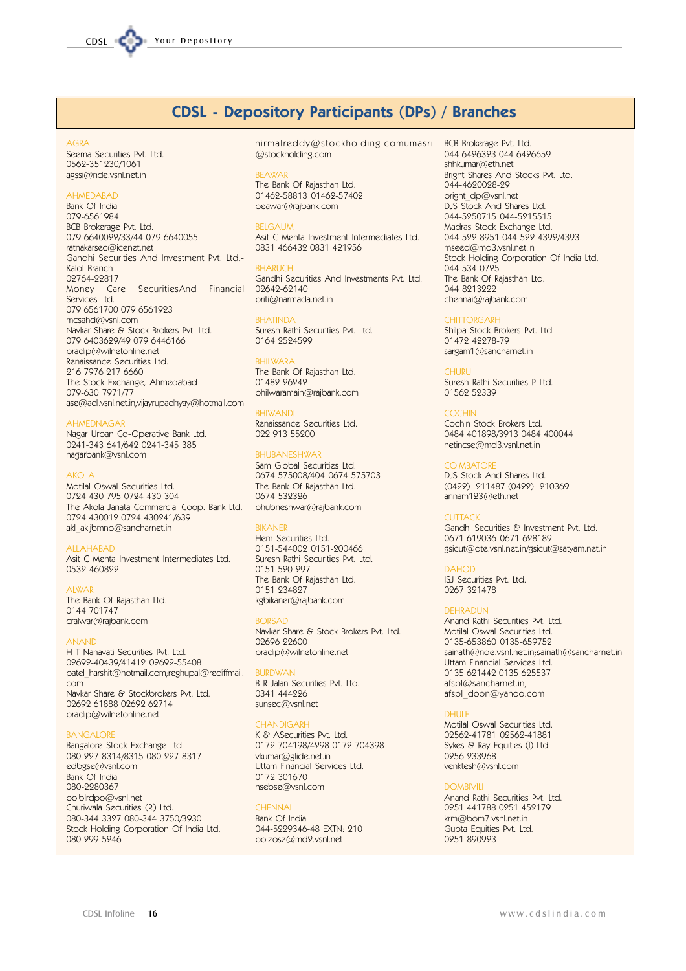

# **CDSL - Depository Participants (DPs) / Branches**

#### $AGR/$

Seema Securities Pvt. Ltd. 0562-351230/1061 agssi@nde.vsnl.net.in

## AHMFDARAD

Bank Of India 079-6561984 BCB Brokerage Pvt. Ltd. 079 6640022/33/44 079 6640055 ratnakarsec@icenet.net Gandhi Securities And Investment Pvt. Ltd.-Kalol Branch 09764-99817 Money Care Securities And Financial Services Itd 079 6561700 079 6561923 mcsahd@vsnl.com Navkar Share & Stock Brokers Pvt. Ltd. 079 6403629/49 079 6446166 pradip@wilnetonline.net Renaissance Securities Ltd. 216 7976 217 6660 The Stock Exchange, Ahmedabad 079-630 7971/77 ase@adl.vsnl.net.in,vijayrupadhyay@hotmail.com

# AHMEDNAGAR

Nagar Urban Co-Operative Bank Ltd. 0241-343 641/642 0241-345 385 nagarbank@vsnl.com

#### AKOLA

Motilal Oswal Securities Ltd. 0724-430 795 0724-430 304 The Akola Janata Commercial Coop. Bank Ltd. 0724 430012 0724 430241/639 akl akljbmnb@sancharnet.in

#### **AII AHARAD**

Asit C Mehta Investment Intermediates Ltd. 0532-460822

#### **AIWAR**

The Bank Of Rajasthan Ltd. 0144 701747 cralwar@rajbank.com

#### **ANAND**

H T Nanavati Securities Pvt. Ltd. 02692-40439/41412 02692-55408 patel harshit@hotmail.com;reghupal@rediffmail.  $com$ Navkar Share & Stockbrokers Pvt Ltd. 02692 61888 02692 62714 pradip@wilnetonline.net

#### **RANGALORE**

Bangalore Stock Exchange Ltd. 080-227 8314/8315 080-227 8317 edbgse@vsnl.com Bank Of India 080-2280367 boiblrdpo@vsnl.net Churiwala Securities (P.) Ltd. 080-344 3327 080-344 3750/3930 Stock Holding Corporation Of India Ltd. 080-299 5246

nirmalreddy@stockholding.comumasri @stockholding.com

#### **REAWAD**

The Bank Of Rajasthan Ltd. 01462-58813 01462-57402 beawar@rajbank.com

Asit C Mehta Investment Intermediates Ltd. 0831 466432 0831 421956

#### **RHARLICH**

Gandhi Securities And Investments Pvt. Ltd. 02642-62140 priti@narmada.net.in

#### **RHATINDA**

Suresh Rathi Securities Pvt. Ltd. 0164 2524599

#### **RHII WAP**

The Bank Of Rajasthan Ltd. 01482 26242 bhilwaramain@raibank.com

#### **RHIWANDI**

Renaissance Securities Ltd. 022 913 55200

#### **RHI IRANESHWAR**

Sam Global Securities Ltd. 0674-575008/404 0674-575703 The Bank Of Rajasthan Ltd. 0674 539396 bhubneshwar@rajbank.com

### **RIKANFR**

Hem Securities Ltd. 0151-544002 0151-200466 Suresh Rathi Securities Pvt. Ltd. 0151-520 297 The Bank Of Rajasthan Ltd. 0151 934897 kgbikaner@rajbank.com

Navkar Share & Stock Brokers Pvt. Ltd. 02696 22600 pradip@wilnetonline.net

#### **RURDWAN**

B R Jalan Securities Pvt. Ltd. 0341 444 926 sunsec@vsnl.net

## **CHANDIGARH**

K & ASecurities Pvt. Ltd. 0172 704198/4298 0172 704398 vkumar@glide.net.in Uttam Financial Services Ltd. 0172 301670 nsebse@vsnl.com

#### CHENNAL

**Bank Of India** 044-5229346-48 EXTN: 210 boizosz@md2.vsnl.net

BCB Brokerage Pvt. Ltd. 044 6426323 044 6426659 shhkumar@eth.net Bright Shares And Stocks Pvt. Ltd. 044-4620028-29 bright dp@vsnl.net DJS Stock And Shares Ltd. 044-5250715 044-5215515 Madras Stock Exchange Ltd. 044-522 8951 044-522 4392/4393 mseed@md3.vsnl.net.in Stock Holding Corporation Of India Ltd. 044-534 0725 The Bank Of Rajasthan Ltd. 044 8213222 chennai@raibank.com

#### **CHITTORGARH**

Shilpa Stock Brokers Pvt. Ltd. 01472 42278-79 sargam1@sancharnet.in

## CHURU

Suresh Rathi Securities P Ltd. 01562 52339

Cochin Stock Brokers Ltd. 0484 401898/3913 0484 400044 netincse@md3.vsnl.net.in

#### $\bigcap \text{MAP}$ AT $\bigcap \text{DE}$

DJS Stock And Shares Ltd. (0422)- 211487 (0422)- 210369 annam123@eth.net

Gandhi Securities & Investment Pvt. Ltd. 0671-619036 0671-628189 gsicut@dte.vsnl.net.in/gsicut@satyam.net.in

#### **DAHOD**

ISJ Securities Pvt. Ltd. 0267 321478

#### **DEHRADLIN**

Anand Rathi Securities Pvt. Ltd. Motilal Oswal Securities Ltd. 0135-653860 0135-659752 sainath@nde.vsnl.net.in;sainath@sancharnet.in Uttam Financial Services Ltd. 0135 621442 0135 625537 afspl@sancharnet.in, afspl doon@yahoo.com

#### **DHULF**

Motilal Oswal Securities Ltd. 02562-41781 02562-41881 Sykes & Ray Equities (I) Ltd. 0256 233968 venktesh@vsnl.com

#### **DOMRIVILI**

Anand Rathi Securities Pvt. Ltd. 0951 441788 0951 459179 krm@bom7.vsnl.net.in Gupta Equities Pvt. Ltd. 0251 890923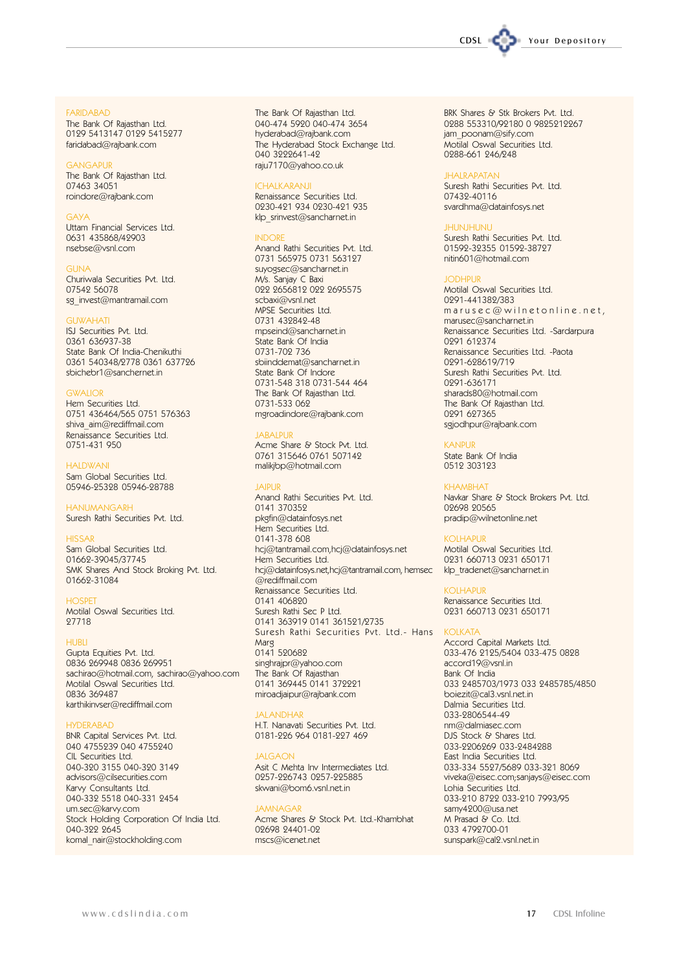#### **FARIDABAD**

The Bank Of Rajasthan Ltd. 0129 5413147 0129 5415277 faridabad@rajbank.com

#### GANGAPUI

The Bank Of Rajasthan Ltd. 07463 34051 roindore@rajbank.com

### GAYA

Uttam Financial Services Ltd. 0631 435868/42903 nsebse@vsnl.com

#### GUNA

Churiwala Securities Pvt. Ltd. 07549 56078 sg invest@mantramail.com

#### **GUWAHATI**

ISJ Securities Pvt. Ltd. 0361 636937-38 State Bank Of India-Chenikuthi 0361 540348/2778 0361 637726 sbichebr1@sanchernet.in

#### **GWALIOR**

Hem Securities Ltd. 0751 436464/565 0751 576363 shiva aim@rediffmail.com Renaissance Securities Itd 0751-431 950

Sam Global Securities Ltd. 05946-25328 05946-28788

### **HANI IMANGARH**

Suresh Rathi Securities Pvt. Ltd.

#### **HISSAP**

Sam Global Securities Ltd. 01662-39045/37745 SMK Shares And Stock Broking Pvt. Ltd. 01662-31084

Motilal Oswal Securities Ltd. 97718

#### HI IRI I

Gupta Equities Pvt. Ltd. 0836 269948 0836 269951 sachirao@hotmail.com, sachirao@yahoo.com Motilal Oswal Securities Ltd. 0836 369487 karthikinvser@rediffmail.com

#### **HYDERARAD**

BNR Capital Services Pvt. Ltd. 040 4755239 040 4755240 CIL Securities Ltd. 040-320 3155 040-320 3149 advisors@cilsecurities.com Karvy Consultants Ltd. 040-332 5518 040-331 2454 um.sec@karvy.com Stock Holding Corporation Of India Ltd. 040-322 2645 komal nair@stockholding.com

The Bank Of Rajasthan Ltd. 040-474 5920 040-474 3654 hyderabad@rajbank.com The Hyderabad Stock Exchange Ltd. 040 3222641-42 raju7170@yahoo.co.uk

#### **ICHAIKARANII**

Renaissance Securities Ltd. 0230-421 934 0230-421 935 klp srinvest@sancharnet.in

### **INDORE**

Anand Rathi Securities Pvt. Ltd. 0731 565975 0731 563127 suyogsec@sancharnet.in M/s. Sanjay C Baxi 022 2656812 022 2695575 scbaxi@vsnl.net MPSE Securities Ltd. 0731 432842-48  $m$ nseind@sancharnet.in State Bank Of India 0731-709 736 sbiinddemat@sancharnet.in State Bank Of Indore 0731-548 318 0731-544 464 The Bank Of Rajasthan Ltd. 0731-533 062 mgroadindore@rajbank.com

#### **JARAIDUR**

Acme Share & Stock Pvt. Ltd. 0761 315646 0761 507142 malikjbp@hotmail.com

### **JAIPLIR**

Anand Rathi Securities Pvt. Ltd. 0141 370352 pkgfin@datainfosys.net Hem Securities Ltd. 0141-378 608 hcj@tantramail.com,hcj@datainfosys.net Hem Securities Ltd. hcj@datainfosys.net,hcj@tantramail.com, hemsec @rediffmail com Renaissance Securities Ltd 0141 406890 Suresh Rathi Sec P Ltd. 0141 363919 0141 361521/2735 Suresh Rathi Securities Pvt. Ltd.- Hans Marg 0141 520682 singhrajpr@yahoo.com The Bank Of Rajasthan 0141 369445 0141 379991 miroadjaipur@rajbank.com

### **JALANDHAR**

H.T. Nanavati Securities Pvt. Ltd. 0181-226 964 0181-227 469

### **IAIGAON**

Asit C Mehta Inv Intermediates Ltd. 0257-226743 0257-225885 skwani@bom6.vsnl.net.in

## **IAMNAGAR**

Acme Shares & Stock Pvt. Ltd.-Khambhat 02698 24401-02 mscs@icenet.net

BRK Shares & Stk Brokers Pvt. Ltd. 0288 553310/92180 0 9825212267 jam poonam@sify.com Motilal Oswal Securities Ltd. 0288-661 246/248

Your Depository

#### **IHAI RADATAN**

CDSL

Suresh Rathi Securities Pvt. Ltd. 07432-40116 svardhma@datainfosys.net

## UNUHLNUHL

Suresh Rathi Securities Pvt. Ltd. 01592-32355 01592-38727 nitin601@hotmail.com

#### **IODHPUR**

Motilal Oswal Securities Ltd. 0291-441382/383 marusec@wilnetonline.net, marusec@sancharnet.in Renaissance Securities Ltd. -Sardarpura 0991 619374 Renaissance Securities Ltd. - Paota 0291-628619/719 Suresh Rathi Securities Pvt. Ltd. 0991-636171 sharads80@hotmail.com The Bank Of Rajasthan Ltd. 0991 697365 sgjodhpur@rajbank.com

#### **KANPUR**

State Bank Of India 0512 303123

### **KHAMRHAT**

Navkar Share & Stock Brokers Pvt. Ltd. 02698 20565 pradip@wilnetonline.net

## **KOLHAPLIR**

Motilal Oswal Securities Ltd. 0231 660713 0231 650171 klp tradenet@sancharnet.in

#### KOLHADLID

Renaissance Securities Ltd. 0231 660713 0231 650171

#### KOIKATA

Accord Capital Markets Ltd 033-476 2125/5404 033-475 0828 accord19@vsnl.in Bank Of India 033 2485703/1973 033 2485785/4850 boiezit@cal3.vsnl.net.in Dalmia Securities Ltd. 033-2806544-49 nm@dalmiasec.com DJS Stock & Shares Ltd. 033-2206269 033-2484288 East India Securities Ltd. 033-334 5527/5689 033-321 8069 viveka@eisec.com;sanjays@eisec.com Lohia Securities Ltd. 033-210 8722 033-210 7993/95 samy4200@usa.net M Prasad & Co. Ltd. 033 4792700-01 sunspark@cal2.vsnl.net.in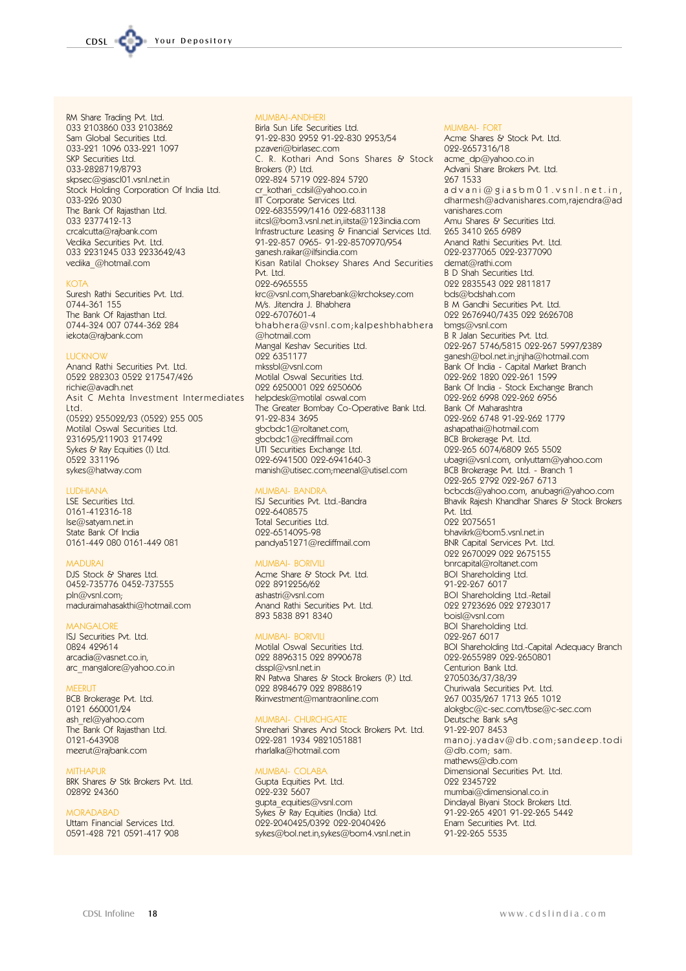RM Share Trading Pvt. Ltd. 033 2103860 033 2103862 Sam Global Securities Ltd. 033-221 1096 033-221 1097 SKP Securities Ltd. 033-9898719/8793 skpsec@giascl01.vsnl.net.in Stock Holding Corporation Of India Ltd. 033-226 2030 The Bank Of Rajasthan Ltd. 033 9377419-13 crcalcutta@raibank.com Vedika Securities Pvt. Ltd. 033 2231245 033 2233642/43 vedika @hotmail.com

Suresh Rathi Securities Pvt. Ltd. 0744-361 155 The Bank Of Rajasthan Ltd. 0744-324 007 0744-362 284 iekota@rajbank.com

Anand Rathi Securities Pvt. Ltd. 0592 282303 0522 217547/426 richie@avadh.net Asit C Mehta Investment Intermediates  $htd$ (0522) 255022/23 (0522) 255 005 Motilal Oswal Securities Ltd. 231695/211903 217492 Sykes & Ray Equities (I) Ltd. 0522 331196 sykes@hatway.com

#### **ITIDHIANA**

LSE Securities Ltd. 0161-412316-18 Ise@satyam.net.in State Bank Of India 0161-449 080 0161-449 081

DJS Stock & Shares Ltd. 0452-735776 0452-737555 pln@vsnl.com: maduraimahasakthi@hotmail.com

#### **MANGALORE**

ISJ Securities Pvt. Ltd. 0824 429614 arcadia@vasnet.co.in, arc mangalore@yahoo.co.in

#### **MEEDLIT**

BCB Brokerage Pvt. Ltd. 0121 660001/24 ash rel@vahoo.com The Bank Of Rajasthan Ltd. 0121-643908 meerut@rajbank.com

#### **MITHAPLIR**

BRK Shares & Stk Brokers Pvt. Ltd. 09899 94360

#### **MORADARAD**

Uttam Financial Services Ltd. 0591-428 721 0591-417 908

## MUMBAI-ANDHERI

Birla Sun Life Securities Ltd. 91-22-830 2952 91-22-830 2953/54 pzaveri@birlasec.com C. R. Kothari And Sons Shares & Stock Brokers (P) Itd. 099-894 5719 099-894 5790 cr kothari cdsil@yahoo.co.in IIT Corporate Services Ltd. 022-6835599/1416 022-6831138 iitcsl@bom3.vsnl.net.in,iitsta@123india.com Infrastructure Leasing & Financial Services Ltd. 91-22-857 0965- 91-22-8570970/954 ganesh.raikar@ilfsindia.com Kisan Ratilal Choksey Shares And Securities Pvt Itd 022-6965555 krc@vsnl.com,Sharebank@krchoksey.com M/s. Jitendra J. Bhabhera 022-6707601-4 bhabhera@vsnl.com;kalpeshbhabhera @hotmail.com Mangal Keshav Securities Ltd. 022 6351177 mkssbl@vsnl com Motilal Oswal Securities Ltd 022 6250001 022 6250606 helpdesk@motilal oswal.com The Greater Bombay Co-Operative Bank Ltd. 91-22-834 3695 gbcbdc1@roltanet.com, gbcbdc1@rediffmail.com UTI Securities Exchange Ltd. 022-6941500 022-6941640-3 manish@utisec.com:meenal@utisel.com

#### MUMBAI- BANDRA

ISJ Securities Pvt. Ltd.-Bandra 022-6408575 Total Securities Ltd. 022-6514095-98 pandya51271@rediffmail.com

#### **MUMBAI- BORIVILI**

Acme Share & Stock Pvt. Ltd. 022 8912256/62 ashastri@vsnl.com Anand Rathi Securities Pvt. Ltd. 893 5838 891 8340

#### MUMBAL BORIVILL

Motilal Oswal Securities Ltd. 022 8896315 022 8990678  $ds \ln \omega$ RN Patwa Shares & Stock Brokers (P.) Ltd. 022 8984679 022 8988619 Rkinvestment@mantraonline.com

#### MUMBAI- CHURCHGATE

Shreehari Shares And Stock Brokers Pvt. Ltd. 022-281 1934 9821051881 rharlalka@hotmail.com

### MUMBAI- COLABA

Gupta Equities Pvt. Ltd. 022-232 5607 gupta equities@vsnl.com Sykes & Ray Equities (India) Ltd. 022-2040425/0392 022-2040426 sykes@bol.net.in,sykes@bom4.vsnl.net.in

#### MI IMRAIL FORT

Acme Shares & Stock Pvt. Ltd. 022-2657316/18 acme dp@yahoo.co.in Advani Share Brokers Pvt. Ltd. 267 1533 advani@giasbm01.vsnl.net.in, dharmesh@advanishares.com,rajendra@ad vanishares.com Amu Shares & Securities Ltd. 965 3410 965 6989 Anand Rathi Securities Pvt. Ltd. 022-2377065 022-2377090 demat@rathi.com **B D Shah Securities Ltd.** 022 2835543 022 2811817 bds@bdshah.com B M Gandhi Securities Pvt. Ltd. 022 2676940/7435 022 2626708 bmgs@vsnl.com B R Jalan Securities Pvt. Ltd. 022-267 5746/5815 022-267 5997/2389 ganesh@bol.net.in;jnjha@hotmail.com Bank Of India - Capital Market Branch 022-262 1820 022-261 1599 Bank Of India - Stock Exchange Branch 022-262 6998 022-262 6956 Bank Of Maharashtra 022-262 6748 91-22-262 1779 ashapathai@hotmail.com BCB Brokerage Pvt. Ltd. 022-265 6074/6809 265 5502 ubagri@vsnl.com, onlyuttam@yahoo.com BCB Brokerage Pvt. Ltd. - Branch 1 022-265 2792 022-267 6713 bcbcds@yahoo.com, anubagri@yahoo.com Bhavik Rajesh Khandhar Shares & Stock Brokers Pvt. Ltd. 022 2075651 bhavikrk@bom5.vsnl.net.in BNR Capital Services Pvt. Ltd. 022 2670029 022 2675155 bnrcapital@roltanet.com **BOI Shareholding Ltd.** 91-22-267 6017 **BOI Shareholding Ltd.-Retail** 022 2723626 022 2723017  $hoisl@vsnlcom$ **ROI Shareholding Ltd.** 022-267 6017 **BOI Shareholding Ltd.-Capital Adequacy Branch** 022-2655989 022-2650801 Centurion Bank Ltd. 2705036/37/38/39 Churiwala Securities Pvt. Ltd. 267 0035/267 1713 265 1012 alokgbc@c-sec.com/tbse@c-sec.com Deutsche Bank sAg 91-22-207 8453 manoj.yadav@db.com;sandeep.todi @db.com; sam. mathews@db.com Dimensional Securities Pvt. Ltd. 000 0345700 mumbai@dimensional.co.in Dindayal Biyani Stock Brokers Ltd. 91-22-265 4201 91-22-265 5442 **Enam Securities Pvt Ltd.** 91-99-965 5535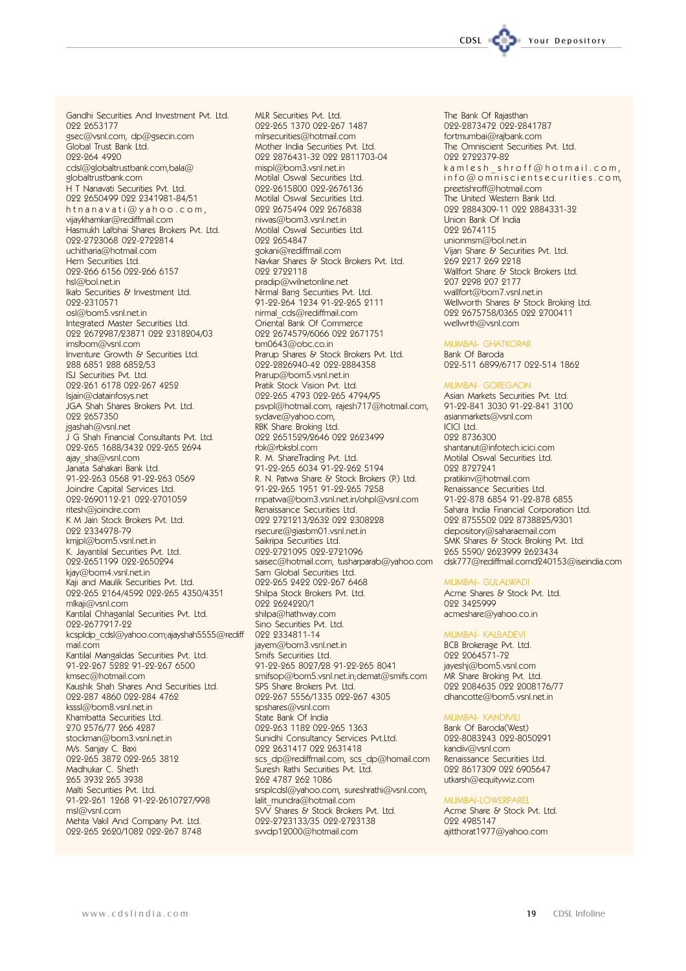CDSL Your Depository

Gandhi Securities And Investment Pvt. Ltd. 099 9653177 gsec@vsnl.com, dp@gsecin.com Global Trust Bank Ltd. 022-264 4920 cdsl@globaltrustbank.com,bala@ globaltrustbank.com H T Nanavati Securities Pvt. Ltd. 022 2650499 022 2341981-84/51 htnanavati@yahoo.com, vijaykhamkar@rediffmail.com Hasmukh Lalbhai Shares Brokers Pvt. Ltd. 022-2723068 022-2722814 uchitharia@hotmail.com Hem Securities Ltd. 022-266 6156 022-266 6157 hsl@bol.net.in Ikab Securities & Investment Ltd. 099-9310571 osl@bom5.vsnl.net.in Integrated Master Securities Ltd. 022 2672987/23871 022 2318204/03 imslbom@vsnl.com Inventure Growth & Securities Ltd. 988 6851 988 6859/53 ISJ Securities Pvt. Ltd. 022-261 6178 022-267 4252 Isiain@datainfosys.net JGA Shah Shares Brokers Pvt. Ltd. 022 2657350 jgashah@vsnl.net ...<br>J G Shah Financial Consultants Pvt. Ltd. 022-265 1688/3432 022-265 2694 ajay sha@vsnl.com Janata Sahakari Bank Ltd. 91-22-263 0568 91-22-263 0569 Joindre Capital Services Ltd. 022-2690112-21 022-2701059 ritesh@joindre.com K M Jain Stock Brokers Pvt. Ltd. 099 9334978-79 kmipl@bom5.vsnl.net.in K. Jayantilal Securities Pvt. Ltd. 022-2651199 022-2650294 kjay@bom4.vsnl.net.in Kaji and Maulik Securities Pvt. Ltd. 022-265 2164/4592 022-265 4350/4351 mlkaii@vsnl.com Kantilal Chhaganlal Securities Pvt. Ltd. 022-2677917-22 kcspldp cdsl@yahoo.com;ajayshah5555@rediff  $mail com$ Kantilal Mangaldas Securities Pvt. Ltd. 91-22-267 5282 91-22-267 6500 kmsec@hotmail.com Kaushik Shah Shares And Securities Ltd. 022-287 4860 022-284 4762 ksssl@bom8.vsnl.net.in Khambatta Securities Ltd. 270 2576/77 266 4287 stockman@bom3.vsnl.net.in M/s. Sanjay C. Baxi 022-265 3872 022-265 3812 Madhukar C. Sheth 265 3932 265 3938 Malti Securities Pvt. Ltd. 91-22-261 1268 91-22-2610727/998 msl@vsnl.com Mehta Vakil And Company Pvt. Ltd. 022-265 2620/1082 022-267 8748

Mother India Securities Pvt. Ltd. 022 2876431-32 022 2811703-04 mispl@bom3.vsnl.net.in Motilal Oswal Securities Ltd. 022-2615800 022-2676136 Motilal Oswal Securities Ltd. 022 2675494 022 2676838 niwas@bom3.vsnl.net.in Motilal Oswal Securities Ltd. 022 2654847 gokani@rediffmail.com Navkar Shares & Stock Brokers Pvt. Ltd. 022 2722118 pradip@wilnetonline.net Nirmal Bang Securities Pvt. Ltd. 91-22-264 1234 91-22-265 2111 nirmal cds@rediffmail.com Oriental Bank Of Commerce 022 2674579/6066 022 2671751  $bm0643@obc.co.in$ Prarup Shares & Stock Brokers Pvt. Ltd. 022-2826940-42 022-2884358 Prarup@bom5.vsnl.net.in Pratik Stock Vision Pvt. Ltd. 022-265 4793 022-265 4794/95 psvpl@hotmail.com, rajesh717@hotmail.com, sydave@yahoo.com, RBK Share Broking Ltd. 022 2651529/2646 022 2623499 rbk@rbksbl.com R. M. ShareTrading Pvt. Ltd. 91-22-265 6034 91-22-262 5194 R. N. Patwa Share & Stock Brokers (P.) Ltd. 91-22-265 1951 91-22-265 7258 rnpatwa@bom3.vsnl.net.in/ohpl@vsnl.com Renaissance Securities Ltd. 022 2721213/2632 022 2308228 rsecure@giasbm01.vsnl.net.in Saikripa Securities Ltd. 022-2721095 022-2721096 saisec@hotmail.com, tusharparab@yahoo.com Sam Global Securities Ltd. 022-265 2422 022-267 6468 Shilpa Stock Brokers Pvt Ltd. 099 9694220/1 shilpa@hathway.com Sino Securities Pvt. Ltd. 022 2334811-14 iavem@bom3.vsnl.net.in Smifs Securities Ltd. 91-22-265 8027/28 91-22-265 8041 smifsop@bom5.vsnl.net.in;demat@smifs.com SPS Share Brokers Pvt. Ltd. 022-267 5556/1335 022-267 4305 spshares@vsnl.com State Bank Of India 022-263 1182 022-265 1363 Sunidhi Consultancy Services Pvt.Ltd. 022 2631417 022 2631418 scs\_dp@rediffmail.com, scs\_dp@homail.com Suresh Rathi Securities Pvt. Ltd. 262 4787 262 1086 srsplcdsl@yahoo.com, sureshrathi@vsnl.com, lalit mundra@hotmail.com SVV Shares & Stock Brokers Pvt. Ltd. 022-2723133/35 022-2723138 swdp12000@hotmail.com

The Bank Of Rajasthan 022-2873472 022-2841787 fortmumbai@rajbank.com The Omniscient Securities Pvt. Ltd. 099 9799379-89 kamlesh shroff@hotmail.com,  $info@omniscients ecurities.com$ preetishroff@hotmail.com The United Western Bank Itd. 022 2884309-11 022 2884331-32 Union Bank Of India 022 2674115 unionmsm@bol.net.in Vijan Share & Securities Pvt. Itd. 269 2217 269 2218 Wallfort Share & Stock Brokers Ltd. 207 2298 207 2177 wallfort@bom7 vsnl net in Wellworth Shares & Stock Broking Ltd. 022 2675758/0365 022 2700411 wellwrth@vsnl.com

MUMBAI- GHATKOPAR Bank Of Baroda 022-511 6899/6717 022-514 1862

### MUMBAI- GOREGAON

Asian Markets Securities Pvt Ltd. 91-22-841 3030 91-22-841 3100 asianmarkets@vsnl.com **ICICI Ltd.** 022 8736300 shantanut@infotech.icici.com Motilal Oswal Securities Ltd. 022 8727241 pratikinv@hotmail.com Renaissance Securities Ltd. 91-22-878 6854 91-22-878 6855 Sahara India Financial Corporation Ltd. 022 8755502 022 8738825/9301 depository@saharaemail.com SMK Shares & Stock Broking Pvt. Ltd. 265 5590/2623999 2623434 dsk777@rediffmail.comd240153@iseindia.com

#### MUMBAI- GUI AIWAI

Acme Shares & Stock Pvt. Ltd. 0093495000 acmeshare@yahoo.co.in

### **ALIMBAI-KALBADI**

BCB Brokerage Pvt. Ltd. 099 9064571-79 jayeshj@bom5.vsnl.com MR Share Broking Pvt. Ltd. 022 2084635 022 2008176/77 dhancotte@bom5.vsnl.net.in

### MUMBAI- KANDIVILI

Bank Of Baroda(West) 022-8083243 022-8050291 kandiv@vsnl.com Renaissance Securities Ltd. 022 8617309 022 6905647 utkarsh@equitywiz.com

#### MUMBAI-I OWFRPARF

Acme Share & Stock Pvt. Ltd. 022 4985147 ajitthorat1977@yahoo.com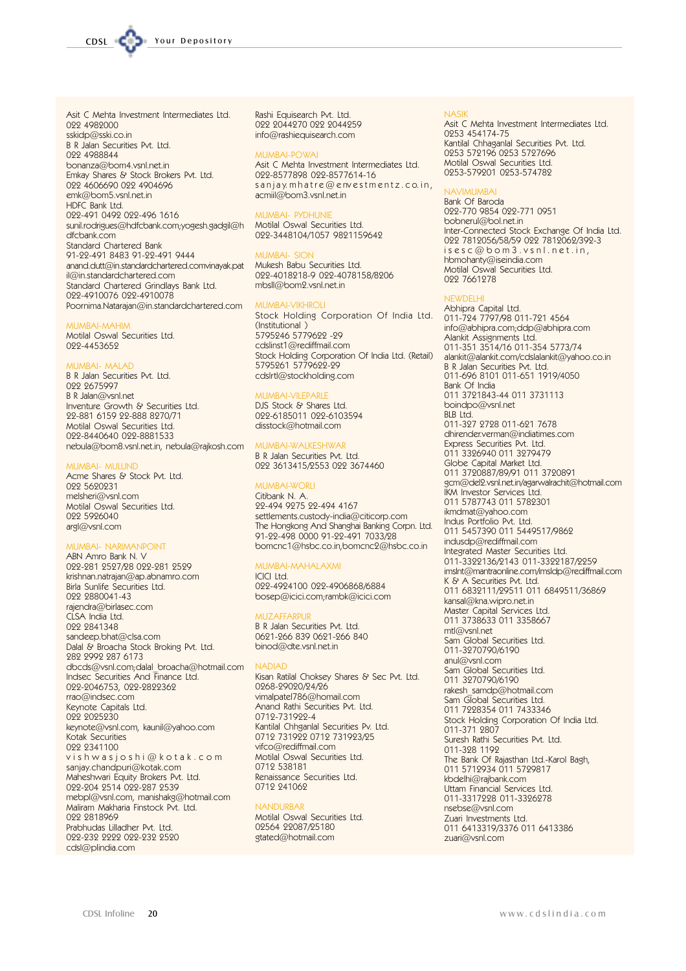

Asit C Mehta Investment Intermediates Ltd. 000 4080000 sskidp@sski.co.in B R Jalan Securities Pvt. Ltd. 000 4088844 bonanza@bom4.vsnl.net.in Emkay Shares & Stock Brokers Pvt. Ltd. 022 4606690 022 4904696 emk@bom5 vsnl net in HDFC Rank Itd 099-491 0499 099-496 1616 sunil.rodrigues@hdfcbank.com;yogesh.gadgil@h dfcbank.com Standard Chartered Bank 91-22-491 8483 91-22-491 9444 anand.dutt@in.standardchartered.comvinayak.pat il@in.standardchartered.com Standard Chartered Grindlays Bank Ltd. 022-4910076 022-4910078 Poornima.Natarajan@in.standardchartered.com

#### **MI IMRALMAHIM**

Motilal Oswal Securities Ltd. 022-4453652

#### MUMBAI- MALAD

B R Jalan Securities Pvt. Ltd. 022 2675997 B R Jalan@vsnl.net Inventure Growth & Securities Itd. 22-881 6159 22-888 8270/71 Motilal Oswal Securities Ltd. 022-8440640 022-8881533 nebula@bom8.vsnl.net.in, nebula@rajkosh.com

#### MUMBAL MUILINE

Acme Shares & Stock Pvt. Ltd. 022 5620231 melsheri@vsnl.com Motilal Oswal Securities Ltd. 099 5996040 argl@vsnl.com

### **MUMBAI- NARIMANPOINT**

ABN Amro Bank N. V 022-281 2527/28 022-281 2529 krishnan.natrajan@ap.abnamro.com Birla Sunlife Securities Ltd. 022 2880041-43 raiendra@birlasec.com  $CISA$  India Itd 099 9841348 sandeep.bhat@clsa.com Dalal & Broacha Stock Broking Pvt. Ltd. 282 2992 287 6173 dbcds@vsnl.com;dalal broacha@hotmail.com Indsec Securities And Finance Ltd. 022-2046753, 022-2822362 rrao@indsec.com Keynote Capitals Ltd. 099 9095930 keynote@vsnl.com, kaunil@yahoo.com Kotak Securities 022 2341100 vishwasjoshi@kotak.com sanjay.chandpuri@kotak.com Maheshwari Equity Brokers Pvt. Ltd. 022-204 2514 022-287 2539 mebpl@vsnl.com, manishakg@hotmail.com<br>Maliram Makharia Finstock Pvt. Ltd. 000 0818060 Prabhudas Lilladher Pvt. Ltd. 022-232 2222 022-232 2520 cdsl@plindia.com

Rashi Equisearch Pvt. Ltd. 099 9044970 099 9044959 info@rashiequisearch.com

#### **MILIMADAL DOWAL**

Asit C Mehta Investment Intermediates Ltd. 022-8577898 022-8577614-16 sanjay.mhatre@envestmentz.co.in, acmiil@bom3.vsnl.net.in

#### MUMBAL DYDHUNIE

Motilal Oswal Securities Ltd. 022-3448104/1057 9821159642

#### MINADAL CION

Mukesh Babu Securities Ltd. 022-4018218-9 022-4078158/8206 mbsll@bom2.vsnl.net.in

#### MUMBAL-VIKHROL

Stock Holding Corporation Of India Ltd. (Institutional) 5795246 5779622 -29 cdslinst1@rediffmail.com Stock Holding Corporation Of India Ltd. (Retail) 5795261 5779622-29 cdslrtl@stockholding.com

#### MUMBAI-VILEPARLE

DJS Stock & Shares Ltd. 099-6185011 099-6103594 disstock@hotmail.com

### MI IMRAI-WAI KESHWAR

B R Jalan Securities Pvt. Ltd. 022 3613415/2553 022 3674460

# **MI IMRAI-WORL**

Citibank N. A. 22-494 9275 22-494 4167 settlements.custody-india@citicorp.com The Hongkong And Shanghai Banking Corpn. Ltd. 91-22-498 0000 91-22-491 7033/28 bomcnc1@hsbc.co.in,bomcnc2@hsbc.co.in

#### MUMBAI-MAHAI AXMI **ICICI Ltd.**

022-4924100 022-4906868/6884 bosep@icici.com;rambk@icici.com

#### **MITZAEEADDII**

B R Jalan Securities Pvt. Ltd. 0621-266 839 0621-266 840 binod@dte.vsnl.net.in

#### **NADIAD**

Kisan Ratilal Choksey Shares & Sec Pvt. Ltd. 0268-29020/24/26 vimalpatel786@homail.com Anand Rathi Securities Pvt. Ltd. 0719-731000-4 Kantilal Chhganlal Securities Pv. Ltd. 0712 731922 0712 731923/25  $vif \in \Omega$ rediffmail com Motilal Oswal Securities Ltd. 0712 538181 Renaissance Securities Ltd. 0712 241062

#### **NANDLIRRAR**

Motilal Oswal Securities Ltd. 02564 22087/25180 gtated@hotmail.com

#### **NIA SIK**

Asit C Mehta Investment Intermediates Itd 0253 454174-75 Kantilal Chhaganial Securities Pvt. Ltd.<br>0253 572196 0253 5727696 Motilal Oswal Securities Ltd. 0253-579201 0253-574782

#### **NAVIMIMARA**

Bank Of Baroda 099-770 9854 099-771 0951 bobnerul@bol.net.in Inter-Connected Stock Exchange Of India Ltd. 022 7812056/58/59 022 7812062/392-3<br>is e s c @ b o m 3 . v s n l . n e t . i n , hbmohanty@iseindia.com Motilal Oswal Securities Ltd. 022 7661278

Abhipra Capital Ltd. 011-724 7797/98 011-721 4564 info@abhipra.com;ddp@abhipra.com Alankit Assignments Ltd. 011-351 3514/16 011-354 5773/74 alankit@alankit.com/cdslalankit@yahoo.co.in B R Jalan Securities Pvt. Ltd. 011-696 8101 011-651 1919/4050 Bank Of India 011 3721843-44 011 3731113 boindpo@vsnl.net BLB Ltd. 011-327 2728 011-621 7678 dhirender.verman@indiatimes.com Express Securities Pvt. Ltd. 011 3326940 011 3279479 Globe Capital Market Ltd. 011 3720887/89/91 011 3720891 scm@del2.vsnl.net.in/asarwalrachit@hotmail.com IKM Investor Services Ltd. 011 5787743 011 5789301 ikmdmat@yahoo.com Indus Portfolio Pvt. Ltd. 011 5457390 011 5449517/9862 indusdp@rediffmail.com Integrated Master Securities Itd 011-3322136/2143 011-3322187/2259 imslnt@mantraonline.com/imsldp@rediffmail.com K & A Securities Pvt. Ltd. 011 6832111/29511 011 6849511/36869 kansal@kna.wipro.net.in Master Capital Services Ltd. 011 3738633 011 3358667 mtl@vsnl.net Sam Global Securities Ltd. 011-3270790/6190  $anul@vsnl.com$ Sam Global Securities Ltd. 011 3270790/6190 rakesh samdp@hotmail.com Sam Global Securities Ltd. 011 7228354 011 7433346 Stock Holding Corporation Of India Ltd. 011-371 9807 Suresh Rathi Securities Pvt. Ltd. 011-328 1192 The Bank Of Rajasthan Ltd.-Karol Bagh, 011 5712934 011 5729817 kbdelhi@rajbank.com Uttam Financial Services Ltd. 011-3317228 011-3326278 nsebse@vsnl.com Zuari Investments Ltd. 011 6413319/3376 011 6413386 zuari@vsnl.com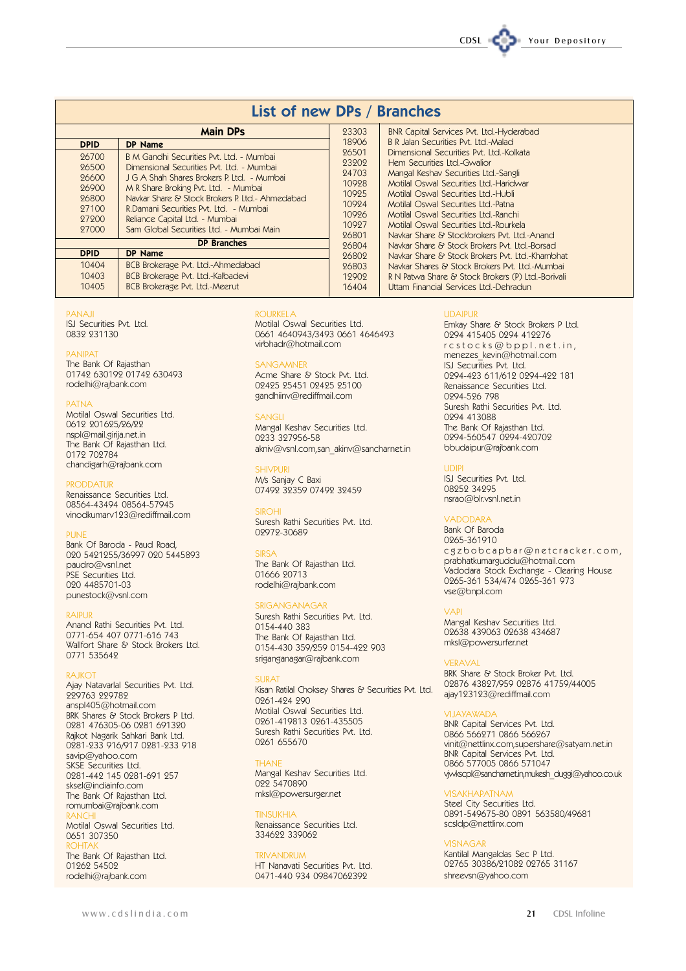| CDSL |  | Your Depository |
|------|--|-----------------|
|      |  |                 |

| List of new DPs / Branches                                           |                                                                                                                                                                                                                                                                                                                                                          |                                                                      |                                                                                                                                                                                                                                                                                                                           |
|----------------------------------------------------------------------|----------------------------------------------------------------------------------------------------------------------------------------------------------------------------------------------------------------------------------------------------------------------------------------------------------------------------------------------------------|----------------------------------------------------------------------|---------------------------------------------------------------------------------------------------------------------------------------------------------------------------------------------------------------------------------------------------------------------------------------------------------------------------|
|                                                                      | <b>Main DPs</b>                                                                                                                                                                                                                                                                                                                                          | 23303                                                                | BNR Capital Services Pvt. Ltd.-Hyderabad                                                                                                                                                                                                                                                                                  |
| <b>DPID</b>                                                          | DP Name                                                                                                                                                                                                                                                                                                                                                  | 18906                                                                | B.R. Jalan Securities Pvt. Ltd.-Malad                                                                                                                                                                                                                                                                                     |
| 26700<br>26500<br>26600<br>26900<br>26800<br>27100<br>27200<br>27000 | B M Gandhi Securities Pvt. Ltd. - Mumbai<br>Dimensional Securities Pvt. Ltd. - Mumbai<br>J G A Shah Shares Brokers P. Ltd. - Mumbai<br>M R Share Broking Pvt. Ltd. - Mumbai<br>Navkar Share & Stock Brokers P. Ltd. - Ahmedabad<br>R. Damani Securities Pvt. Ltd. - Mumbai<br>Reliance Capital Ltd. - Mumbai<br>Sam Global Securities Ltd. - Mumbai Main | 26501<br>23202<br>24703<br>10928<br>10925<br>10924<br>10926<br>10927 | Dimensional Securities Pvt. Ltd.-Kolkata<br>Hem Securities Ltd.-Gwallor<br>Mangal Keshav Securities Ltd.-Sangli<br>Motilal Oswal Securities Ltd.-Haridwar<br>Motilal Oswal Securities Ltd.-Hubli<br>Motilal Oswal Securities Ltd.-Patna<br>Motilal Oswal Securities Ltd.-Ranchi<br>Motilal Oswal Securities Ltd.-Rourkela |
| <b>DP Branches</b>                                                   |                                                                                                                                                                                                                                                                                                                                                          | 26801<br>26804                                                       | Navkar Share & Stockbrokers Pvt. Ltd.-Anand<br>Navkar Share & Stock Brokers Pvt. Ltd.-Borsad                                                                                                                                                                                                                              |
| <b>DPID</b>                                                          | DP Name                                                                                                                                                                                                                                                                                                                                                  | 26802<br>26803<br>12902<br>16404                                     | Navkar Share & Stock Brokers Pvt. Ltd.-Khambhat<br>Navkar Shares & Stock Brokers Pvt. Ltd.-Mumbai<br>R N Patwa Share & Stock Brokers (P) Ltd.-Borivali<br>Uttam Financial Services Ltd.-Dehradun                                                                                                                          |
| 10404<br>10403<br>10405                                              | BCB Brokerage Pvt. Ltd.-Ahmedabad<br>BCB Brokerage Pvt. Ltd.-Kalbadevi<br>BCB Brokerage Pvt. Ltd.-Meerut                                                                                                                                                                                                                                                 |                                                                      |                                                                                                                                                                                                                                                                                                                           |

#### **PANAI**

ISJ Securities Pvt. Ltd. 0832 231130

#### **DANIDAT**

The Bank Of Rajasthan 01742 630192 01742 630493 rodelhi@rajbank.com

#### **DATEL**

Motilal Oswal Securities Ltd. 0612 201625/26/22 nspl@mail.girija.net.in The Bank Of Rajasthan Ltd. 0179 709784 chandigarh@rajbank.com

#### **DRODDATI ID**

Renaissance Securities Ltd. 08564-43494 08564-57945 vinodkumarv123@rediffmail.com

Bank Of Baroda - Paud Road. 020 5421255/36997 020 5445893 paudro@vsnl.net PSE Securities Ltd. 090 4485701-03 punestock@vsnl.com

Anand Rathi Securities Pvt. Ltd. 0771-654 407 0771-616 743 Wallfort Share & Stock Brokers Ltd. 0771 535649

#### RA IKO

Ajay Natavarlal Securities Pvt. Ltd. 229763 229782 anspl405@hotmail.com BRK Shares & Stock Brokers P Ltd. 0281 476305-06 0281 691320 Rajkot Nagarik Sahkari Bank Ltd. 0281-233 916/917 0281-233 918 savip@yahoo.com **SKSE Securities Ltd.** 0281-442 145 0281-691 257 sksel@indiainfo.com The Bank Of Rajasthan Ltd. romumbai@rajbank.com Motilal Oswal Securities Ltd. 0651 307350 The Bank Of Rajasthan Ltd. 01969 54509 rodelhi@rajbank.com

#### ROLIRKEL A

Motilal Oswal Securities Ltd. 0661 4640943/3493 0661 4646493 virbhadr@hotmail.com

### **CANGAMMED**

Acme Share & Stock Pvt. Ltd. 02425 25451 02425 25100 gandhiinv@rediffmail.com

#### SANGLI

Mangal Keshav Securities Ltd. 0933 397956-58 akniv@vsnl.com,san\_akinv@sancharnet.in

**SHIVPLIR** M/s Sanjay C Baxi 07492 32359 07492 32459

#### SIROH

Suresh Rathi Securities Pvt. Ltd. 09979-30689

#### **SIDSA**

The Bank Of Rajasthan Ltd. 01666 90713 rodelhi@rajbank.com

### SRIGANGANAGAR

Suresh Rathi Securities Pvt. Ltd. 0154-440 383 The Bank Of Rajasthan Ltd. 0154-430 359/259 0154-422 903 sriganganagar@rajbank.com

#### **SURAT**

Kisan Ratilal Choksey Shares & Securities Pvt. Ltd. 0261-424 290 Motilal Oswal Securities Ltd. 0261-419813 0261-435505 Suresh Rathi Securities Pvt. Ltd. 0261 655670

#### THANE

Mangal Keshav Securities Ltd. 022 5470890 mksl@powersurger.net

#### **TINSI IKHIA**

Renaissance Securities Ltd. 334622 339062

#### **TRIVANDRI IM**

HT Nanavati Securities Pvt. Ltd. 0471-440 934 09847062392

#### **I IDAIDI IR**

Emkay Share & Stock Brokers P Ltd. 0294 415405 0294 412276 rcstocks@bppl.net.in, menezes kevin@hotmail.com ISJ Securities Pvt. Ltd. 0294-423 611/612 0294-422 181 Renaissance Securities Ltd. 0994-596 798 Suresh Rathi Securities Pvt. Ltd. 0294 413088 The Bank Of Rajasthan Ltd. 0294-560547 0294-420702 bbudaipur@rajbank.com

ISJ Securities Pvt. Ltd. 08252 34295 nsrao@blr.vsnl.net.in

#### VADODARA

Bank Of Baroda 0265-361910 cgzbobcapbar@netcracker.com, prabhatkumarguddu@hotmail.com Vadodara Stock Exchange - Clearing House 0265-361 534/474 0265-361 973 vse@bnpl.com

#### **VADI**

Mangal Keshav Securities Ltd. 02638 439063 02638 434687 mksl@powersurfer.net

#### **VFRAVA**

BRK Share & Stock Broker Pvt. Ltd. 02876 43827/959 02876 41759/44005 ajay123123@rediffmail.com

**BNR Capital Services Pvt. Ltd.** 0866 566271 0866 566267 vinit@nettlinx.com.supershare@satyam.net.in **BNR** Capital Services Pvt. Ltd. 0866 577005 0866 571047 vjvvkscpl@sancharnet.in,mukesh\_duggi@yahoo.co.uk

## **VISAKHAPATNAM**

Steel City Securities Ltd. 0891-549675-80 0891 563580/49681 scsIdp@nettlinx.com

#### VISNAGAR

Kantilal Mangaldas Sec P Ltd. 02765 30386/21082 02765 31167 shreevsn@yahoo.com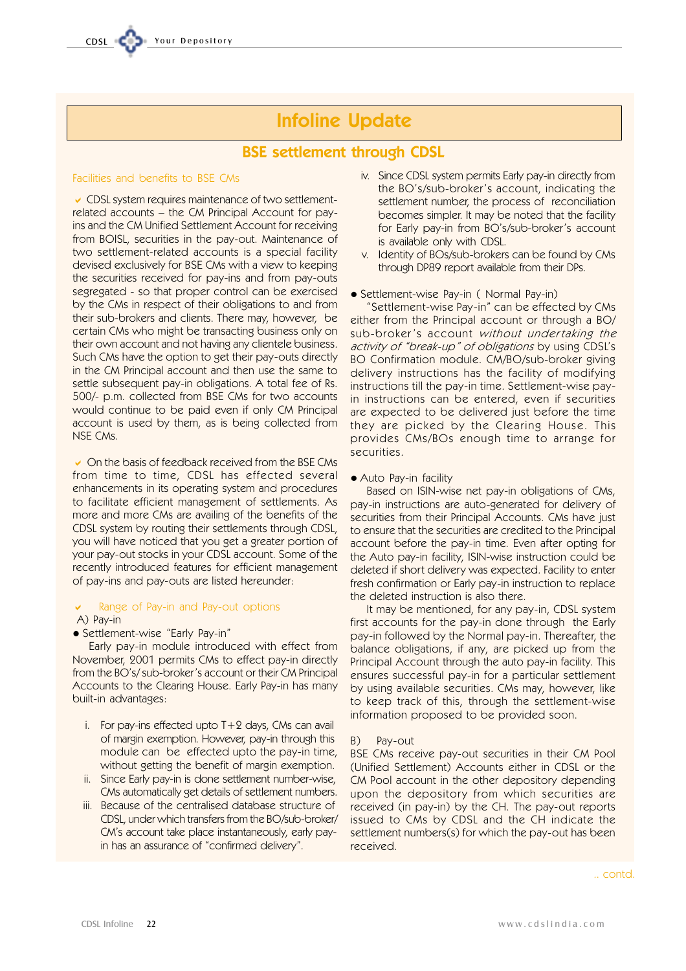# **BSE settlement through CDSL**

# Facilities and benefits to BSE CMs

Your Depository

↓ CDSL system requires maintenance of two settlementrelated accounts - the CM Principal Account for payins and the CM Unified Settlement Account for receiving from BOISL, securities in the pay-out. Maintenance of two settlement-related accounts is a special facility devised exclusively for BSE CMs with a view to keeping the securities received for pay-ins and from pay-outs segregated - so that proper control can be exercised by the CMs in respect of their obligations to and from their sub-brokers and clients. There may, however, be certain CMs who might be transacting business only on their own account and not having any clientele business. Such CMs have the option to get their pay-outs directly in the CM Principal account and then use the same to settle subsequent pay-in obligations. A total fee of Rs. 500/- p.m. collected from BSE CMs for two accounts would continue to be paid even if only CM Principal account is used by them, as is being collected from NSE CMs.

 $\vee$  On the basis of feedback received from the BSE CMs from time to time, CDSL has effected several enhancements in its operating system and procedures to facilitate efficient management of settlements. As more and more CMs are availing of the benefits of the CDSL system by routing their settlements through CDSL, you will have noticed that you get a greater portion of your pay-out stocks in your CDSL account. Some of the recently introduced features for efficient management of pay-ins and pay-outs are listed hereunder:

## Range of Pay-in and Pay-out options A) Pay-in

# • Settlement-wise "Early Pay-in"

Early pay-in module introduced with effect from November, 2001 permits CMs to effect pay-in directly from the BO's/sub-broker's account or their CM Principal Accounts to the Clearing House. Early Pay-in has many built-in advantages:

- i. For pay-ins effected upto  $T+2$  days, CMs can avail of margin exemption. However, pay-in through this module can be effected upto the pay-in time, without getting the benefit of margin exemption.
- ii. Since Early pay-in is done settlement number-wise. CMs automatically get details of settlement numbers.
- iii. Because of the centralised database structure of CDSL, under which transfers from the BO/sub-broker/ CM's account take place instantaneously, early payin has an assurance of "confirmed delivery".
- iv. Since CDSL system permits Early pay-in directly from the BO's/sub-broker's account, indicating the settlement number, the process of reconciliation becomes simpler. It may be noted that the facility for Early pay-in from BO's/sub-broker's account is available only with CDSL.
- v. Identity of BOs/sub-brokers can be found by CMs through DP89 report available from their DPs.

## • Settlement-wise Pay-in (Normal Pay-in)

"Settlement-wise Pay-in" can be effected by CMs either from the Principal account or through a BO/ sub-broker's account without undertaking the activity of "break-up" of obligations by using CDSL's BO Confirmation module. CM/BO/sub-broker giving delivery instructions has the facility of modifying instructions till the pay-in time. Settlement-wise payin instructions can be entered, even if securities are expected to be delivered just before the time they are picked by the Clearing House. This provides CMs/BOs enough time to arrange for securities.

## • Auto Pay-in facility

Based on ISIN-wise net pay-in obligations of CMs, pay-in instructions are auto-generated for delivery of securities from their Principal Accounts. CMs have just to ensure that the securities are credited to the Principal account before the pay-in time. Even after opting for the Auto pay-in facility, ISIN-wise instruction could be deleted if short delivery was expected. Facility to enter fresh confirmation or Early pay-in instruction to replace the deleted instruction is also there.

It may be mentioned, for any pay-in, CDSL system first accounts for the pay-in done through the Early pay-in followed by the Normal pay-in. Thereafter, the balance obligations, if any, are picked up from the Principal Account through the auto pay-in facility. This ensures successful pay-in for a particular settlement by using available securities. CMs may, however, like to keep track of this, through the settlement-wise information proposed to be provided soon.

#### Pay-out R)

BSE CMs receive pay-out securities in their CM Pool (Unified Settlement) Accounts either in CDSL or the CM Pool account in the other depository depending upon the depository from which securities are received (in pay-in) by the CH. The pay-out reports issued to CMs by CDSL and the CH indicate the settlement numbers(s) for which the pay-out has been received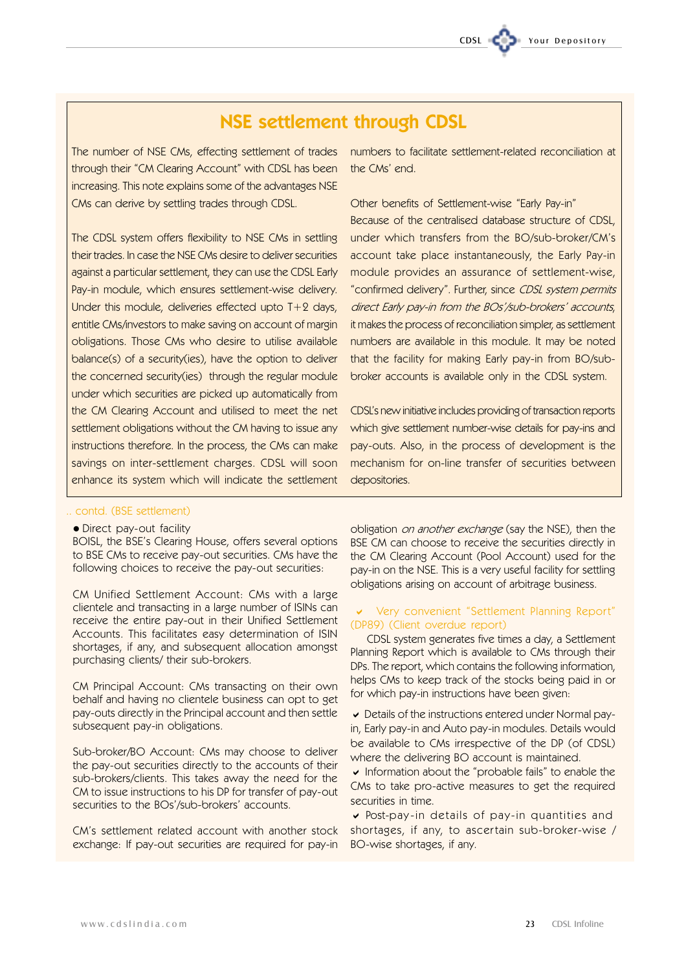# **NSE settlement through CDSL**

The number of NSE CMs, effecting settlement of trades through their "CM Clearing Account" with CDSL has been increasing. This note explains some of the advantages NSE CMs can derive by settling trades through CDSL.

The CDSL system offers flexibility to NSE CMs in settling their trades. In case the NSE CMs desire to deliver securities against a particular settlement, they can use the CDSL Early Pay-in module, which ensures settlement-wise delivery. Under this module, deliveries effected upto  $T+2$  days, entitle CMs/investors to make saving on account of margin obligations. Those CMs who desire to utilise available balance(s) of a security(ies), have the option to deliver the concerned security(ies) through the regular module under which securities are picked up automatically from the CM Clearing Account and utilised to meet the net settlement obligations without the CM having to issue any instructions therefore. In the process, the CMs can make savings on inter-settlement charges. CDSL will soon enhance its system which will indicate the settlement numbers to facilitate settlement-related reconciliation at the CMs' end.

Other benefits of Settlement-wise "Early Pay-in" Because of the centralised database structure of CDSL, under which transfers from the BO/sub-broker/CM's account take place instantaneously, the Early Pay-in module provides an assurance of settlement-wise, "confirmed delivery". Further, since CDSL system permits direct Early pay-in from the BOs'/sub-brokers' accounts, it makes the process of reconciliation simpler, as settlement numbers are available in this module. It may be noted that the facility for making Early pay-in from BO/subbroker accounts is available only in the CDSL system.

CDSL's new initiative includes providing of transaction reports which give settlement number-wise details for pay-ins and pay-outs. Also, in the process of development is the mechanism for on-line transfer of securities between depositories.

## . contd. (BSE settlement)

### • Direct pay-out facility

BOISL, the BSE's Clearing House, offers several options to BSE CMs to receive pay-out securities. CMs have the following choices to receive the pay-out securities:

CM Unified Settlement Account: CMs with a large clientele and transacting in a large number of ISINs can receive the entire pay-out in their Unified Settlement Accounts. This facilitates easy determination of ISIN shortages, if any, and subsequent allocation amongst purchasing clients/ their sub-brokers.

CM Principal Account: CMs transacting on their own behalf and having no clientele business can opt to get pay-outs directly in the Principal account and then settle subsequent pay-in obligations.

Sub-broker/BO Account: CMs may choose to deliver the pay-out securities directly to the accounts of their sub-brokers/clients. This takes away the need for the CM to issue instructions to his DP for transfer of pay-out securities to the BOs'/sub-brokers' accounts.

CM's settlement related account with another stock exchange: If pay-out securities are required for pay-in

obligation on another exchange (say the NSE), then the BSE CM can choose to receive the securities directly in the CM Clearing Account (Pool Account) used for the pay-in on the NSE. This is a very useful facility for settling obligations arising on account of arbitrage business.

## Very convenient "Settlement Planning Report" (DP89) (Client overdue report)

CDSL system generates five times a day, a Settlement Planning Report which is available to CMs through their DPs. The report, which contains the following information, helps CMs to keep track of the stocks being paid in or for which pay-in instructions have been given:

UP Details of the instructions entered under Normal payin, Early pay-in and Auto pay-in modules. Details would be available to CMs irrespective of the DP (of CDSL) where the delivering BO account is maintained.

Information about the "probable fails" to enable the CMs to take pro-active measures to get the required securities in time.

↓ Post-pay-in details of pay-in quantities and shortages, if any, to ascertain sub-broker-wise / BO-wise shortages, if any.